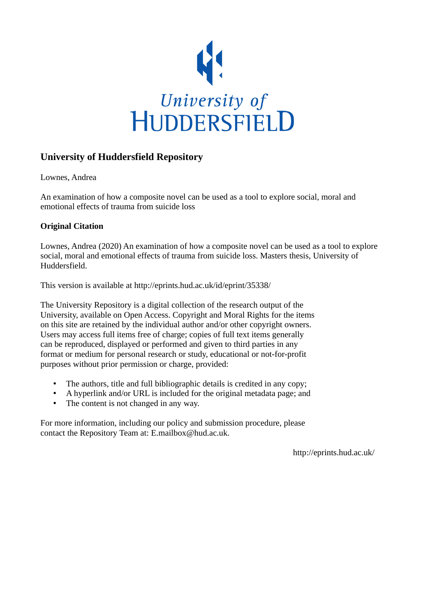

# **University of Huddersfield Repository**

Lownes, Andrea

An examination of how a composite novel can be used as a tool to explore social, moral and emotional effects of trauma from suicide loss

### **Original Citation**

Lownes, Andrea (2020) An examination of how a composite novel can be used as a tool to explore social, moral and emotional effects of trauma from suicide loss. Masters thesis, University of Huddersfield.

This version is available at http://eprints.hud.ac.uk/id/eprint/35338/

The University Repository is a digital collection of the research output of the University, available on Open Access. Copyright and Moral Rights for the items on this site are retained by the individual author and/or other copyright owners. Users may access full items free of charge; copies of full text items generally can be reproduced, displayed or performed and given to third parties in any format or medium for personal research or study, educational or not-for-profit purposes without prior permission or charge, provided:

- The authors, title and full bibliographic details is credited in any copy;
- A hyperlink and/or URL is included for the original metadata page; and
- The content is not changed in any way.

For more information, including our policy and submission procedure, please contact the Repository Team at: E.mailbox@hud.ac.uk.

http://eprints.hud.ac.uk/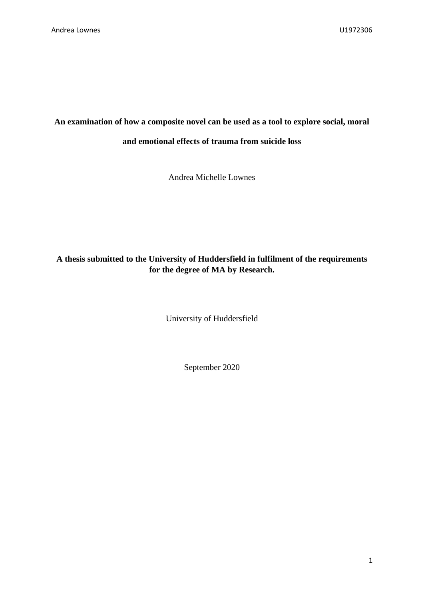## **An examination of how a composite novel can be used as a tool to explore social, moral**

#### **and emotional effects of trauma from suicide loss**

Andrea Michelle Lownes

## **A thesis submitted to the University of Huddersfield in fulfilment of the requirements for the degree of MA by Research.**

University of Huddersfield

September 2020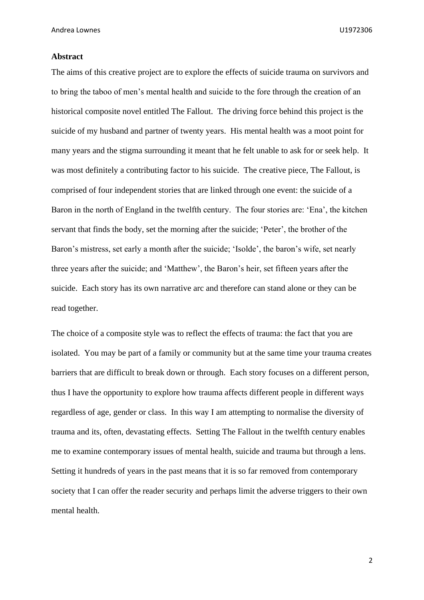#### **Abstract**

The aims of this creative project are to explore the effects of suicide trauma on survivors and to bring the taboo of men's mental health and suicide to the fore through the creation of an historical composite novel entitled The Fallout. The driving force behind this project is the suicide of my husband and partner of twenty years. His mental health was a moot point for many years and the stigma surrounding it meant that he felt unable to ask for or seek help. It was most definitely a contributing factor to his suicide. The creative piece, The Fallout, is comprised of four independent stories that are linked through one event: the suicide of a Baron in the north of England in the twelfth century. The four stories are: 'Ena', the kitchen servant that finds the body, set the morning after the suicide; 'Peter', the brother of the Baron's mistress, set early a month after the suicide; 'Isolde', the baron's wife, set nearly three years after the suicide; and 'Matthew', the Baron's heir, set fifteen years after the suicide. Each story has its own narrative arc and therefore can stand alone or they can be read together.

The choice of a composite style was to reflect the effects of trauma: the fact that you are isolated. You may be part of a family or community but at the same time your trauma creates barriers that are difficult to break down or through. Each story focuses on a different person, thus I have the opportunity to explore how trauma affects different people in different ways regardless of age, gender or class. In this way I am attempting to normalise the diversity of trauma and its, often, devastating effects. Setting The Fallout in the twelfth century enables me to examine contemporary issues of mental health, suicide and trauma but through a lens. Setting it hundreds of years in the past means that it is so far removed from contemporary society that I can offer the reader security and perhaps limit the adverse triggers to their own mental health.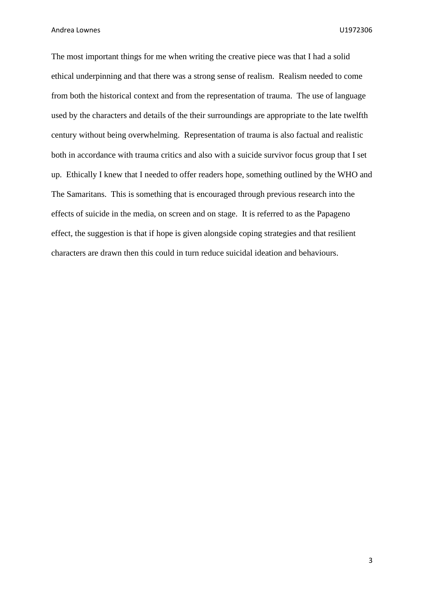The most important things for me when writing the creative piece was that I had a solid ethical underpinning and that there was a strong sense of realism. Realism needed to come from both the historical context and from the representation of trauma. The use of language used by the characters and details of the their surroundings are appropriate to the late twelfth century without being overwhelming. Representation of trauma is also factual and realistic both in accordance with trauma critics and also with a suicide survivor focus group that I set up. Ethically I knew that I needed to offer readers hope, something outlined by the WHO and The Samaritans. This is something that is encouraged through previous research into the effects of suicide in the media, on screen and on stage. It is referred to as the Papageno effect, the suggestion is that if hope is given alongside coping strategies and that resilient characters are drawn then this could in turn reduce suicidal ideation and behaviours.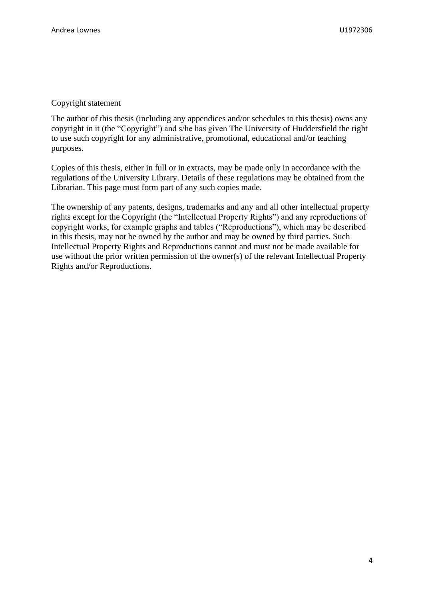#### Copyright statement

The author of this thesis (including any appendices and/or schedules to this thesis) owns any copyright in it (the "Copyright") and s/he has given The University of Huddersfield the right to use such copyright for any administrative, promotional, educational and/or teaching purposes.

Copies of this thesis, either in full or in extracts, may be made only in accordance with the regulations of the University Library. Details of these regulations may be obtained from the Librarian. This page must form part of any such copies made.

The ownership of any patents, designs, trademarks and any and all other intellectual property rights except for the Copyright (the "Intellectual Property Rights") and any reproductions of copyright works, for example graphs and tables ("Reproductions"), which may be described in this thesis, may not be owned by the author and may be owned by third parties. Such Intellectual Property Rights and Reproductions cannot and must not be made available for use without the prior written permission of the owner(s) of the relevant Intellectual Property Rights and/or Reproductions.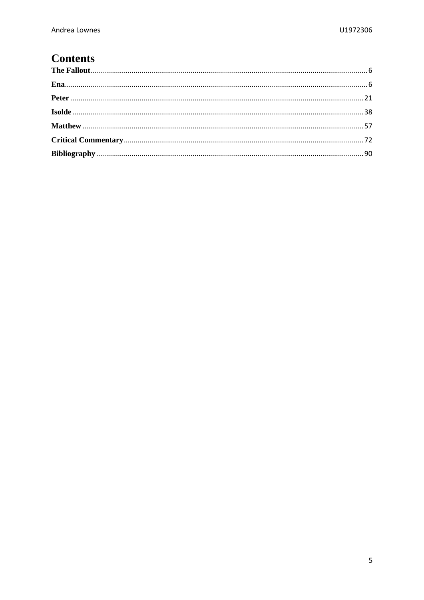# **Contents**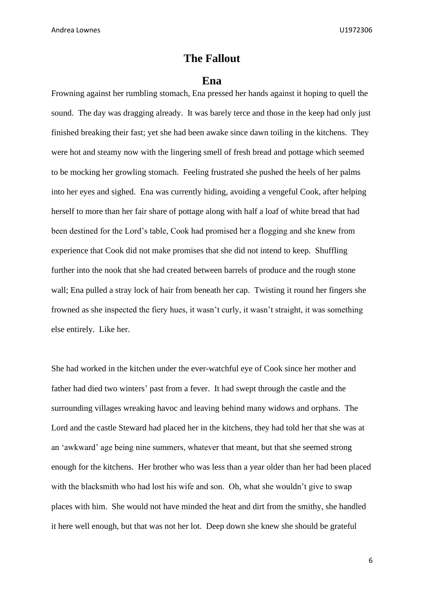## **The Fallout**

#### **Ena**

<span id="page-6-1"></span><span id="page-6-0"></span>Frowning against her rumbling stomach, Ena pressed her hands against it hoping to quell the sound. The day was dragging already. It was barely terce and those in the keep had only just finished breaking their fast; yet she had been awake since dawn toiling in the kitchens. They were hot and steamy now with the lingering smell of fresh bread and pottage which seemed to be mocking her growling stomach. Feeling frustrated she pushed the heels of her palms into her eyes and sighed. Ena was currently hiding, avoiding a vengeful Cook, after helping herself to more than her fair share of pottage along with half a loaf of white bread that had been destined for the Lord's table, Cook had promised her a flogging and she knew from experience that Cook did not make promises that she did not intend to keep. Shuffling further into the nook that she had created between barrels of produce and the rough stone wall; Ena pulled a stray lock of hair from beneath her cap. Twisting it round her fingers she frowned as she inspected the fiery hues, it wasn't curly, it wasn't straight, it was something else entirely. Like her.

She had worked in the kitchen under the ever-watchful eye of Cook since her mother and father had died two winters' past from a fever. It had swept through the castle and the surrounding villages wreaking havoc and leaving behind many widows and orphans. The Lord and the castle Steward had placed her in the kitchens, they had told her that she was at an 'awkward' age being nine summers, whatever that meant, but that she seemed strong enough for the kitchens. Her brother who was less than a year older than her had been placed with the blacksmith who had lost his wife and son. Oh, what she wouldn't give to swap places with him. She would not have minded the heat and dirt from the smithy, she handled it here well enough, but that was not her lot. Deep down she knew she should be grateful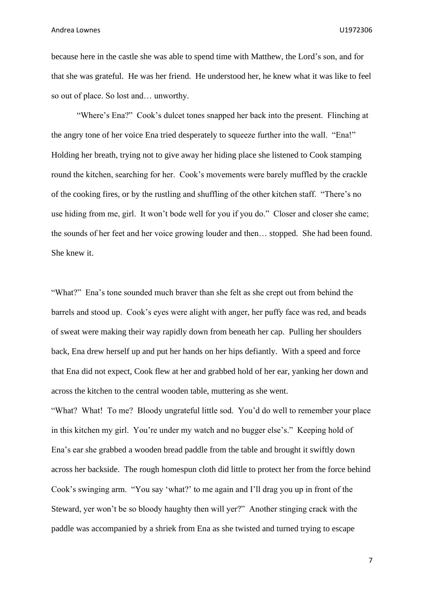because here in the castle she was able to spend time with Matthew, the Lord's son, and for that she was grateful. He was her friend. He understood her, he knew what it was like to feel so out of place. So lost and… unworthy.

"Where's Ena?" Cook's dulcet tones snapped her back into the present. Flinching at the angry tone of her voice Ena tried desperately to squeeze further into the wall. "Ena!" Holding her breath, trying not to give away her hiding place she listened to Cook stamping round the kitchen, searching for her. Cook's movements were barely muffled by the crackle of the cooking fires, or by the rustling and shuffling of the other kitchen staff. "There's no use hiding from me, girl. It won't bode well for you if you do." Closer and closer she came; the sounds of her feet and her voice growing louder and then… stopped. She had been found. She knew it.

"What?" Ena's tone sounded much braver than she felt as she crept out from behind the barrels and stood up. Cook's eyes were alight with anger, her puffy face was red, and beads of sweat were making their way rapidly down from beneath her cap. Pulling her shoulders back, Ena drew herself up and put her hands on her hips defiantly. With a speed and force that Ena did not expect, Cook flew at her and grabbed hold of her ear, yanking her down and across the kitchen to the central wooden table, muttering as she went.

"What? What! To me? Bloody ungrateful little sod. You'd do well to remember your place in this kitchen my girl. You're under my watch and no bugger else's." Keeping hold of Ena's ear she grabbed a wooden bread paddle from the table and brought it swiftly down across her backside. The rough homespun cloth did little to protect her from the force behind Cook's swinging arm. "You say 'what?' to me again and I'll drag you up in front of the Steward, yer won't be so bloody haughty then will yer?" Another stinging crack with the paddle was accompanied by a shriek from Ena as she twisted and turned trying to escape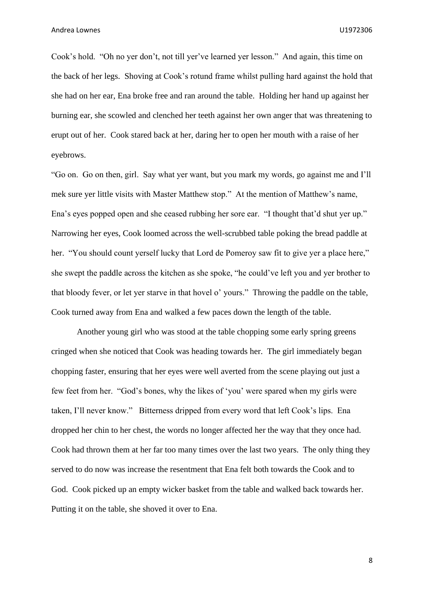Cook's hold. "Oh no yer don't, not till yer've learned yer lesson." And again, this time on the back of her legs. Shoving at Cook's rotund frame whilst pulling hard against the hold that she had on her ear, Ena broke free and ran around the table. Holding her hand up against her burning ear, she scowled and clenched her teeth against her own anger that was threatening to erupt out of her. Cook stared back at her, daring her to open her mouth with a raise of her eyebrows.

"Go on. Go on then, girl. Say what yer want, but you mark my words, go against me and I'll mek sure yer little visits with Master Matthew stop." At the mention of Matthew's name, Ena's eyes popped open and she ceased rubbing her sore ear. "I thought that'd shut yer up." Narrowing her eyes, Cook loomed across the well-scrubbed table poking the bread paddle at her. "You should count yerself lucky that Lord de Pomeroy saw fit to give yer a place here," she swept the paddle across the kitchen as she spoke, "he could've left you and yer brother to that bloody fever, or let yer starve in that hovel o' yours." Throwing the paddle on the table, Cook turned away from Ena and walked a few paces down the length of the table.

Another young girl who was stood at the table chopping some early spring greens cringed when she noticed that Cook was heading towards her. The girl immediately began chopping faster, ensuring that her eyes were well averted from the scene playing out just a few feet from her. "God's bones, why the likes of 'you' were spared when my girls were taken, I'll never know." Bitterness dripped from every word that left Cook's lips. Ena dropped her chin to her chest, the words no longer affected her the way that they once had. Cook had thrown them at her far too many times over the last two years. The only thing they served to do now was increase the resentment that Ena felt both towards the Cook and to God. Cook picked up an empty wicker basket from the table and walked back towards her. Putting it on the table, she shoved it over to Ena.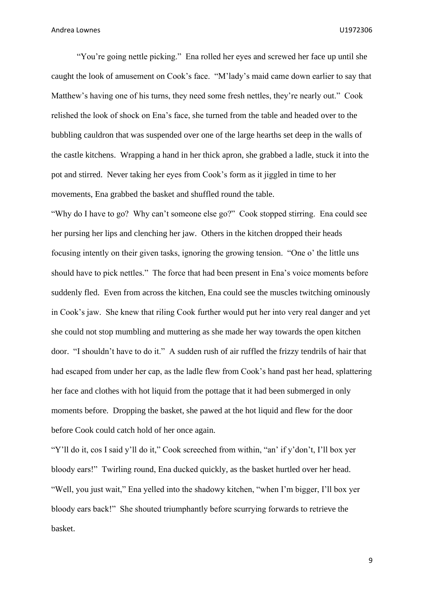"You're going nettle picking." Ena rolled her eyes and screwed her face up until she caught the look of amusement on Cook's face. "M'lady's maid came down earlier to say that Matthew's having one of his turns, they need some fresh nettles, they're nearly out." Cook relished the look of shock on Ena's face, she turned from the table and headed over to the bubbling cauldron that was suspended over one of the large hearths set deep in the walls of the castle kitchens. Wrapping a hand in her thick apron, she grabbed a ladle, stuck it into the pot and stirred. Never taking her eyes from Cook's form as it jiggled in time to her movements, Ena grabbed the basket and shuffled round the table.

"Why do I have to go? Why can't someone else go?" Cook stopped stirring. Ena could see her pursing her lips and clenching her jaw. Others in the kitchen dropped their heads focusing intently on their given tasks, ignoring the growing tension. "One o' the little uns should have to pick nettles." The force that had been present in Ena's voice moments before suddenly fled. Even from across the kitchen, Ena could see the muscles twitching ominously in Cook's jaw. She knew that riling Cook further would put her into very real danger and yet she could not stop mumbling and muttering as she made her way towards the open kitchen door. "I shouldn't have to do it." A sudden rush of air ruffled the frizzy tendrils of hair that had escaped from under her cap, as the ladle flew from Cook's hand past her head, splattering her face and clothes with hot liquid from the pottage that it had been submerged in only moments before. Dropping the basket, she pawed at the hot liquid and flew for the door before Cook could catch hold of her once again.

"Y'll do it, cos I said y'll do it," Cook screeched from within, "an' if y'don't, I'll box yer bloody ears!" Twirling round, Ena ducked quickly, as the basket hurtled over her head. "Well, you just wait," Ena yelled into the shadowy kitchen, "when I'm bigger, I'll box yer bloody ears back!" She shouted triumphantly before scurrying forwards to retrieve the basket.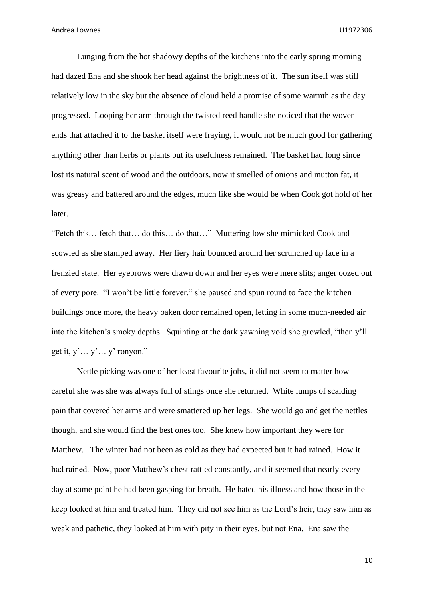Lunging from the hot shadowy depths of the kitchens into the early spring morning had dazed Ena and she shook her head against the brightness of it. The sun itself was still relatively low in the sky but the absence of cloud held a promise of some warmth as the day progressed. Looping her arm through the twisted reed handle she noticed that the woven ends that attached it to the basket itself were fraying, it would not be much good for gathering anything other than herbs or plants but its usefulness remained. The basket had long since lost its natural scent of wood and the outdoors, now it smelled of onions and mutton fat, it was greasy and battered around the edges, much like she would be when Cook got hold of her later.

"Fetch this… fetch that… do this… do that…" Muttering low she mimicked Cook and scowled as she stamped away. Her fiery hair bounced around her scrunched up face in a frenzied state. Her eyebrows were drawn down and her eyes were mere slits; anger oozed out of every pore. "I won't be little forever," she paused and spun round to face the kitchen buildings once more, the heavy oaken door remained open, letting in some much-needed air into the kitchen's smoky depths. Squinting at the dark yawning void she growled, "then y'll get it, y'… y'… y' ronyon."

Nettle picking was one of her least favourite jobs, it did not seem to matter how careful she was she was always full of stings once she returned. White lumps of scalding pain that covered her arms and were smattered up her legs. She would go and get the nettles though, and she would find the best ones too. She knew how important they were for Matthew. The winter had not been as cold as they had expected but it had rained. How it had rained. Now, poor Matthew's chest rattled constantly, and it seemed that nearly every day at some point he had been gasping for breath. He hated his illness and how those in the keep looked at him and treated him. They did not see him as the Lord's heir, they saw him as weak and pathetic, they looked at him with pity in their eyes, but not Ena. Ena saw the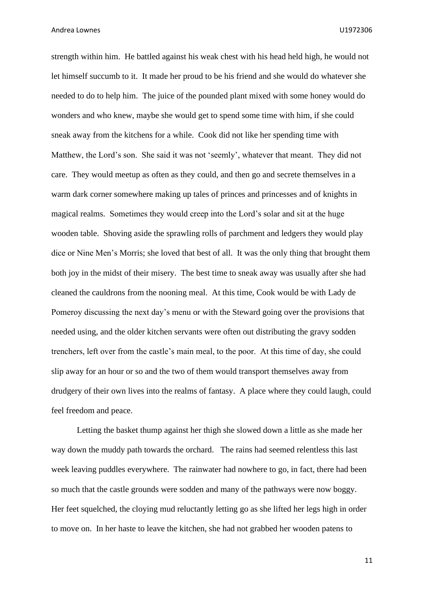strength within him. He battled against his weak chest with his head held high, he would not let himself succumb to it. It made her proud to be his friend and she would do whatever she needed to do to help him. The juice of the pounded plant mixed with some honey would do wonders and who knew, maybe she would get to spend some time with him, if she could sneak away from the kitchens for a while. Cook did not like her spending time with Matthew, the Lord's son. She said it was not 'seemly', whatever that meant. They did not care. They would meetup as often as they could, and then go and secrete themselves in a warm dark corner somewhere making up tales of princes and princesses and of knights in magical realms. Sometimes they would creep into the Lord's solar and sit at the huge wooden table. Shoving aside the sprawling rolls of parchment and ledgers they would play dice or Nine Men's Morris; she loved that best of all. It was the only thing that brought them both joy in the midst of their misery. The best time to sneak away was usually after she had cleaned the cauldrons from the nooning meal. At this time, Cook would be with Lady de Pomeroy discussing the next day's menu or with the Steward going over the provisions that needed using, and the older kitchen servants were often out distributing the gravy sodden trenchers, left over from the castle's main meal, to the poor. At this time of day, she could slip away for an hour or so and the two of them would transport themselves away from drudgery of their own lives into the realms of fantasy. A place where they could laugh, could feel freedom and peace.

Letting the basket thump against her thigh she slowed down a little as she made her way down the muddy path towards the orchard. The rains had seemed relentless this last week leaving puddles everywhere. The rainwater had nowhere to go, in fact, there had been so much that the castle grounds were sodden and many of the pathways were now boggy. Her feet squelched, the cloying mud reluctantly letting go as she lifted her legs high in order to move on. In her haste to leave the kitchen, she had not grabbed her wooden patens to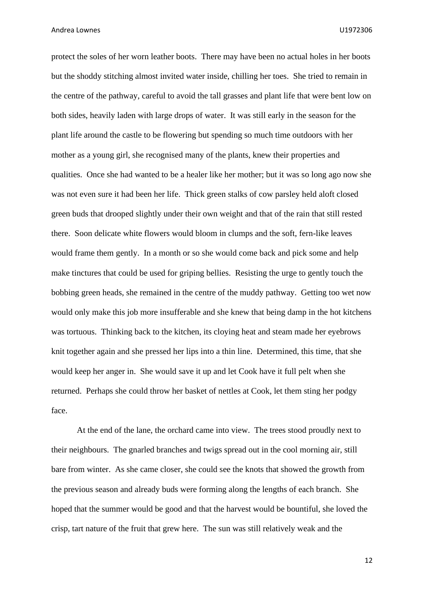protect the soles of her worn leather boots. There may have been no actual holes in her boots but the shoddy stitching almost invited water inside, chilling her toes. She tried to remain in the centre of the pathway, careful to avoid the tall grasses and plant life that were bent low on both sides, heavily laden with large drops of water. It was still early in the season for the plant life around the castle to be flowering but spending so much time outdoors with her mother as a young girl, she recognised many of the plants, knew their properties and qualities. Once she had wanted to be a healer like her mother; but it was so long ago now she was not even sure it had been her life. Thick green stalks of cow parsley held aloft closed green buds that drooped slightly under their own weight and that of the rain that still rested there. Soon delicate white flowers would bloom in clumps and the soft, fern-like leaves would frame them gently. In a month or so she would come back and pick some and help make tinctures that could be used for griping bellies. Resisting the urge to gently touch the bobbing green heads, she remained in the centre of the muddy pathway. Getting too wet now would only make this job more insufferable and she knew that being damp in the hot kitchens was tortuous. Thinking back to the kitchen, its cloying heat and steam made her eyebrows knit together again and she pressed her lips into a thin line. Determined, this time, that she would keep her anger in. She would save it up and let Cook have it full pelt when she returned. Perhaps she could throw her basket of nettles at Cook, let them sting her podgy face.

At the end of the lane, the orchard came into view. The trees stood proudly next to their neighbours. The gnarled branches and twigs spread out in the cool morning air, still bare from winter. As she came closer, she could see the knots that showed the growth from the previous season and already buds were forming along the lengths of each branch. She hoped that the summer would be good and that the harvest would be bountiful, she loved the crisp, tart nature of the fruit that grew here. The sun was still relatively weak and the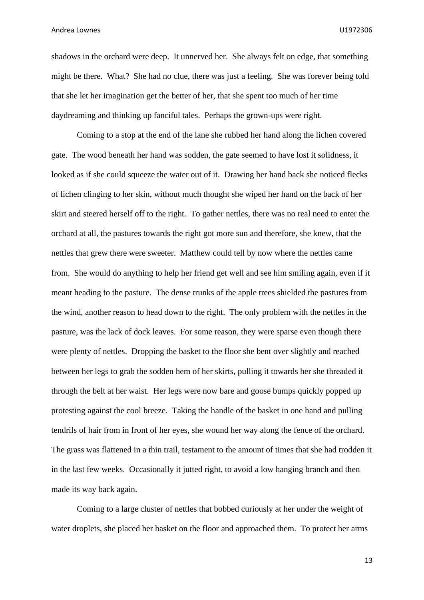shadows in the orchard were deep. It unnerved her. She always felt on edge, that something might be there. What? She had no clue, there was just a feeling. She was forever being told that she let her imagination get the better of her, that she spent too much of her time daydreaming and thinking up fanciful tales. Perhaps the grown-ups were right.

Coming to a stop at the end of the lane she rubbed her hand along the lichen covered gate. The wood beneath her hand was sodden, the gate seemed to have lost it solidness, it looked as if she could squeeze the water out of it. Drawing her hand back she noticed flecks of lichen clinging to her skin, without much thought she wiped her hand on the back of her skirt and steered herself off to the right. To gather nettles, there was no real need to enter the orchard at all, the pastures towards the right got more sun and therefore, she knew, that the nettles that grew there were sweeter. Matthew could tell by now where the nettles came from. She would do anything to help her friend get well and see him smiling again, even if it meant heading to the pasture. The dense trunks of the apple trees shielded the pastures from the wind, another reason to head down to the right. The only problem with the nettles in the pasture, was the lack of dock leaves. For some reason, they were sparse even though there were plenty of nettles. Dropping the basket to the floor she bent over slightly and reached between her legs to grab the sodden hem of her skirts, pulling it towards her she threaded it through the belt at her waist. Her legs were now bare and goose bumps quickly popped up protesting against the cool breeze. Taking the handle of the basket in one hand and pulling tendrils of hair from in front of her eyes, she wound her way along the fence of the orchard. The grass was flattened in a thin trail, testament to the amount of times that she had trodden it in the last few weeks. Occasionally it jutted right, to avoid a low hanging branch and then made its way back again.

Coming to a large cluster of nettles that bobbed curiously at her under the weight of water droplets, she placed her basket on the floor and approached them. To protect her arms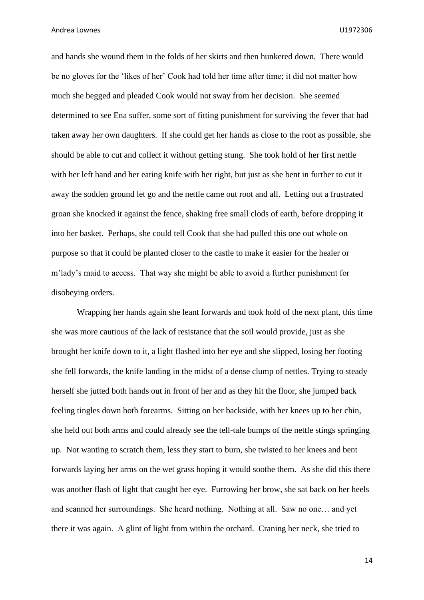and hands she wound them in the folds of her skirts and then hunkered down. There would be no gloves for the 'likes of her' Cook had told her time after time; it did not matter how much she begged and pleaded Cook would not sway from her decision. She seemed determined to see Ena suffer, some sort of fitting punishment for surviving the fever that had taken away her own daughters. If she could get her hands as close to the root as possible, she should be able to cut and collect it without getting stung. She took hold of her first nettle with her left hand and her eating knife with her right, but just as she bent in further to cut it away the sodden ground let go and the nettle came out root and all. Letting out a frustrated groan she knocked it against the fence, shaking free small clods of earth, before dropping it into her basket. Perhaps, she could tell Cook that she had pulled this one out whole on purpose so that it could be planted closer to the castle to make it easier for the healer or m'lady's maid to access. That way she might be able to avoid a further punishment for disobeying orders.

Wrapping her hands again she leant forwards and took hold of the next plant, this time she was more cautious of the lack of resistance that the soil would provide, just as she brought her knife down to it, a light flashed into her eye and she slipped, losing her footing she fell forwards, the knife landing in the midst of a dense clump of nettles. Trying to steady herself she jutted both hands out in front of her and as they hit the floor, she jumped back feeling tingles down both forearms. Sitting on her backside, with her knees up to her chin, she held out both arms and could already see the tell-tale bumps of the nettle stings springing up. Not wanting to scratch them, less they start to burn, she twisted to her knees and bent forwards laying her arms on the wet grass hoping it would soothe them. As she did this there was another flash of light that caught her eye. Furrowing her brow, she sat back on her heels and scanned her surroundings. She heard nothing. Nothing at all. Saw no one… and yet there it was again. A glint of light from within the orchard. Craning her neck, she tried to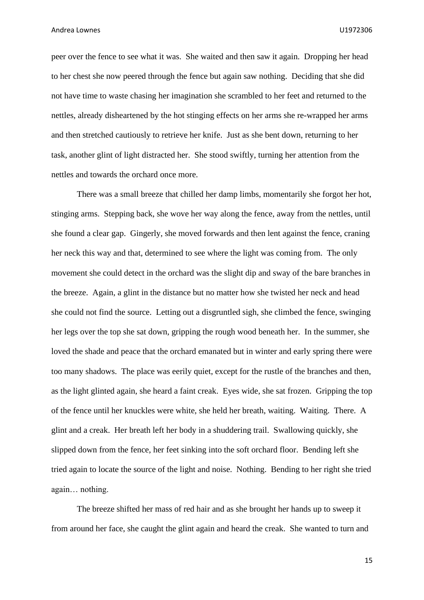peer over the fence to see what it was. She waited and then saw it again. Dropping her head to her chest she now peered through the fence but again saw nothing. Deciding that she did not have time to waste chasing her imagination she scrambled to her feet and returned to the nettles, already disheartened by the hot stinging effects on her arms she re-wrapped her arms and then stretched cautiously to retrieve her knife. Just as she bent down, returning to her task, another glint of light distracted her. She stood swiftly, turning her attention from the nettles and towards the orchard once more.

There was a small breeze that chilled her damp limbs, momentarily she forgot her hot, stinging arms. Stepping back, she wove her way along the fence, away from the nettles, until she found a clear gap. Gingerly, she moved forwards and then lent against the fence, craning her neck this way and that, determined to see where the light was coming from. The only movement she could detect in the orchard was the slight dip and sway of the bare branches in the breeze. Again, a glint in the distance but no matter how she twisted her neck and head she could not find the source. Letting out a disgruntled sigh, she climbed the fence, swinging her legs over the top she sat down, gripping the rough wood beneath her. In the summer, she loved the shade and peace that the orchard emanated but in winter and early spring there were too many shadows. The place was eerily quiet, except for the rustle of the branches and then, as the light glinted again, she heard a faint creak. Eyes wide, she sat frozen. Gripping the top of the fence until her knuckles were white, she held her breath, waiting. Waiting. There. A glint and a creak. Her breath left her body in a shuddering trail. Swallowing quickly, she slipped down from the fence, her feet sinking into the soft orchard floor. Bending left she tried again to locate the source of the light and noise. Nothing. Bending to her right she tried again… nothing.

The breeze shifted her mass of red hair and as she brought her hands up to sweep it from around her face, she caught the glint again and heard the creak. She wanted to turn and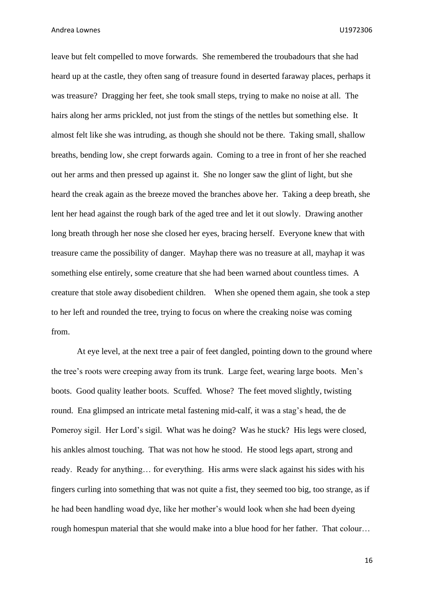leave but felt compelled to move forwards. She remembered the troubadours that she had heard up at the castle, they often sang of treasure found in deserted faraway places, perhaps it was treasure? Dragging her feet, she took small steps, trying to make no noise at all. The hairs along her arms prickled, not just from the stings of the nettles but something else. It almost felt like she was intruding, as though she should not be there. Taking small, shallow breaths, bending low, she crept forwards again. Coming to a tree in front of her she reached out her arms and then pressed up against it. She no longer saw the glint of light, but she heard the creak again as the breeze moved the branches above her. Taking a deep breath, she lent her head against the rough bark of the aged tree and let it out slowly. Drawing another long breath through her nose she closed her eyes, bracing herself. Everyone knew that with treasure came the possibility of danger. Mayhap there was no treasure at all, mayhap it was something else entirely, some creature that she had been warned about countless times. A creature that stole away disobedient children. When she opened them again, she took a step to her left and rounded the tree, trying to focus on where the creaking noise was coming from.

At eye level, at the next tree a pair of feet dangled, pointing down to the ground where the tree's roots were creeping away from its trunk. Large feet, wearing large boots. Men's boots. Good quality leather boots. Scuffed. Whose? The feet moved slightly, twisting round. Ena glimpsed an intricate metal fastening mid-calf, it was a stag's head, the de Pomeroy sigil. Her Lord's sigil. What was he doing? Was he stuck? His legs were closed, his ankles almost touching. That was not how he stood. He stood legs apart, strong and ready. Ready for anything… for everything. His arms were slack against his sides with his fingers curling into something that was not quite a fist, they seemed too big, too strange, as if he had been handling woad dye, like her mother's would look when she had been dyeing rough homespun material that she would make into a blue hood for her father. That colour…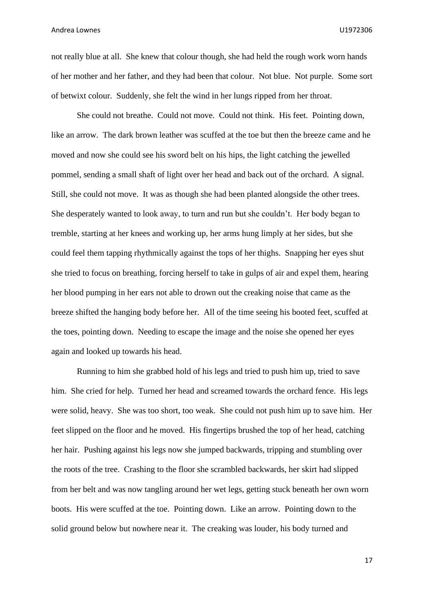not really blue at all. She knew that colour though, she had held the rough work worn hands of her mother and her father, and they had been that colour. Not blue. Not purple. Some sort of betwixt colour. Suddenly, she felt the wind in her lungs ripped from her throat.

She could not breathe. Could not move. Could not think. His feet. Pointing down, like an arrow. The dark brown leather was scuffed at the toe but then the breeze came and he moved and now she could see his sword belt on his hips, the light catching the jewelled pommel, sending a small shaft of light over her head and back out of the orchard. A signal. Still, she could not move. It was as though she had been planted alongside the other trees. She desperately wanted to look away, to turn and run but she couldn't. Her body began to tremble, starting at her knees and working up, her arms hung limply at her sides, but she could feel them tapping rhythmically against the tops of her thighs. Snapping her eyes shut she tried to focus on breathing, forcing herself to take in gulps of air and expel them, hearing her blood pumping in her ears not able to drown out the creaking noise that came as the breeze shifted the hanging body before her. All of the time seeing his booted feet, scuffed at the toes, pointing down. Needing to escape the image and the noise she opened her eyes again and looked up towards his head.

Running to him she grabbed hold of his legs and tried to push him up, tried to save him. She cried for help. Turned her head and screamed towards the orchard fence. His legs were solid, heavy. She was too short, too weak. She could not push him up to save him. Her feet slipped on the floor and he moved. His fingertips brushed the top of her head, catching her hair. Pushing against his legs now she jumped backwards, tripping and stumbling over the roots of the tree. Crashing to the floor she scrambled backwards, her skirt had slipped from her belt and was now tangling around her wet legs, getting stuck beneath her own worn boots. His were scuffed at the toe. Pointing down. Like an arrow. Pointing down to the solid ground below but nowhere near it. The creaking was louder, his body turned and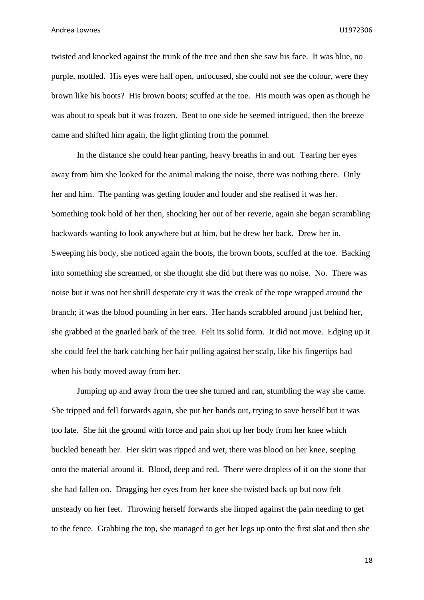twisted and knocked against the trunk of the tree and then she saw his face. It was blue, no purple, mottled. His eyes were half open, unfocused, she could not see the colour, were they brown like his boots? His brown boots; scuffed at the toe. His mouth was open as though he was about to speak but it was frozen. Bent to one side he seemed intrigued, then the breeze came and shifted him again, the light glinting from the pommel.

In the distance she could hear panting, heavy breaths in and out. Tearing her eyes away from him she looked for the animal making the noise, there was nothing there. Only her and him. The panting was getting louder and louder and she realised it was her. Something took hold of her then, shocking her out of her reverie, again she began scrambling backwards wanting to look anywhere but at him, but he drew her back. Drew her in. Sweeping his body, she noticed again the boots, the brown boots, scuffed at the toe. Backing into something she screamed, or she thought she did but there was no noise. No. There was noise but it was not her shrill desperate cry it was the creak of the rope wrapped around the branch; it was the blood pounding in her ears. Her hands scrabbled around just behind her, she grabbed at the gnarled bark of the tree. Felt its solid form. It did not move. Edging up it she could feel the bark catching her hair pulling against her scalp, like his fingertips had when his body moved away from her.

Jumping up and away from the tree she turned and ran, stumbling the way she came. She tripped and fell forwards again, she put her hands out, trying to save herself but it was too late. She hit the ground with force and pain shot up her body from her knee which buckled beneath her. Her skirt was ripped and wet, there was blood on her knee, seeping onto the material around it. Blood, deep and red. There were droplets of it on the stone that she had fallen on. Dragging her eyes from her knee she twisted back up but now felt unsteady on her feet. Throwing herself forwards she limped against the pain needing to get to the fence. Grabbing the top, she managed to get her legs up onto the first slat and then she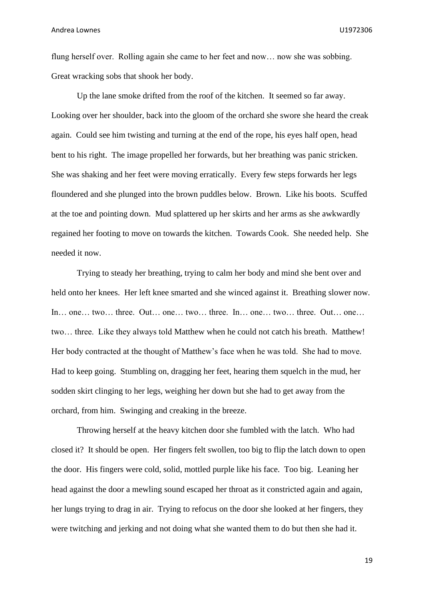flung herself over. Rolling again she came to her feet and now… now she was sobbing. Great wracking sobs that shook her body.

Up the lane smoke drifted from the roof of the kitchen. It seemed so far away. Looking over her shoulder, back into the gloom of the orchard she swore she heard the creak again. Could see him twisting and turning at the end of the rope, his eyes half open, head bent to his right. The image propelled her forwards, but her breathing was panic stricken. She was shaking and her feet were moving erratically. Every few steps forwards her legs floundered and she plunged into the brown puddles below. Brown. Like his boots. Scuffed at the toe and pointing down. Mud splattered up her skirts and her arms as she awkwardly regained her footing to move on towards the kitchen. Towards Cook. She needed help. She needed it now.

Trying to steady her breathing, trying to calm her body and mind she bent over and held onto her knees. Her left knee smarted and she winced against it. Breathing slower now. In… one… two… three. Out… one… two… three. In… one… two… three. Out… one… two… three. Like they always told Matthew when he could not catch his breath. Matthew! Her body contracted at the thought of Matthew's face when he was told. She had to move. Had to keep going. Stumbling on, dragging her feet, hearing them squelch in the mud, her sodden skirt clinging to her legs, weighing her down but she had to get away from the orchard, from him. Swinging and creaking in the breeze.

Throwing herself at the heavy kitchen door she fumbled with the latch. Who had closed it? It should be open. Her fingers felt swollen, too big to flip the latch down to open the door. His fingers were cold, solid, mottled purple like his face. Too big. Leaning her head against the door a mewling sound escaped her throat as it constricted again and again, her lungs trying to drag in air. Trying to refocus on the door she looked at her fingers, they were twitching and jerking and not doing what she wanted them to do but then she had it.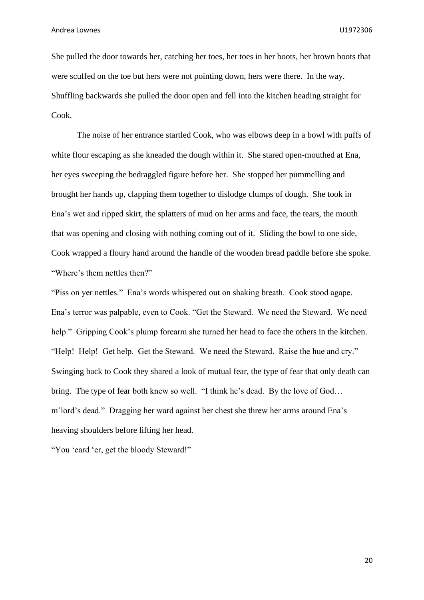She pulled the door towards her, catching her toes, her toes in her boots, her brown boots that were scuffed on the toe but hers were not pointing down, hers were there. In the way. Shuffling backwards she pulled the door open and fell into the kitchen heading straight for Cook.

The noise of her entrance startled Cook, who was elbows deep in a bowl with puffs of white flour escaping as she kneaded the dough within it. She stared open-mouthed at Ena, her eyes sweeping the bedraggled figure before her. She stopped her pummelling and brought her hands up, clapping them together to dislodge clumps of dough. She took in Ena's wet and ripped skirt, the splatters of mud on her arms and face, the tears, the mouth that was opening and closing with nothing coming out of it. Sliding the bowl to one side, Cook wrapped a floury hand around the handle of the wooden bread paddle before she spoke. "Where's them nettles then?"

"Piss on yer nettles." Ena's words whispered out on shaking breath. Cook stood agape. Ena's terror was palpable, even to Cook. "Get the Steward. We need the Steward. We need help." Gripping Cook's plump forearm she turned her head to face the others in the kitchen. "Help! Help! Get help. Get the Steward. We need the Steward. Raise the hue and cry." Swinging back to Cook they shared a look of mutual fear, the type of fear that only death can bring. The type of fear both knew so well. "I think he's dead. By the love of God… m'lord's dead." Dragging her ward against her chest she threw her arms around Ena's heaving shoulders before lifting her head.

"You 'eard 'er, get the bloody Steward!"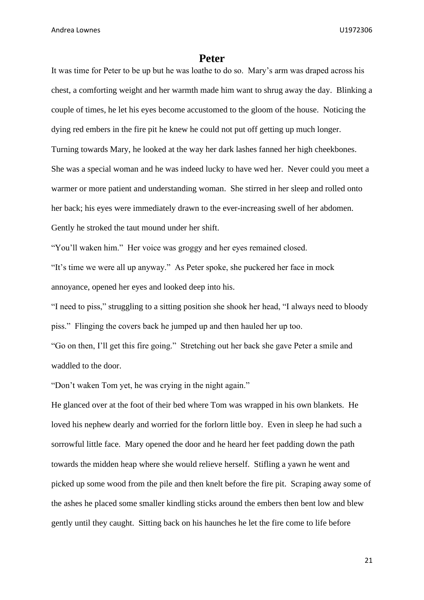#### **Peter**

<span id="page-21-0"></span>It was time for Peter to be up but he was loathe to do so. Mary's arm was draped across his chest, a comforting weight and her warmth made him want to shrug away the day. Blinking a couple of times, he let his eyes become accustomed to the gloom of the house. Noticing the dying red embers in the fire pit he knew he could not put off getting up much longer. Turning towards Mary, he looked at the way her dark lashes fanned her high cheekbones. She was a special woman and he was indeed lucky to have wed her. Never could you meet a warmer or more patient and understanding woman. She stirred in her sleep and rolled onto her back; his eyes were immediately drawn to the ever-increasing swell of her abdomen. Gently he stroked the taut mound under her shift.

"You'll waken him." Her voice was groggy and her eyes remained closed.

"It's time we were all up anyway." As Peter spoke, she puckered her face in mock annoyance, opened her eyes and looked deep into his.

"I need to piss," struggling to a sitting position she shook her head, "I always need to bloody piss." Flinging the covers back he jumped up and then hauled her up too.

"Go on then, I'll get this fire going." Stretching out her back she gave Peter a smile and waddled to the door.

"Don't waken Tom yet, he was crying in the night again."

He glanced over at the foot of their bed where Tom was wrapped in his own blankets. He loved his nephew dearly and worried for the forlorn little boy. Even in sleep he had such a sorrowful little face. Mary opened the door and he heard her feet padding down the path towards the midden heap where she would relieve herself. Stifling a yawn he went and picked up some wood from the pile and then knelt before the fire pit. Scraping away some of the ashes he placed some smaller kindling sticks around the embers then bent low and blew gently until they caught. Sitting back on his haunches he let the fire come to life before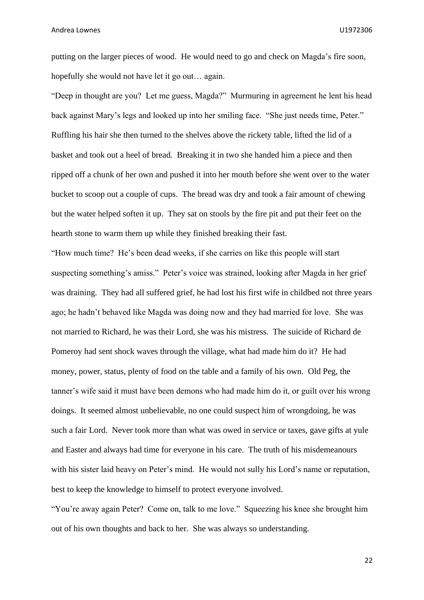putting on the larger pieces of wood. He would need to go and check on Magda's fire soon, hopefully she would not have let it go out… again.

"Deep in thought are you? Let me guess, Magda?" Murmuring in agreement he lent his head back against Mary's legs and looked up into her smiling face. "She just needs time, Peter." Ruffling his hair she then turned to the shelves above the rickety table, lifted the lid of a basket and took out a heel of bread. Breaking it in two she handed him a piece and then ripped off a chunk of her own and pushed it into her mouth before she went over to the water bucket to scoop out a couple of cups. The bread was dry and took a fair amount of chewing but the water helped soften it up. They sat on stools by the fire pit and put their feet on the hearth stone to warm them up while they finished breaking their fast.

"How much time? He's been dead weeks, if she carries on like this people will start suspecting something's amiss." Peter's voice was strained, looking after Magda in her grief was draining. They had all suffered grief, he had lost his first wife in childbed not three years ago; he hadn't behaved like Magda was doing now and they had married for love. She was not married to Richard, he was their Lord, she was his mistress. The suicide of Richard de Pomeroy had sent shock waves through the village, what had made him do it? He had money, power, status, plenty of food on the table and a family of his own. Old Peg, the tanner's wife said it must have been demons who had made him do it, or guilt over his wrong doings. It seemed almost unbelievable, no one could suspect him of wrongdoing, he was such a fair Lord. Never took more than what was owed in service or taxes, gave gifts at yule and Easter and always had time for everyone in his care. The truth of his misdemeanours with his sister laid heavy on Peter's mind. He would not sully his Lord's name or reputation, best to keep the knowledge to himself to protect everyone involved.

"You're away again Peter? Come on, talk to me love." Squeezing his knee she brought him out of his own thoughts and back to her. She was always so understanding.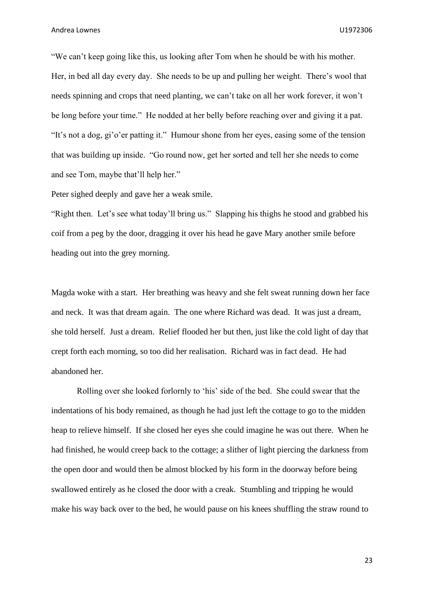"We can't keep going like this, us looking after Tom when he should be with his mother. Her, in bed all day every day. She needs to be up and pulling her weight. There's wool that needs spinning and crops that need planting, we can't take on all her work forever, it won't be long before your time." He nodded at her belly before reaching over and giving it a pat. "It's not a dog, gi'o'er patting it." Humour shone from her eyes, easing some of the tension that was building up inside. "Go round now, get her sorted and tell her she needs to come and see Tom, maybe that'll help her."

Peter sighed deeply and gave her a weak smile.

"Right then. Let's see what today'll bring us." Slapping his thighs he stood and grabbed his coif from a peg by the door, dragging it over his head he gave Mary another smile before heading out into the grey morning.

Magda woke with a start. Her breathing was heavy and she felt sweat running down her face and neck. It was that dream again. The one where Richard was dead. It was just a dream, she told herself. Just a dream. Relief flooded her but then, just like the cold light of day that crept forth each morning, so too did her realisation. Richard was in fact dead. He had abandoned her.

Rolling over she looked forlornly to 'his' side of the bed. She could swear that the indentations of his body remained, as though he had just left the cottage to go to the midden heap to relieve himself. If she closed her eyes she could imagine he was out there. When he had finished, he would creep back to the cottage; a slither of light piercing the darkness from the open door and would then be almost blocked by his form in the doorway before being swallowed entirely as he closed the door with a creak. Stumbling and tripping he would make his way back over to the bed, he would pause on his knees shuffling the straw round to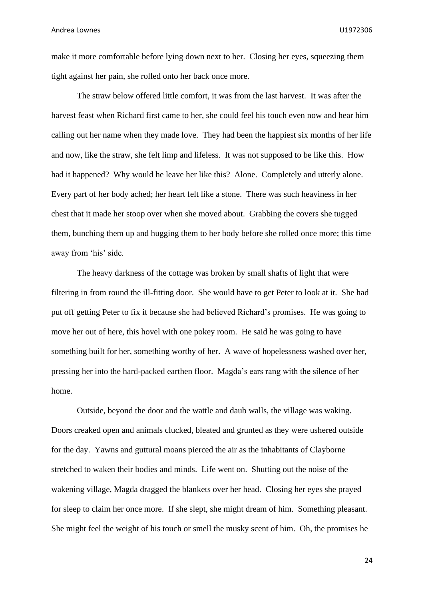make it more comfortable before lying down next to her. Closing her eyes, squeezing them tight against her pain, she rolled onto her back once more.

The straw below offered little comfort, it was from the last harvest. It was after the harvest feast when Richard first came to her, she could feel his touch even now and hear him calling out her name when they made love. They had been the happiest six months of her life and now, like the straw, she felt limp and lifeless. It was not supposed to be like this. How had it happened? Why would he leave her like this? Alone. Completely and utterly alone. Every part of her body ached; her heart felt like a stone. There was such heaviness in her chest that it made her stoop over when she moved about. Grabbing the covers she tugged them, bunching them up and hugging them to her body before she rolled once more; this time away from 'his' side.

The heavy darkness of the cottage was broken by small shafts of light that were filtering in from round the ill-fitting door. She would have to get Peter to look at it. She had put off getting Peter to fix it because she had believed Richard's promises. He was going to move her out of here, this hovel with one pokey room. He said he was going to have something built for her, something worthy of her. A wave of hopelessness washed over her, pressing her into the hard-packed earthen floor. Magda's ears rang with the silence of her home.

Outside, beyond the door and the wattle and daub walls, the village was waking. Doors creaked open and animals clucked, bleated and grunted as they were ushered outside for the day. Yawns and guttural moans pierced the air as the inhabitants of Clayborne stretched to waken their bodies and minds. Life went on. Shutting out the noise of the wakening village, Magda dragged the blankets over her head. Closing her eyes she prayed for sleep to claim her once more. If she slept, she might dream of him. Something pleasant. She might feel the weight of his touch or smell the musky scent of him. Oh, the promises he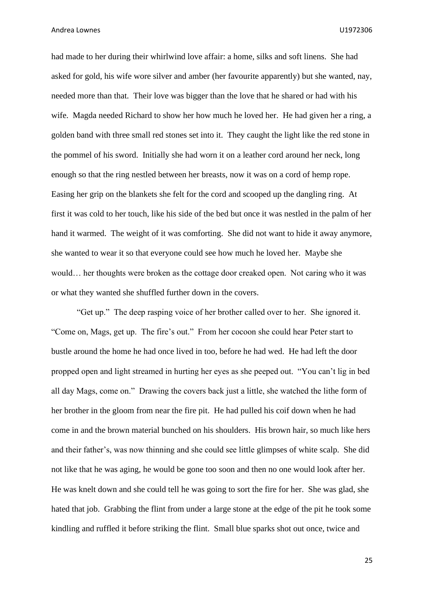had made to her during their whirlwind love affair: a home, silks and soft linens. She had asked for gold, his wife wore silver and amber (her favourite apparently) but she wanted, nay, needed more than that. Their love was bigger than the love that he shared or had with his wife. Magda needed Richard to show her how much he loved her. He had given her a ring, a golden band with three small red stones set into it. They caught the light like the red stone in the pommel of his sword. Initially she had worn it on a leather cord around her neck, long enough so that the ring nestled between her breasts, now it was on a cord of hemp rope. Easing her grip on the blankets she felt for the cord and scooped up the dangling ring. At first it was cold to her touch, like his side of the bed but once it was nestled in the palm of her hand it warmed. The weight of it was comforting. She did not want to hide it away anymore, she wanted to wear it so that everyone could see how much he loved her. Maybe she would… her thoughts were broken as the cottage door creaked open. Not caring who it was or what they wanted she shuffled further down in the covers.

"Get up." The deep rasping voice of her brother called over to her. She ignored it. "Come on, Mags, get up. The fire's out." From her cocoon she could hear Peter start to bustle around the home he had once lived in too, before he had wed. He had left the door propped open and light streamed in hurting her eyes as she peeped out. "You can't lig in bed all day Mags, come on." Drawing the covers back just a little, she watched the lithe form of her brother in the gloom from near the fire pit. He had pulled his coif down when he had come in and the brown material bunched on his shoulders. His brown hair, so much like hers and their father's, was now thinning and she could see little glimpses of white scalp. She did not like that he was aging, he would be gone too soon and then no one would look after her. He was knelt down and she could tell he was going to sort the fire for her. She was glad, she hated that job. Grabbing the flint from under a large stone at the edge of the pit he took some kindling and ruffled it before striking the flint. Small blue sparks shot out once, twice and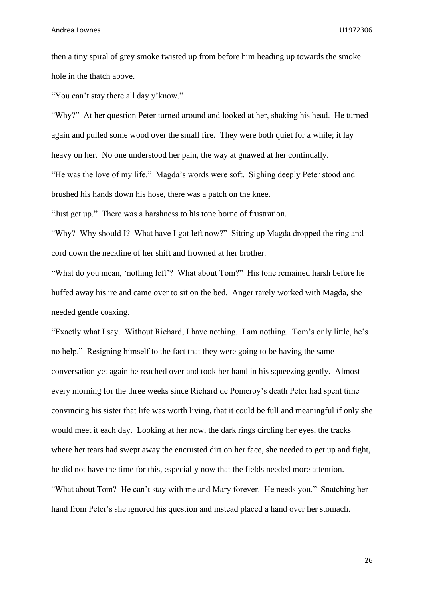then a tiny spiral of grey smoke twisted up from before him heading up towards the smoke hole in the thatch above.

"You can't stay there all day y'know."

"Why?" At her question Peter turned around and looked at her, shaking his head. He turned again and pulled some wood over the small fire. They were both quiet for a while; it lay heavy on her. No one understood her pain, the way at gnawed at her continually. "He was the love of my life." Magda's words were soft. Sighing deeply Peter stood and brushed his hands down his hose, there was a patch on the knee.

"Just get up." There was a harshness to his tone borne of frustration.

"Why? Why should I? What have I got left now?" Sitting up Magda dropped the ring and cord down the neckline of her shift and frowned at her brother.

"What do you mean, 'nothing left'? What about Tom?" His tone remained harsh before he huffed away his ire and came over to sit on the bed. Anger rarely worked with Magda, she needed gentle coaxing.

"Exactly what I say. Without Richard, I have nothing. I am nothing. Tom's only little, he's no help." Resigning himself to the fact that they were going to be having the same conversation yet again he reached over and took her hand in his squeezing gently. Almost every morning for the three weeks since Richard de Pomeroy's death Peter had spent time convincing his sister that life was worth living, that it could be full and meaningful if only she would meet it each day. Looking at her now, the dark rings circling her eyes, the tracks where her tears had swept away the encrusted dirt on her face, she needed to get up and fight, he did not have the time for this, especially now that the fields needed more attention. "What about Tom? He can't stay with me and Mary forever. He needs you." Snatching her hand from Peter's she ignored his question and instead placed a hand over her stomach.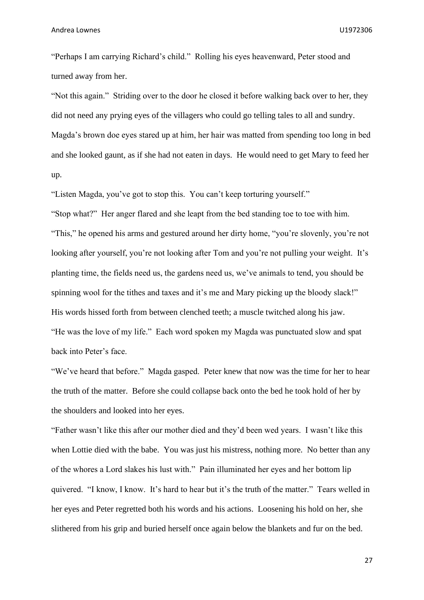"Perhaps I am carrying Richard's child." Rolling his eyes heavenward, Peter stood and turned away from her.

"Not this again." Striding over to the door he closed it before walking back over to her, they did not need any prying eyes of the villagers who could go telling tales to all and sundry. Magda's brown doe eyes stared up at him, her hair was matted from spending too long in bed and she looked gaunt, as if she had not eaten in days. He would need to get Mary to feed her up.

"Listen Magda, you've got to stop this. You can't keep torturing yourself."

"Stop what?" Her anger flared and she leapt from the bed standing toe to toe with him. "This," he opened his arms and gestured around her dirty home, "you're slovenly, you're not looking after yourself, you're not looking after Tom and you're not pulling your weight. It's planting time, the fields need us, the gardens need us, we've animals to tend, you should be spinning wool for the tithes and taxes and it's me and Mary picking up the bloody slack!" His words hissed forth from between clenched teeth; a muscle twitched along his jaw. "He was the love of my life." Each word spoken my Magda was punctuated slow and spat back into Peter's face.

"We've heard that before." Magda gasped. Peter knew that now was the time for her to hear the truth of the matter. Before she could collapse back onto the bed he took hold of her by the shoulders and looked into her eyes.

"Father wasn't like this after our mother died and they'd been wed years. I wasn't like this when Lottie died with the babe. You was just his mistress, nothing more. No better than any of the whores a Lord slakes his lust with." Pain illuminated her eyes and her bottom lip quivered. "I know, I know. It's hard to hear but it's the truth of the matter." Tears welled in her eyes and Peter regretted both his words and his actions. Loosening his hold on her, she slithered from his grip and buried herself once again below the blankets and fur on the bed.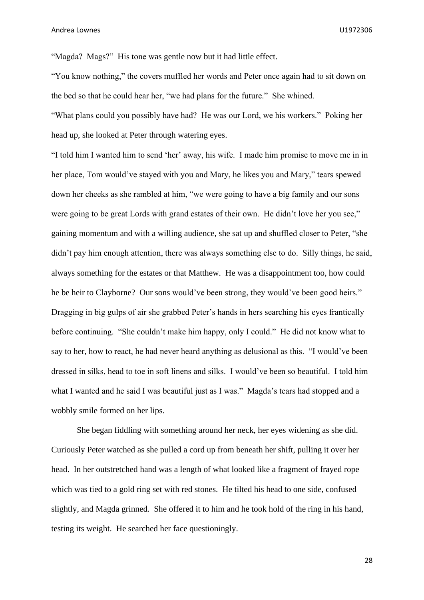"Magda? Mags?" His tone was gentle now but it had little effect.

"You know nothing," the covers muffled her words and Peter once again had to sit down on the bed so that he could hear her, "we had plans for the future." She whined. "What plans could you possibly have had? He was our Lord, we his workers." Poking her head up, she looked at Peter through watering eyes.

"I told him I wanted him to send 'her' away, his wife. I made him promise to move me in in her place, Tom would've stayed with you and Mary, he likes you and Mary," tears spewed down her cheeks as she rambled at him, "we were going to have a big family and our sons were going to be great Lords with grand estates of their own. He didn't love her you see," gaining momentum and with a willing audience, she sat up and shuffled closer to Peter, "she didn't pay him enough attention, there was always something else to do. Silly things, he said, always something for the estates or that Matthew. He was a disappointment too, how could he be heir to Clayborne? Our sons would've been strong, they would've been good heirs." Dragging in big gulps of air she grabbed Peter's hands in hers searching his eyes frantically before continuing. "She couldn't make him happy, only I could." He did not know what to say to her, how to react, he had never heard anything as delusional as this. "I would've been dressed in silks, head to toe in soft linens and silks. I would've been so beautiful. I told him what I wanted and he said I was beautiful just as I was." Magda's tears had stopped and a wobbly smile formed on her lips.

She began fiddling with something around her neck, her eyes widening as she did. Curiously Peter watched as she pulled a cord up from beneath her shift, pulling it over her head. In her outstretched hand was a length of what looked like a fragment of frayed rope which was tied to a gold ring set with red stones. He tilted his head to one side, confused slightly, and Magda grinned. She offered it to him and he took hold of the ring in his hand, testing its weight. He searched her face questioningly.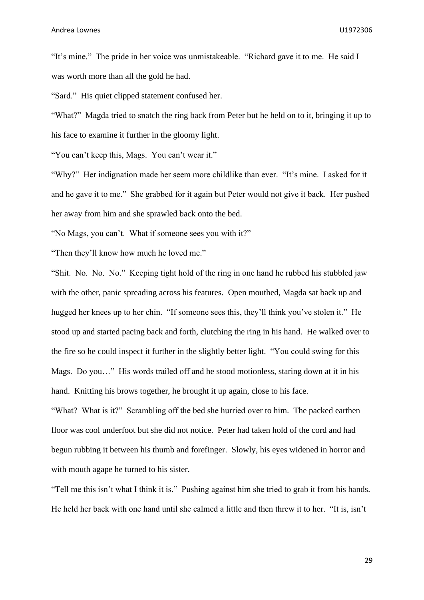"It's mine." The pride in her voice was unmistakeable. "Richard gave it to me. He said I was worth more than all the gold he had.

"Sard." His quiet clipped statement confused her.

"What?" Magda tried to snatch the ring back from Peter but he held on to it, bringing it up to his face to examine it further in the gloomy light.

"You can't keep this, Mags. You can't wear it."

"Why?" Her indignation made her seem more childlike than ever. "It's mine. I asked for it and he gave it to me." She grabbed for it again but Peter would not give it back. Her pushed her away from him and she sprawled back onto the bed.

"No Mags, you can't. What if someone sees you with it?"

"Then they'll know how much he loved me."

"Shit. No. No. No." Keeping tight hold of the ring in one hand he rubbed his stubbled jaw with the other, panic spreading across his features. Open mouthed, Magda sat back up and hugged her knees up to her chin. "If someone sees this, they'll think you've stolen it." He stood up and started pacing back and forth, clutching the ring in his hand. He walked over to the fire so he could inspect it further in the slightly better light. "You could swing for this Mags. Do you…" His words trailed off and he stood motionless, staring down at it in his hand. Knitting his brows together, he brought it up again, close to his face.

"What? What is it?" Scrambling off the bed she hurried over to him. The packed earthen floor was cool underfoot but she did not notice. Peter had taken hold of the cord and had begun rubbing it between his thumb and forefinger. Slowly, his eyes widened in horror and with mouth agape he turned to his sister.

"Tell me this isn't what I think it is." Pushing against him she tried to grab it from his hands. He held her back with one hand until she calmed a little and then threw it to her. "It is, isn't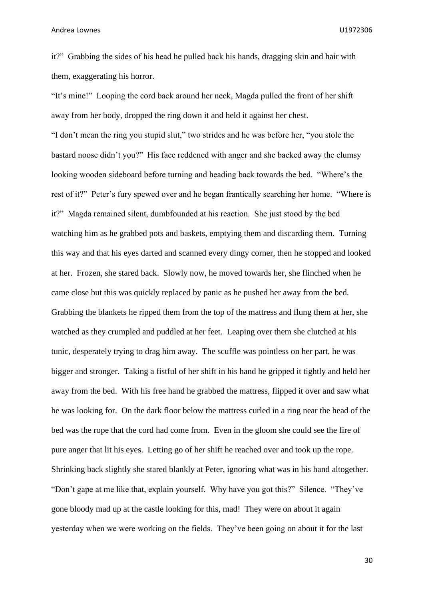it?" Grabbing the sides of his head he pulled back his hands, dragging skin and hair with them, exaggerating his horror.

"It's mine!" Looping the cord back around her neck, Magda pulled the front of her shift

away from her body, dropped the ring down it and held it against her chest. "I don't mean the ring you stupid slut," two strides and he was before her, "you stole the bastard noose didn't you?" His face reddened with anger and she backed away the clumsy looking wooden sideboard before turning and heading back towards the bed. "Where's the rest of it?" Peter's fury spewed over and he began frantically searching her home. "Where is it?" Magda remained silent, dumbfounded at his reaction. She just stood by the bed watching him as he grabbed pots and baskets, emptying them and discarding them. Turning this way and that his eyes darted and scanned every dingy corner, then he stopped and looked at her. Frozen, she stared back. Slowly now, he moved towards her, she flinched when he came close but this was quickly replaced by panic as he pushed her away from the bed. Grabbing the blankets he ripped them from the top of the mattress and flung them at her, she watched as they crumpled and puddled at her feet. Leaping over them she clutched at his tunic, desperately trying to drag him away. The scuffle was pointless on her part, he was bigger and stronger. Taking a fistful of her shift in his hand he gripped it tightly and held her away from the bed. With his free hand he grabbed the mattress, flipped it over and saw what he was looking for. On the dark floor below the mattress curled in a ring near the head of the bed was the rope that the cord had come from. Even in the gloom she could see the fire of pure anger that lit his eyes. Letting go of her shift he reached over and took up the rope. Shrinking back slightly she stared blankly at Peter, ignoring what was in his hand altogether. "Don't gape at me like that, explain yourself. Why have you got this?" Silence. "They've gone bloody mad up at the castle looking for this, mad! They were on about it again yesterday when we were working on the fields. They've been going on about it for the last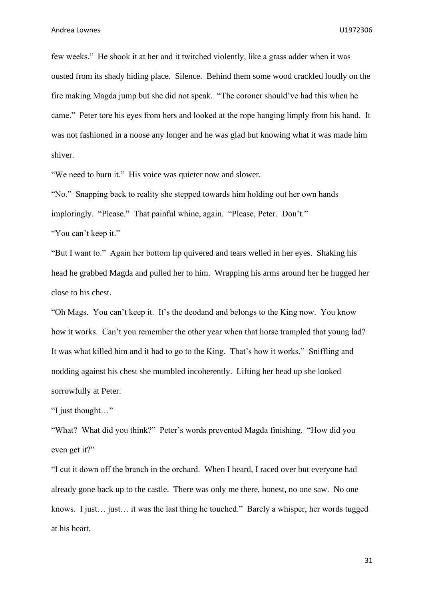few weeks." He shook it at her and it twitched violently, like a grass adder when it was ousted from its shady hiding place. Silence. Behind them some wood crackled loudly on the fire making Magda jump but she did not speak. "The coroner should've had this when he came." Peter tore his eyes from hers and looked at the rope hanging limply from his hand. It was not fashioned in a noose any longer and he was glad but knowing what it was made him shiver.

"We need to burn it." His voice was quieter now and slower.

"No." Snapping back to reality she stepped towards him holding out her own hands imploringly. "Please." That painful whine, again. "Please, Peter. Don't." "You can't keep it."

"But I want to." Again her bottom lip quivered and tears welled in her eyes. Shaking his head he grabbed Magda and pulled her to him. Wrapping his arms around her he hugged her close to his chest.

"Oh Mags. You can't keep it. It's the deodand and belongs to the King now. You know how it works. Can't you remember the other year when that horse trampled that young lad? It was what killed him and it had to go to the King. That's how it works." Sniffling and nodding against his chest she mumbled incoherently. Lifting her head up she looked sorrowfully at Peter.

"I just thought…"

"What? What did you think?" Peter's words prevented Magda finishing. "How did you even get it?"

"I cut it down off the branch in the orchard. When I heard, I raced over but everyone had already gone back up to the castle. There was only me there, honest, no one saw. No one knows. I just… just… it was the last thing he touched." Barely a whisper, her words tugged at his heart.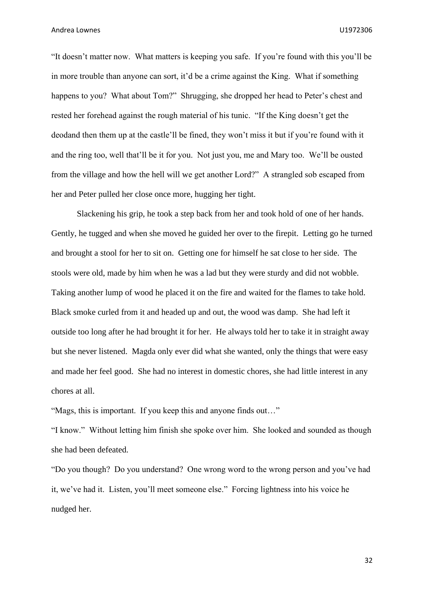"It doesn't matter now. What matters is keeping you safe. If you're found with this you'll be in more trouble than anyone can sort, it'd be a crime against the King. What if something happens to you? What about Tom?" Shrugging, she dropped her head to Peter's chest and rested her forehead against the rough material of his tunic. "If the King doesn't get the deodand then them up at the castle'll be fined, they won't miss it but if you're found with it and the ring too, well that'll be it for you. Not just you, me and Mary too. We'll be ousted from the village and how the hell will we get another Lord?" A strangled sob escaped from her and Peter pulled her close once more, hugging her tight.

Slackening his grip, he took a step back from her and took hold of one of her hands. Gently, he tugged and when she moved he guided her over to the firepit. Letting go he turned and brought a stool for her to sit on. Getting one for himself he sat close to her side. The stools were old, made by him when he was a lad but they were sturdy and did not wobble. Taking another lump of wood he placed it on the fire and waited for the flames to take hold. Black smoke curled from it and headed up and out, the wood was damp. She had left it outside too long after he had brought it for her. He always told her to take it in straight away but she never listened. Magda only ever did what she wanted, only the things that were easy and made her feel good. She had no interest in domestic chores, she had little interest in any chores at all.

"Mags, this is important. If you keep this and anyone finds out…"

"I know." Without letting him finish she spoke over him. She looked and sounded as though she had been defeated.

"Do you though? Do you understand? One wrong word to the wrong person and you've had it, we've had it. Listen, you'll meet someone else." Forcing lightness into his voice he nudged her.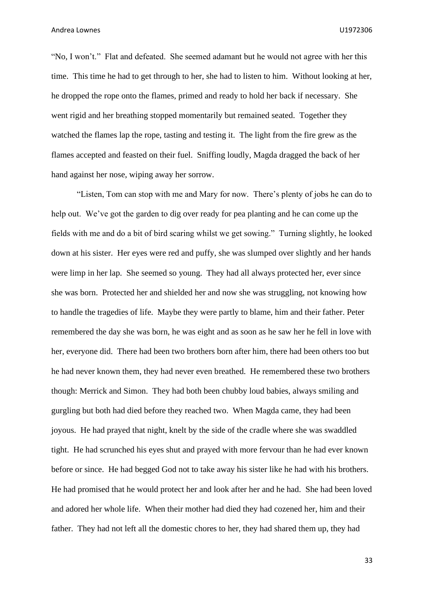"No, I won't." Flat and defeated. She seemed adamant but he would not agree with her this time. This time he had to get through to her, she had to listen to him. Without looking at her, he dropped the rope onto the flames, primed and ready to hold her back if necessary. She went rigid and her breathing stopped momentarily but remained seated. Together they watched the flames lap the rope, tasting and testing it. The light from the fire grew as the flames accepted and feasted on their fuel. Sniffing loudly, Magda dragged the back of her hand against her nose, wiping away her sorrow.

"Listen, Tom can stop with me and Mary for now. There's plenty of jobs he can do to help out. We've got the garden to dig over ready for pea planting and he can come up the fields with me and do a bit of bird scaring whilst we get sowing." Turning slightly, he looked down at his sister. Her eyes were red and puffy, she was slumped over slightly and her hands were limp in her lap. She seemed so young. They had all always protected her, ever since she was born. Protected her and shielded her and now she was struggling, not knowing how to handle the tragedies of life. Maybe they were partly to blame, him and their father. Peter remembered the day she was born, he was eight and as soon as he saw her he fell in love with her, everyone did. There had been two brothers born after him, there had been others too but he had never known them, they had never even breathed. He remembered these two brothers though: Merrick and Simon. They had both been chubby loud babies, always smiling and gurgling but both had died before they reached two. When Magda came, they had been joyous. He had prayed that night, knelt by the side of the cradle where she was swaddled tight. He had scrunched his eyes shut and prayed with more fervour than he had ever known before or since. He had begged God not to take away his sister like he had with his brothers. He had promised that he would protect her and look after her and he had. She had been loved and adored her whole life. When their mother had died they had cozened her, him and their father. They had not left all the domestic chores to her, they had shared them up, they had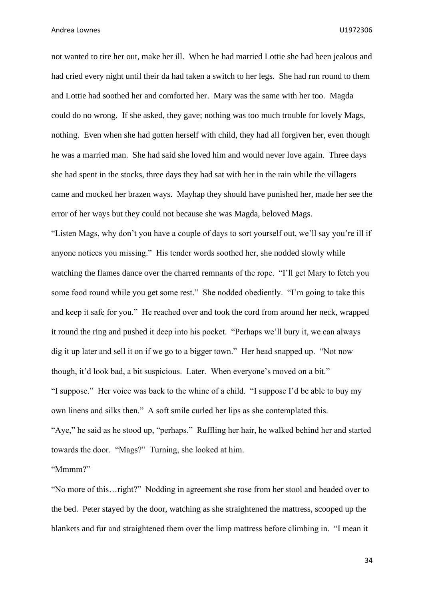not wanted to tire her out, make her ill. When he had married Lottie she had been jealous and had cried every night until their da had taken a switch to her legs. She had run round to them and Lottie had soothed her and comforted her. Mary was the same with her too. Magda could do no wrong. If she asked, they gave; nothing was too much trouble for lovely Mags, nothing. Even when she had gotten herself with child, they had all forgiven her, even though he was a married man. She had said she loved him and would never love again. Three days she had spent in the stocks, three days they had sat with her in the rain while the villagers came and mocked her brazen ways. Mayhap they should have punished her, made her see the error of her ways but they could not because she was Magda, beloved Mags.

"Listen Mags, why don't you have a couple of days to sort yourself out, we'll say you're ill if anyone notices you missing." His tender words soothed her, she nodded slowly while watching the flames dance over the charred remnants of the rope. "I'll get Mary to fetch you some food round while you get some rest." She nodded obediently. "I'm going to take this and keep it safe for you." He reached over and took the cord from around her neck, wrapped it round the ring and pushed it deep into his pocket. "Perhaps we'll bury it, we can always dig it up later and sell it on if we go to a bigger town." Her head snapped up. "Not now though, it'd look bad, a bit suspicious. Later. When everyone's moved on a bit." "I suppose." Her voice was back to the whine of a child. "I suppose I'd be able to buy my own linens and silks then." A soft smile curled her lips as she contemplated this. "Aye," he said as he stood up, "perhaps." Ruffling her hair, he walked behind her and started towards the door. "Mags?" Turning, she looked at him.

"Mmmm?"

"No more of this…right?" Nodding in agreement she rose from her stool and headed over to the bed. Peter stayed by the door, watching as she straightened the mattress, scooped up the blankets and fur and straightened them over the limp mattress before climbing in. "I mean it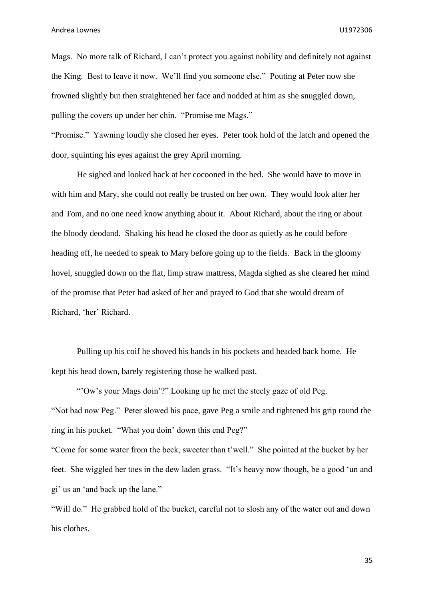Mags. No more talk of Richard, I can't protect you against nobility and definitely not against the King. Best to leave it now. We'll find you someone else." Pouting at Peter now she frowned slightly but then straightened her face and nodded at him as she snuggled down, pulling the covers up under her chin. "Promise me Mags."

"Promise." Yawning loudly she closed her eyes. Peter took hold of the latch and opened the door, squinting his eyes against the grey April morning.

He sighed and looked back at her cocooned in the bed. She would have to move in with him and Mary, she could not really be trusted on her own. They would look after her and Tom, and no one need know anything about it. About Richard, about the ring or about the bloody deodand. Shaking his head he closed the door as quietly as he could before heading off, he needed to speak to Mary before going up to the fields. Back in the gloomy hovel, snuggled down on the flat, limp straw mattress, Magda sighed as she cleared her mind of the promise that Peter had asked of her and prayed to God that she would dream of Richard, 'her' Richard.

Pulling up his coif he shoved his hands in his pockets and headed back home. He kept his head down, barely registering those he walked past.

"'Ow's your Mags doin'?" Looking up he met the steely gaze of old Peg. "Not bad now Peg." Peter slowed his pace, gave Peg a smile and tightened his grip round the ring in his pocket. "What you doin' down this end Peg?"

"Come for some water from the beck, sweeter than t'well." She pointed at the bucket by her feet. She wiggled her toes in the dew laden grass. "It's heavy now though, be a good 'un and gi' us an 'and back up the lane."

"Will do." He grabbed hold of the bucket, careful not to slosh any of the water out and down his clothes.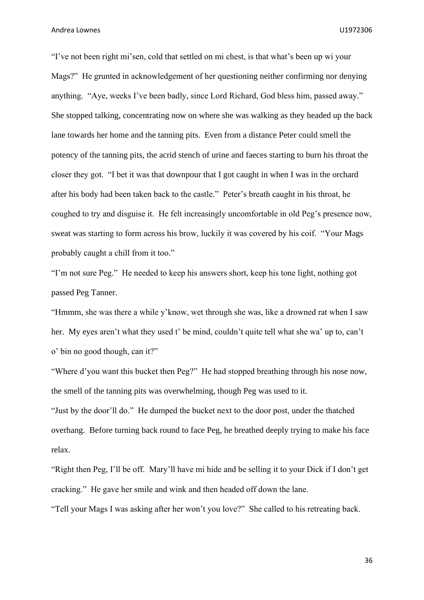"I've not been right mi'sen, cold that settled on mi chest, is that what's been up wi your Mags?" He grunted in acknowledgement of her questioning neither confirming nor denying anything. "Aye, weeks I've been badly, since Lord Richard, God bless him, passed away." She stopped talking, concentrating now on where she was walking as they headed up the back lane towards her home and the tanning pits. Even from a distance Peter could smell the potency of the tanning pits, the acrid stench of urine and faeces starting to burn his throat the closer they got. "I bet it was that downpour that I got caught in when I was in the orchard after his body had been taken back to the castle." Peter's breath caught in his throat, he coughed to try and disguise it. He felt increasingly uncomfortable in old Peg's presence now, sweat was starting to form across his brow, luckily it was covered by his coif. "Your Mags probably caught a chill from it too."

"I'm not sure Peg." He needed to keep his answers short, keep his tone light, nothing got passed Peg Tanner.

"Hmmm, she was there a while y'know, wet through she was, like a drowned rat when I saw her. My eyes aren't what they used t' be mind, couldn't quite tell what she wa' up to, can't o' bin no good though, can it?"

"Where d'you want this bucket then Peg?" He had stopped breathing through his nose now, the smell of the tanning pits was overwhelming, though Peg was used to it.

"Just by the door'll do." He dumped the bucket next to the door post, under the thatched overhang. Before turning back round to face Peg, he breathed deeply trying to make his face relax.

"Right then Peg, I'll be off. Mary'll have mi hide and be selling it to your Dick if I don't get cracking." He gave her smile and wink and then headed off down the lane.

"Tell your Mags I was asking after her won't you love?" She called to his retreating back.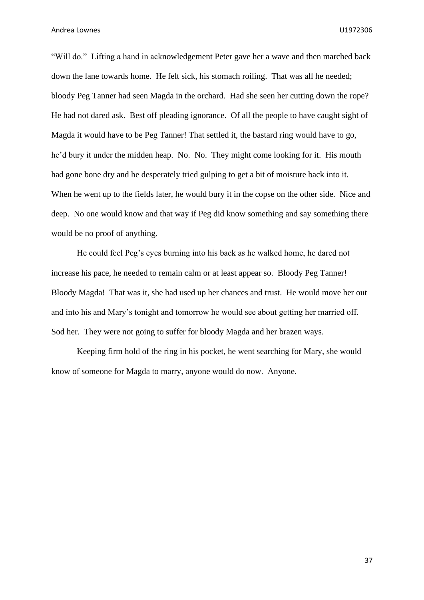"Will do." Lifting a hand in acknowledgement Peter gave her a wave and then marched back down the lane towards home. He felt sick, his stomach roiling. That was all he needed; bloody Peg Tanner had seen Magda in the orchard. Had she seen her cutting down the rope? He had not dared ask. Best off pleading ignorance. Of all the people to have caught sight of Magda it would have to be Peg Tanner! That settled it, the bastard ring would have to go, he'd bury it under the midden heap. No. No. They might come looking for it. His mouth had gone bone dry and he desperately tried gulping to get a bit of moisture back into it. When he went up to the fields later, he would bury it in the copse on the other side. Nice and deep. No one would know and that way if Peg did know something and say something there would be no proof of anything.

He could feel Peg's eyes burning into his back as he walked home, he dared not increase his pace, he needed to remain calm or at least appear so. Bloody Peg Tanner! Bloody Magda! That was it, she had used up her chances and trust. He would move her out and into his and Mary's tonight and tomorrow he would see about getting her married off. Sod her. They were not going to suffer for bloody Magda and her brazen ways.

Keeping firm hold of the ring in his pocket, he went searching for Mary, she would know of someone for Magda to marry, anyone would do now. Anyone.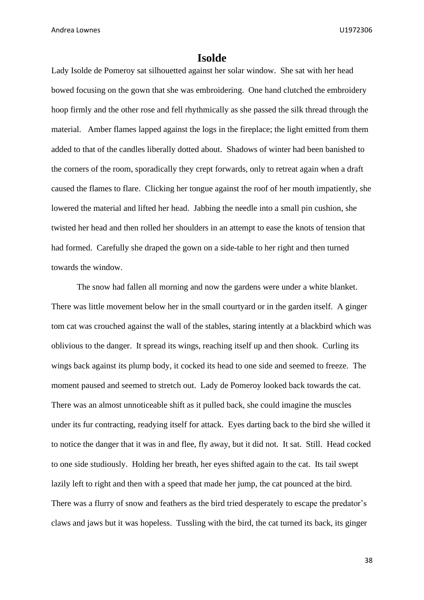## **Isolde**

Lady Isolde de Pomeroy sat silhouetted against her solar window. She sat with her head bowed focusing on the gown that she was embroidering. One hand clutched the embroidery hoop firmly and the other rose and fell rhythmically as she passed the silk thread through the material. Amber flames lapped against the logs in the fireplace; the light emitted from them added to that of the candles liberally dotted about. Shadows of winter had been banished to the corners of the room, sporadically they crept forwards, only to retreat again when a draft caused the flames to flare. Clicking her tongue against the roof of her mouth impatiently, she lowered the material and lifted her head. Jabbing the needle into a small pin cushion, she twisted her head and then rolled her shoulders in an attempt to ease the knots of tension that had formed. Carefully she draped the gown on a side-table to her right and then turned towards the window.

The snow had fallen all morning and now the gardens were under a white blanket. There was little movement below her in the small courtyard or in the garden itself. A ginger tom cat was crouched against the wall of the stables, staring intently at a blackbird which was oblivious to the danger. It spread its wings, reaching itself up and then shook. Curling its wings back against its plump body, it cocked its head to one side and seemed to freeze. The moment paused and seemed to stretch out. Lady de Pomeroy looked back towards the cat. There was an almost unnoticeable shift as it pulled back, she could imagine the muscles under its fur contracting, readying itself for attack. Eyes darting back to the bird she willed it to notice the danger that it was in and flee, fly away, but it did not. It sat. Still. Head cocked to one side studiously. Holding her breath, her eyes shifted again to the cat. Its tail swept lazily left to right and then with a speed that made her jump, the cat pounced at the bird. There was a flurry of snow and feathers as the bird tried desperately to escape the predator's claws and jaws but it was hopeless. Tussling with the bird, the cat turned its back, its ginger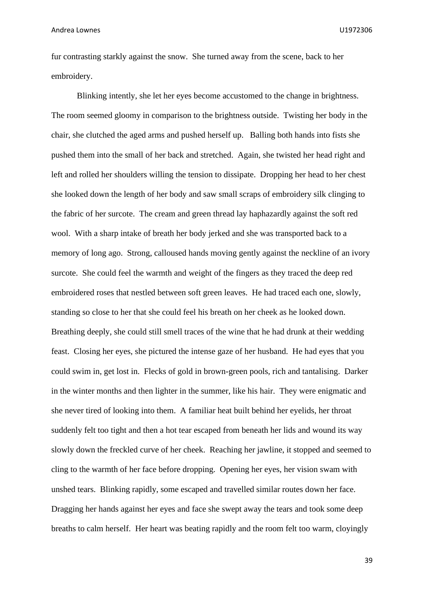fur contrasting starkly against the snow. She turned away from the scene, back to her embroidery.

Blinking intently, she let her eyes become accustomed to the change in brightness. The room seemed gloomy in comparison to the brightness outside. Twisting her body in the chair, she clutched the aged arms and pushed herself up. Balling both hands into fists she pushed them into the small of her back and stretched. Again, she twisted her head right and left and rolled her shoulders willing the tension to dissipate. Dropping her head to her chest she looked down the length of her body and saw small scraps of embroidery silk clinging to the fabric of her surcote. The cream and green thread lay haphazardly against the soft red wool. With a sharp intake of breath her body jerked and she was transported back to a memory of long ago. Strong, calloused hands moving gently against the neckline of an ivory surcote. She could feel the warmth and weight of the fingers as they traced the deep red embroidered roses that nestled between soft green leaves. He had traced each one, slowly, standing so close to her that she could feel his breath on her cheek as he looked down. Breathing deeply, she could still smell traces of the wine that he had drunk at their wedding feast. Closing her eyes, she pictured the intense gaze of her husband. He had eyes that you could swim in, get lost in. Flecks of gold in brown-green pools, rich and tantalising. Darker in the winter months and then lighter in the summer, like his hair. They were enigmatic and she never tired of looking into them. A familiar heat built behind her eyelids, her throat suddenly felt too tight and then a hot tear escaped from beneath her lids and wound its way slowly down the freckled curve of her cheek. Reaching her jawline, it stopped and seemed to cling to the warmth of her face before dropping. Opening her eyes, her vision swam with unshed tears. Blinking rapidly, some escaped and travelled similar routes down her face. Dragging her hands against her eyes and face she swept away the tears and took some deep breaths to calm herself. Her heart was beating rapidly and the room felt too warm, cloyingly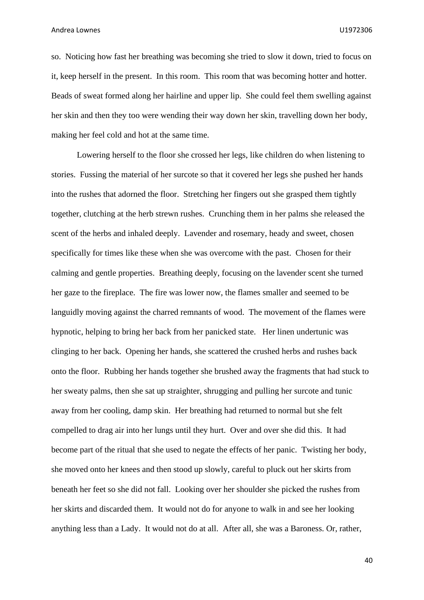so. Noticing how fast her breathing was becoming she tried to slow it down, tried to focus on it, keep herself in the present. In this room. This room that was becoming hotter and hotter. Beads of sweat formed along her hairline and upper lip. She could feel them swelling against her skin and then they too were wending their way down her skin, travelling down her body, making her feel cold and hot at the same time.

Lowering herself to the floor she crossed her legs, like children do when listening to stories. Fussing the material of her surcote so that it covered her legs she pushed her hands into the rushes that adorned the floor. Stretching her fingers out she grasped them tightly together, clutching at the herb strewn rushes. Crunching them in her palms she released the scent of the herbs and inhaled deeply. Lavender and rosemary, heady and sweet, chosen specifically for times like these when she was overcome with the past. Chosen for their calming and gentle properties. Breathing deeply, focusing on the lavender scent she turned her gaze to the fireplace. The fire was lower now, the flames smaller and seemed to be languidly moving against the charred remnants of wood. The movement of the flames were hypnotic, helping to bring her back from her panicked state. Her linen undertunic was clinging to her back. Opening her hands, she scattered the crushed herbs and rushes back onto the floor. Rubbing her hands together she brushed away the fragments that had stuck to her sweaty palms, then she sat up straighter, shrugging and pulling her surcote and tunic away from her cooling, damp skin. Her breathing had returned to normal but she felt compelled to drag air into her lungs until they hurt. Over and over she did this. It had become part of the ritual that she used to negate the effects of her panic. Twisting her body, she moved onto her knees and then stood up slowly, careful to pluck out her skirts from beneath her feet so she did not fall. Looking over her shoulder she picked the rushes from her skirts and discarded them. It would not do for anyone to walk in and see her looking anything less than a Lady. It would not do at all. After all, she was a Baroness. Or, rather,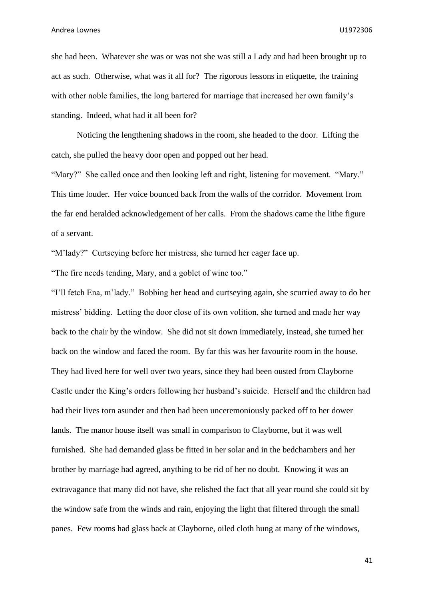she had been. Whatever she was or was not she was still a Lady and had been brought up to act as such. Otherwise, what was it all for? The rigorous lessons in etiquette, the training with other noble families, the long bartered for marriage that increased her own family's standing. Indeed, what had it all been for?

Noticing the lengthening shadows in the room, she headed to the door. Lifting the catch, she pulled the heavy door open and popped out her head.

"Mary?" She called once and then looking left and right, listening for movement. "Mary." This time louder. Her voice bounced back from the walls of the corridor. Movement from the far end heralded acknowledgement of her calls. From the shadows came the lithe figure of a servant.

"M'lady?" Curtseying before her mistress, she turned her eager face up.

"The fire needs tending, Mary, and a goblet of wine too."

"I'll fetch Ena, m'lady." Bobbing her head and curtseying again, she scurried away to do her mistress' bidding. Letting the door close of its own volition, she turned and made her way back to the chair by the window. She did not sit down immediately, instead, she turned her back on the window and faced the room. By far this was her favourite room in the house. They had lived here for well over two years, since they had been ousted from Clayborne Castle under the King's orders following her husband's suicide. Herself and the children had had their lives torn asunder and then had been unceremoniously packed off to her dower lands. The manor house itself was small in comparison to Clayborne, but it was well furnished. She had demanded glass be fitted in her solar and in the bedchambers and her brother by marriage had agreed, anything to be rid of her no doubt. Knowing it was an extravagance that many did not have, she relished the fact that all year round she could sit by the window safe from the winds and rain, enjoying the light that filtered through the small panes. Few rooms had glass back at Clayborne, oiled cloth hung at many of the windows,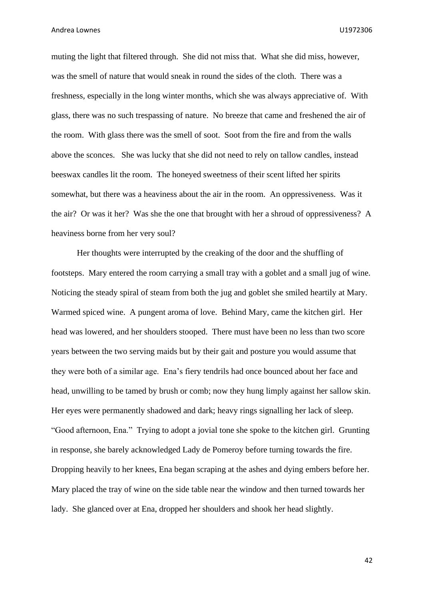muting the light that filtered through. She did not miss that. What she did miss, however, was the smell of nature that would sneak in round the sides of the cloth. There was a freshness, especially in the long winter months, which she was always appreciative of. With glass, there was no such trespassing of nature. No breeze that came and freshened the air of the room. With glass there was the smell of soot. Soot from the fire and from the walls above the sconces. She was lucky that she did not need to rely on tallow candles, instead beeswax candles lit the room. The honeyed sweetness of their scent lifted her spirits somewhat, but there was a heaviness about the air in the room. An oppressiveness. Was it the air? Or was it her? Was she the one that brought with her a shroud of oppressiveness? A heaviness borne from her very soul?

Her thoughts were interrupted by the creaking of the door and the shuffling of footsteps. Mary entered the room carrying a small tray with a goblet and a small jug of wine. Noticing the steady spiral of steam from both the jug and goblet she smiled heartily at Mary. Warmed spiced wine. A pungent aroma of love. Behind Mary, came the kitchen girl. Her head was lowered, and her shoulders stooped. There must have been no less than two score years between the two serving maids but by their gait and posture you would assume that they were both of a similar age. Ena's fiery tendrils had once bounced about her face and head, unwilling to be tamed by brush or comb; now they hung limply against her sallow skin. Her eyes were permanently shadowed and dark; heavy rings signalling her lack of sleep. "Good afternoon, Ena." Trying to adopt a jovial tone she spoke to the kitchen girl. Grunting in response, she barely acknowledged Lady de Pomeroy before turning towards the fire. Dropping heavily to her knees, Ena began scraping at the ashes and dying embers before her. Mary placed the tray of wine on the side table near the window and then turned towards her lady. She glanced over at Ena, dropped her shoulders and shook her head slightly.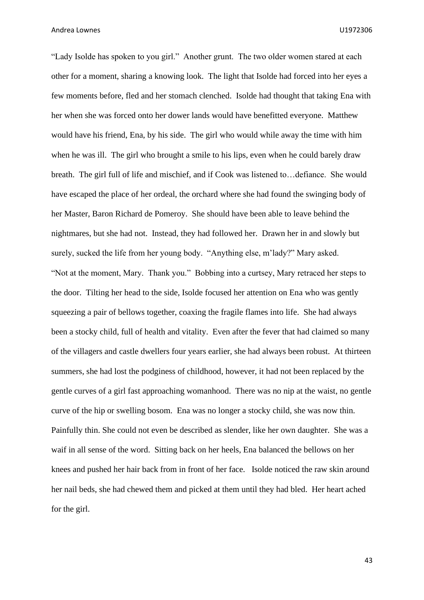"Lady Isolde has spoken to you girl." Another grunt. The two older women stared at each other for a moment, sharing a knowing look. The light that Isolde had forced into her eyes a few moments before, fled and her stomach clenched. Isolde had thought that taking Ena with her when she was forced onto her dower lands would have benefitted everyone. Matthew would have his friend, Ena, by his side. The girl who would while away the time with him when he was ill. The girl who brought a smile to his lips, even when he could barely draw breath. The girl full of life and mischief, and if Cook was listened to…defiance. She would have escaped the place of her ordeal, the orchard where she had found the swinging body of her Master, Baron Richard de Pomeroy. She should have been able to leave behind the nightmares, but she had not. Instead, they had followed her. Drawn her in and slowly but surely, sucked the life from her young body. "Anything else, m'lady?" Mary asked. "Not at the moment, Mary. Thank you." Bobbing into a curtsey, Mary retraced her steps to the door. Tilting her head to the side, Isolde focused her attention on Ena who was gently squeezing a pair of bellows together, coaxing the fragile flames into life. She had always been a stocky child, full of health and vitality. Even after the fever that had claimed so many of the villagers and castle dwellers four years earlier, she had always been robust. At thirteen summers, she had lost the podginess of childhood, however, it had not been replaced by the gentle curves of a girl fast approaching womanhood. There was no nip at the waist, no gentle curve of the hip or swelling bosom. Ena was no longer a stocky child, she was now thin. Painfully thin. She could not even be described as slender, like her own daughter. She was a waif in all sense of the word. Sitting back on her heels, Ena balanced the bellows on her knees and pushed her hair back from in front of her face. Isolde noticed the raw skin around her nail beds, she had chewed them and picked at them until they had bled. Her heart ached for the girl.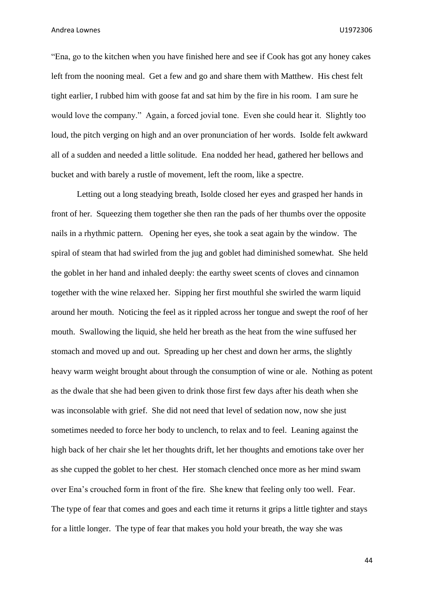"Ena, go to the kitchen when you have finished here and see if Cook has got any honey cakes left from the nooning meal. Get a few and go and share them with Matthew. His chest felt tight earlier, I rubbed him with goose fat and sat him by the fire in his room. I am sure he would love the company." Again, a forced jovial tone. Even she could hear it. Slightly too loud, the pitch verging on high and an over pronunciation of her words. Isolde felt awkward all of a sudden and needed a little solitude. Ena nodded her head, gathered her bellows and bucket and with barely a rustle of movement, left the room, like a spectre.

Letting out a long steadying breath, Isolde closed her eyes and grasped her hands in front of her. Squeezing them together she then ran the pads of her thumbs over the opposite nails in a rhythmic pattern. Opening her eyes, she took a seat again by the window. The spiral of steam that had swirled from the jug and goblet had diminished somewhat. She held the goblet in her hand and inhaled deeply: the earthy sweet scents of cloves and cinnamon together with the wine relaxed her. Sipping her first mouthful she swirled the warm liquid around her mouth. Noticing the feel as it rippled across her tongue and swept the roof of her mouth. Swallowing the liquid, she held her breath as the heat from the wine suffused her stomach and moved up and out. Spreading up her chest and down her arms, the slightly heavy warm weight brought about through the consumption of wine or ale. Nothing as potent as the dwale that she had been given to drink those first few days after his death when she was inconsolable with grief. She did not need that level of sedation now, now she just sometimes needed to force her body to unclench, to relax and to feel. Leaning against the high back of her chair she let her thoughts drift, let her thoughts and emotions take over her as she cupped the goblet to her chest. Her stomach clenched once more as her mind swam over Ena's crouched form in front of the fire. She knew that feeling only too well. Fear. The type of fear that comes and goes and each time it returns it grips a little tighter and stays for a little longer. The type of fear that makes you hold your breath, the way she was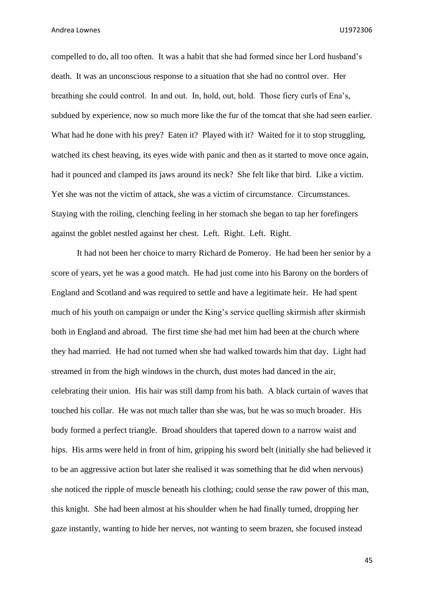compelled to do, all too often. It was a habit that she had formed since her Lord husband's death. It was an unconscious response to a situation that she had no control over. Her breathing she could control. In and out. In, hold, out, hold. Those fiery curls of Ena's, subdued by experience, now so much more like the fur of the tomcat that she had seen earlier. What had he done with his prey? Eaten it? Played with it? Waited for it to stop struggling, watched its chest heaving, its eyes wide with panic and then as it started to move once again, had it pounced and clamped its jaws around its neck? She felt like that bird. Like a victim. Yet she was not the victim of attack, she was a victim of circumstance. Circumstances. Staying with the roiling, clenching feeling in her stomach she began to tap her forefingers against the goblet nestled against her chest. Left. Right. Left. Right.

It had not been her choice to marry Richard de Pomeroy. He had been her senior by a score of years, yet he was a good match. He had just come into his Barony on the borders of England and Scotland and was required to settle and have a legitimate heir. He had spent much of his youth on campaign or under the King's service quelling skirmish after skirmish both in England and abroad. The first time she had met him had been at the church where they had married. He had not turned when she had walked towards him that day. Light had streamed in from the high windows in the church, dust motes had danced in the air, celebrating their union. His hair was still damp from his bath. A black curtain of waves that touched his collar. He was not much taller than she was, but he was so much broader. His body formed a perfect triangle. Broad shoulders that tapered down to a narrow waist and hips. His arms were held in front of him, gripping his sword belt (initially she had believed it to be an aggressive action but later she realised it was something that he did when nervous) she noticed the ripple of muscle beneath his clothing; could sense the raw power of this man, this knight. She had been almost at his shoulder when he had finally turned, dropping her gaze instantly, wanting to hide her nerves, not wanting to seem brazen, she focused instead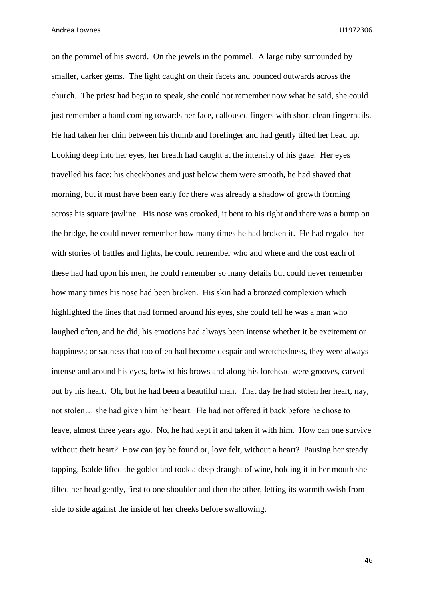on the pommel of his sword. On the jewels in the pommel. A large ruby surrounded by smaller, darker gems. The light caught on their facets and bounced outwards across the church. The priest had begun to speak, she could not remember now what he said, she could just remember a hand coming towards her face, calloused fingers with short clean fingernails. He had taken her chin between his thumb and forefinger and had gently tilted her head up. Looking deep into her eyes, her breath had caught at the intensity of his gaze. Her eyes travelled his face: his cheekbones and just below them were smooth, he had shaved that morning, but it must have been early for there was already a shadow of growth forming across his square jawline. His nose was crooked, it bent to his right and there was a bump on the bridge, he could never remember how many times he had broken it. He had regaled her with stories of battles and fights, he could remember who and where and the cost each of these had had upon his men, he could remember so many details but could never remember how many times his nose had been broken. His skin had a bronzed complexion which highlighted the lines that had formed around his eyes, she could tell he was a man who laughed often, and he did, his emotions had always been intense whether it be excitement or happiness; or sadness that too often had become despair and wretchedness, they were always intense and around his eyes, betwixt his brows and along his forehead were grooves, carved out by his heart. Oh, but he had been a beautiful man. That day he had stolen her heart, nay, not stolen… she had given him her heart. He had not offered it back before he chose to leave, almost three years ago. No, he had kept it and taken it with him. How can one survive without their heart? How can joy be found or, love felt, without a heart? Pausing her steady tapping, Isolde lifted the goblet and took a deep draught of wine, holding it in her mouth she tilted her head gently, first to one shoulder and then the other, letting its warmth swish from side to side against the inside of her cheeks before swallowing.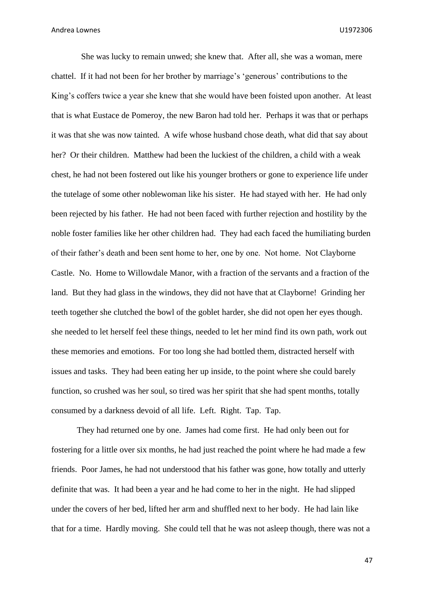She was lucky to remain unwed; she knew that. After all, she was a woman, mere chattel. If it had not been for her brother by marriage's 'generous' contributions to the King's coffers twice a year she knew that she would have been foisted upon another. At least that is what Eustace de Pomeroy, the new Baron had told her. Perhaps it was that or perhaps it was that she was now tainted. A wife whose husband chose death, what did that say about her? Or their children. Matthew had been the luckiest of the children, a child with a weak chest, he had not been fostered out like his younger brothers or gone to experience life under the tutelage of some other noblewoman like his sister. He had stayed with her. He had only been rejected by his father. He had not been faced with further rejection and hostility by the noble foster families like her other children had. They had each faced the humiliating burden of their father's death and been sent home to her, one by one. Not home. Not Clayborne Castle. No. Home to Willowdale Manor, with a fraction of the servants and a fraction of the land. But they had glass in the windows, they did not have that at Clayborne! Grinding her teeth together she clutched the bowl of the goblet harder, she did not open her eyes though. she needed to let herself feel these things, needed to let her mind find its own path, work out these memories and emotions. For too long she had bottled them, distracted herself with issues and tasks. They had been eating her up inside, to the point where she could barely function, so crushed was her soul, so tired was her spirit that she had spent months, totally consumed by a darkness devoid of all life. Left. Right. Tap. Tap.

They had returned one by one. James had come first. He had only been out for fostering for a little over six months, he had just reached the point where he had made a few friends. Poor James, he had not understood that his father was gone, how totally and utterly definite that was. It had been a year and he had come to her in the night. He had slipped under the covers of her bed, lifted her arm and shuffled next to her body. He had lain like that for a time. Hardly moving. She could tell that he was not asleep though, there was not a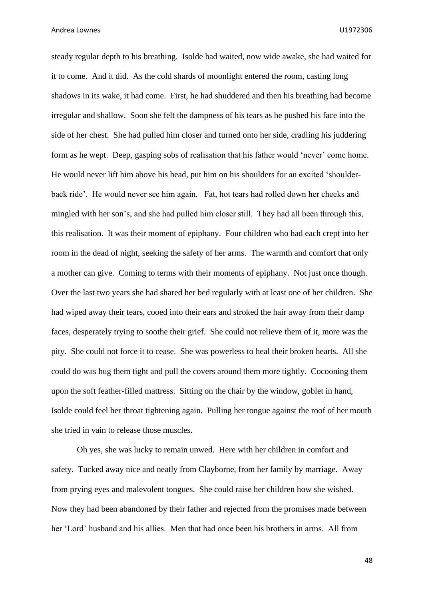steady regular depth to his breathing. Isolde had waited, now wide awake, she had waited for it to come. And it did. As the cold shards of moonlight entered the room, casting long shadows in its wake, it had come. First, he had shuddered and then his breathing had become irregular and shallow. Soon she felt the dampness of his tears as he pushed his face into the side of her chest. She had pulled him closer and turned onto her side, cradling his juddering form as he wept. Deep, gasping sobs of realisation that his father would 'never' come home. He would never lift him above his head, put him on his shoulders for an excited 'shoulderback ride'. He would never see him again. Fat, hot tears had rolled down her cheeks and mingled with her son's, and she had pulled him closer still. They had all been through this, this realisation. It was their moment of epiphany. Four children who had each crept into her room in the dead of night, seeking the safety of her arms. The warmth and comfort that only a mother can give. Coming to terms with their moments of epiphany. Not just once though. Over the last two years she had shared her bed regularly with at least one of her children. She had wiped away their tears, cooed into their ears and stroked the hair away from their damp faces, desperately trying to soothe their grief. She could not relieve them of it, more was the pity. She could not force it to cease. She was powerless to heal their broken hearts. All she could do was hug them tight and pull the covers around them more tightly. Cocooning them upon the soft feather-filled mattress. Sitting on the chair by the window, goblet in hand, Isolde could feel her throat tightening again. Pulling her tongue against the roof of her mouth she tried in vain to release those muscles.

Oh yes, she was lucky to remain unwed. Here with her children in comfort and safety. Tucked away nice and neatly from Clayborne, from her family by marriage. Away from prying eyes and malevolent tongues. She could raise her children how she wished. Now they had been abandoned by their father and rejected from the promises made between her 'Lord' husband and his allies. Men that had once been his brothers in arms. All from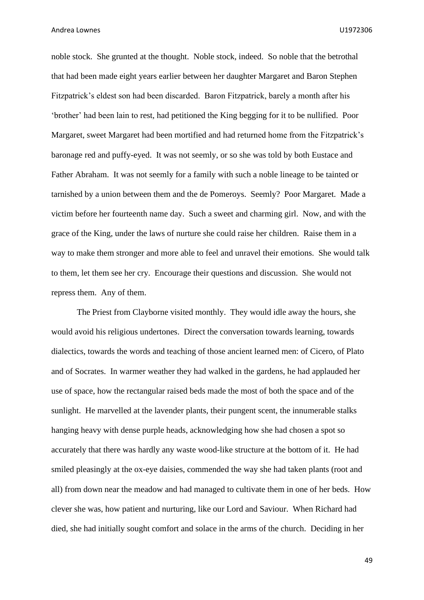noble stock. She grunted at the thought. Noble stock, indeed. So noble that the betrothal that had been made eight years earlier between her daughter Margaret and Baron Stephen Fitzpatrick's eldest son had been discarded. Baron Fitzpatrick, barely a month after his 'brother' had been lain to rest, had petitioned the King begging for it to be nullified. Poor Margaret, sweet Margaret had been mortified and had returned home from the Fitzpatrick's baronage red and puffy-eyed. It was not seemly, or so she was told by both Eustace and Father Abraham. It was not seemly for a family with such a noble lineage to be tainted or tarnished by a union between them and the de Pomeroys. Seemly? Poor Margaret. Made a victim before her fourteenth name day. Such a sweet and charming girl. Now, and with the grace of the King, under the laws of nurture she could raise her children. Raise them in a way to make them stronger and more able to feel and unravel their emotions. She would talk to them, let them see her cry. Encourage their questions and discussion. She would not repress them. Any of them.

The Priest from Clayborne visited monthly. They would idle away the hours, she would avoid his religious undertones. Direct the conversation towards learning, towards dialectics, towards the words and teaching of those ancient learned men: of Cicero, of Plato and of Socrates. In warmer weather they had walked in the gardens, he had applauded her use of space, how the rectangular raised beds made the most of both the space and of the sunlight. He marvelled at the lavender plants, their pungent scent, the innumerable stalks hanging heavy with dense purple heads, acknowledging how she had chosen a spot so accurately that there was hardly any waste wood-like structure at the bottom of it. He had smiled pleasingly at the ox-eye daisies, commended the way she had taken plants (root and all) from down near the meadow and had managed to cultivate them in one of her beds. How clever she was, how patient and nurturing, like our Lord and Saviour. When Richard had died, she had initially sought comfort and solace in the arms of the church. Deciding in her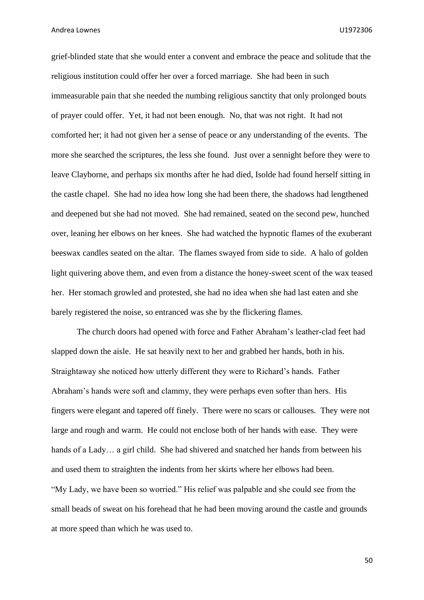grief-blinded state that she would enter a convent and embrace the peace and solitude that the religious institution could offer her over a forced marriage. She had been in such immeasurable pain that she needed the numbing religious sanctity that only prolonged bouts of prayer could offer. Yet, it had not been enough. No, that was not right. It had not comforted her; it had not given her a sense of peace or any understanding of the events. The more she searched the scriptures, the less she found. Just over a sennight before they were to leave Clayborne, and perhaps six months after he had died, Isolde had found herself sitting in the castle chapel. She had no idea how long she had been there, the shadows had lengthened and deepened but she had not moved. She had remained, seated on the second pew, hunched over, leaning her elbows on her knees. She had watched the hypnotic flames of the exuberant beeswax candles seated on the altar. The flames swayed from side to side. A halo of golden light quivering above them, and even from a distance the honey-sweet scent of the wax teased her. Her stomach growled and protested, she had no idea when she had last eaten and she barely registered the noise, so entranced was she by the flickering flames.

The church doors had opened with force and Father Abraham's leather-clad feet had slapped down the aisle. He sat heavily next to her and grabbed her hands, both in his. Straightaway she noticed how utterly different they were to Richard's hands. Father Abraham's hands were soft and clammy, they were perhaps even softer than hers. His fingers were elegant and tapered off finely. There were no scars or callouses. They were not large and rough and warm. He could not enclose both of her hands with ease. They were hands of a Lady… a girl child. She had shivered and snatched her hands from between his and used them to straighten the indents from her skirts where her elbows had been. "My Lady, we have been so worried." His relief was palpable and she could see from the small beads of sweat on his forehead that he had been moving around the castle and grounds at more speed than which he was used to.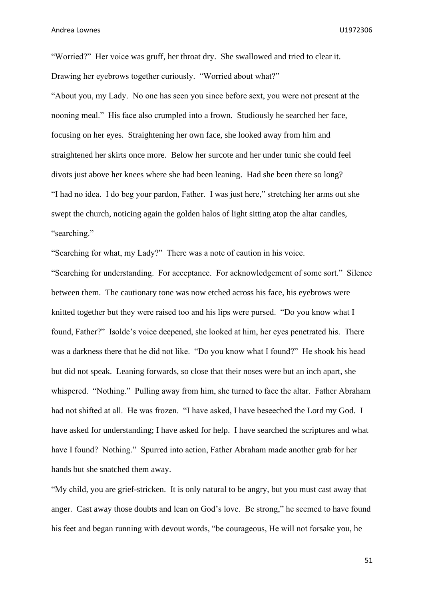"Worried?" Her voice was gruff, her throat dry. She swallowed and tried to clear it. Drawing her eyebrows together curiously. "Worried about what?"

"About you, my Lady. No one has seen you since before sext, you were not present at the nooning meal." His face also crumpled into a frown. Studiously he searched her face, focusing on her eyes. Straightening her own face, she looked away from him and straightened her skirts once more. Below her surcote and her under tunic she could feel divots just above her knees where she had been leaning. Had she been there so long? "I had no idea. I do beg your pardon, Father. I was just here," stretching her arms out she swept the church, noticing again the golden halos of light sitting atop the altar candles, "searching."

"Searching for what, my Lady?" There was a note of caution in his voice.

"Searching for understanding. For acceptance. For acknowledgement of some sort." Silence between them. The cautionary tone was now etched across his face, his eyebrows were knitted together but they were raised too and his lips were pursed. "Do you know what I found, Father?" Isolde's voice deepened, she looked at him, her eyes penetrated his. There was a darkness there that he did not like. "Do you know what I found?" He shook his head but did not speak. Leaning forwards, so close that their noses were but an inch apart, she whispered. "Nothing." Pulling away from him, she turned to face the altar. Father Abraham had not shifted at all. He was frozen. "I have asked, I have beseeched the Lord my God. I have asked for understanding; I have asked for help. I have searched the scriptures and what have I found? Nothing." Spurred into action, Father Abraham made another grab for her hands but she snatched them away.

"My child, you are grief-stricken. It is only natural to be angry, but you must cast away that anger. Cast away those doubts and lean on God's love. Be strong," he seemed to have found his feet and began running with devout words, "be courageous, He will not forsake you, he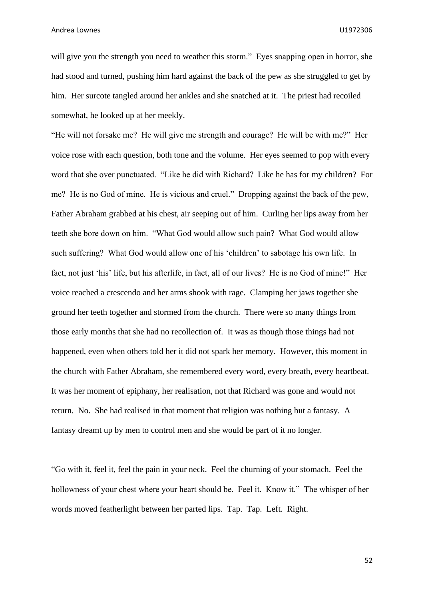will give you the strength you need to weather this storm." Eyes snapping open in horror, she had stood and turned, pushing him hard against the back of the pew as she struggled to get by him. Her surcote tangled around her ankles and she snatched at it. The priest had recoiled somewhat, he looked up at her meekly.

"He will not forsake me? He will give me strength and courage? He will be with me?" Her voice rose with each question, both tone and the volume. Her eyes seemed to pop with every word that she over punctuated. "Like he did with Richard? Like he has for my children? For me? He is no God of mine. He is vicious and cruel." Dropping against the back of the pew, Father Abraham grabbed at his chest, air seeping out of him. Curling her lips away from her teeth she bore down on him. "What God would allow such pain? What God would allow such suffering? What God would allow one of his 'children' to sabotage his own life. In fact, not just 'his' life, but his afterlife, in fact, all of our lives? He is no God of mine!" Her voice reached a crescendo and her arms shook with rage. Clamping her jaws together she ground her teeth together and stormed from the church. There were so many things from those early months that she had no recollection of. It was as though those things had not happened, even when others told her it did not spark her memory. However, this moment in the church with Father Abraham, she remembered every word, every breath, every heartbeat. It was her moment of epiphany, her realisation, not that Richard was gone and would not return. No. She had realised in that moment that religion was nothing but a fantasy. A fantasy dreamt up by men to control men and she would be part of it no longer.

"Go with it, feel it, feel the pain in your neck. Feel the churning of your stomach. Feel the hollowness of your chest where your heart should be. Feel it. Know it." The whisper of her words moved featherlight between her parted lips. Tap. Tap. Left. Right.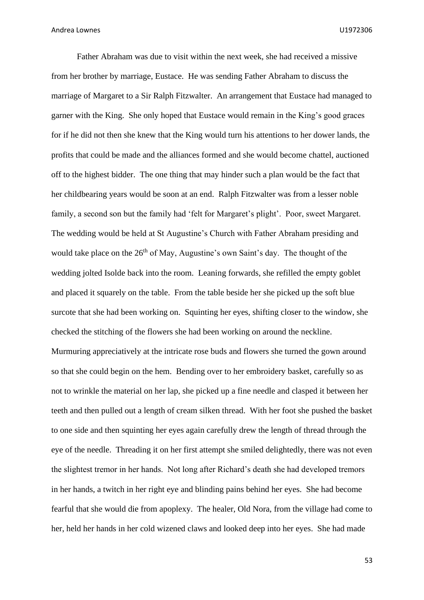Father Abraham was due to visit within the next week, she had received a missive from her brother by marriage, Eustace. He was sending Father Abraham to discuss the marriage of Margaret to a Sir Ralph Fitzwalter. An arrangement that Eustace had managed to garner with the King. She only hoped that Eustace would remain in the King's good graces for if he did not then she knew that the King would turn his attentions to her dower lands, the profits that could be made and the alliances formed and she would become chattel, auctioned off to the highest bidder. The one thing that may hinder such a plan would be the fact that her childbearing years would be soon at an end. Ralph Fitzwalter was from a lesser noble family, a second son but the family had 'felt for Margaret's plight'. Poor, sweet Margaret. The wedding would be held at St Augustine's Church with Father Abraham presiding and would take place on the 26<sup>th</sup> of May, Augustine's own Saint's day. The thought of the wedding jolted Isolde back into the room. Leaning forwards, she refilled the empty goblet and placed it squarely on the table. From the table beside her she picked up the soft blue surcote that she had been working on. Squinting her eyes, shifting closer to the window, she checked the stitching of the flowers she had been working on around the neckline. Murmuring appreciatively at the intricate rose buds and flowers she turned the gown around so that she could begin on the hem. Bending over to her embroidery basket, carefully so as not to wrinkle the material on her lap, she picked up a fine needle and clasped it between her teeth and then pulled out a length of cream silken thread. With her foot she pushed the basket to one side and then squinting her eyes again carefully drew the length of thread through the eye of the needle. Threading it on her first attempt she smiled delightedly, there was not even the slightest tremor in her hands. Not long after Richard's death she had developed tremors in her hands, a twitch in her right eye and blinding pains behind her eyes. She had become fearful that she would die from apoplexy. The healer, Old Nora, from the village had come to her, held her hands in her cold wizened claws and looked deep into her eyes. She had made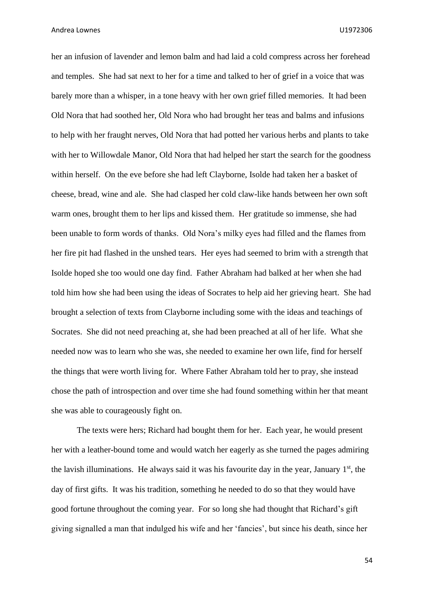her an infusion of lavender and lemon balm and had laid a cold compress across her forehead and temples. She had sat next to her for a time and talked to her of grief in a voice that was barely more than a whisper, in a tone heavy with her own grief filled memories. It had been Old Nora that had soothed her, Old Nora who had brought her teas and balms and infusions to help with her fraught nerves, Old Nora that had potted her various herbs and plants to take with her to Willowdale Manor, Old Nora that had helped her start the search for the goodness within herself. On the eve before she had left Clayborne, Isolde had taken her a basket of cheese, bread, wine and ale. She had clasped her cold claw-like hands between her own soft warm ones, brought them to her lips and kissed them. Her gratitude so immense, she had been unable to form words of thanks. Old Nora's milky eyes had filled and the flames from her fire pit had flashed in the unshed tears. Her eyes had seemed to brim with a strength that Isolde hoped she too would one day find. Father Abraham had balked at her when she had told him how she had been using the ideas of Socrates to help aid her grieving heart. She had brought a selection of texts from Clayborne including some with the ideas and teachings of Socrates. She did not need preaching at, she had been preached at all of her life. What she needed now was to learn who she was, she needed to examine her own life, find for herself the things that were worth living for. Where Father Abraham told her to pray, she instead chose the path of introspection and over time she had found something within her that meant she was able to courageously fight on.

The texts were hers; Richard had bought them for her. Each year, he would present her with a leather-bound tome and would watch her eagerly as she turned the pages admiring the lavish illuminations. He always said it was his favourite day in the year, January  $1<sup>st</sup>$ , the day of first gifts. It was his tradition, something he needed to do so that they would have good fortune throughout the coming year. For so long she had thought that Richard's gift giving signalled a man that indulged his wife and her 'fancies', but since his death, since her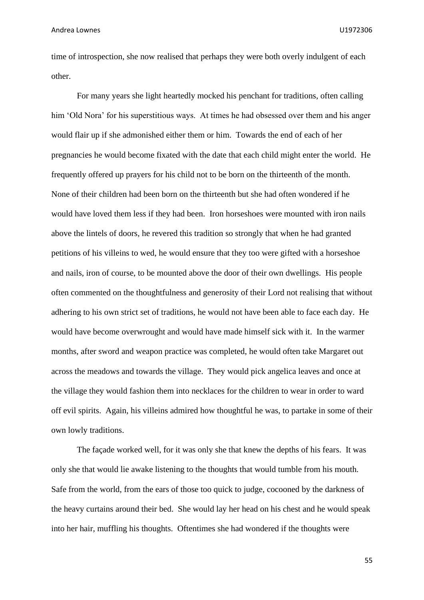time of introspection, she now realised that perhaps they were both overly indulgent of each other.

For many years she light heartedly mocked his penchant for traditions, often calling him 'Old Nora' for his superstitious ways. At times he had obsessed over them and his anger would flair up if she admonished either them or him. Towards the end of each of her pregnancies he would become fixated with the date that each child might enter the world. He frequently offered up prayers for his child not to be born on the thirteenth of the month. None of their children had been born on the thirteenth but she had often wondered if he would have loved them less if they had been. Iron horseshoes were mounted with iron nails above the lintels of doors, he revered this tradition so strongly that when he had granted petitions of his villeins to wed, he would ensure that they too were gifted with a horseshoe and nails, iron of course, to be mounted above the door of their own dwellings. His people often commented on the thoughtfulness and generosity of their Lord not realising that without adhering to his own strict set of traditions, he would not have been able to face each day. He would have become overwrought and would have made himself sick with it. In the warmer months, after sword and weapon practice was completed, he would often take Margaret out across the meadows and towards the village. They would pick angelica leaves and once at the village they would fashion them into necklaces for the children to wear in order to ward off evil spirits. Again, his villeins admired how thoughtful he was, to partake in some of their own lowly traditions.

The façade worked well, for it was only she that knew the depths of his fears. It was only she that would lie awake listening to the thoughts that would tumble from his mouth. Safe from the world, from the ears of those too quick to judge, cocooned by the darkness of the heavy curtains around their bed. She would lay her head on his chest and he would speak into her hair, muffling his thoughts. Oftentimes she had wondered if the thoughts were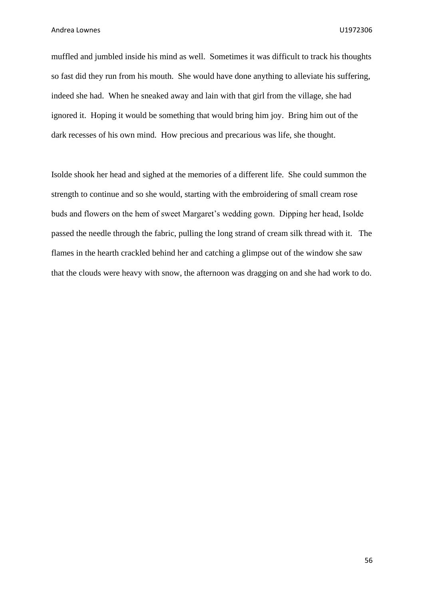muffled and jumbled inside his mind as well. Sometimes it was difficult to track his thoughts so fast did they run from his mouth. She would have done anything to alleviate his suffering, indeed she had. When he sneaked away and lain with that girl from the village, she had ignored it. Hoping it would be something that would bring him joy. Bring him out of the dark recesses of his own mind. How precious and precarious was life, she thought.

Isolde shook her head and sighed at the memories of a different life. She could summon the strength to continue and so she would, starting with the embroidering of small cream rose buds and flowers on the hem of sweet Margaret's wedding gown. Dipping her head, Isolde passed the needle through the fabric, pulling the long strand of cream silk thread with it. The flames in the hearth crackled behind her and catching a glimpse out of the window she saw that the clouds were heavy with snow, the afternoon was dragging on and she had work to do.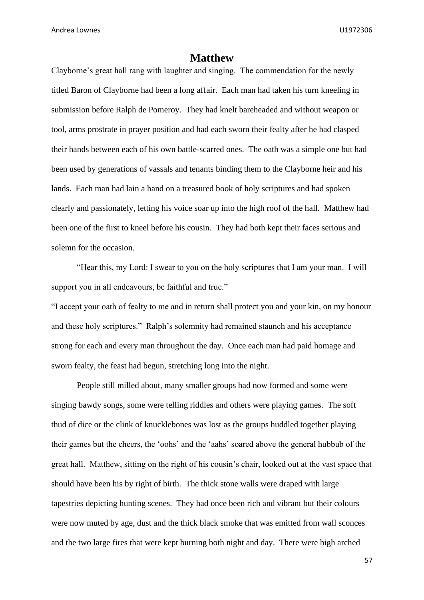## **Matthew**

Clayborne's great hall rang with laughter and singing. The commendation for the newly titled Baron of Clayborne had been a long affair. Each man had taken his turn kneeling in submission before Ralph de Pomeroy. They had knelt bareheaded and without weapon or tool, arms prostrate in prayer position and had each sworn their fealty after he had clasped their hands between each of his own battle-scarred ones. The oath was a simple one but had been used by generations of vassals and tenants binding them to the Clayborne heir and his lands. Each man had lain a hand on a treasured book of holy scriptures and had spoken clearly and passionately, letting his voice soar up into the high roof of the hall. Matthew had been one of the first to kneel before his cousin. They had both kept their faces serious and solemn for the occasion.

"Hear this, my Lord: I swear to you on the holy scriptures that I am your man. I will support you in all endeavours, be faithful and true."

"I accept your oath of fealty to me and in return shall protect you and your kin, on my honour and these holy scriptures." Ralph's solemnity had remained staunch and his acceptance strong for each and every man throughout the day. Once each man had paid homage and sworn fealty, the feast had begun, stretching long into the night.

People still milled about, many smaller groups had now formed and some were singing bawdy songs, some were telling riddles and others were playing games. The soft thud of dice or the clink of knucklebones was lost as the groups huddled together playing their games but the cheers, the 'oohs' and the 'aahs' soared above the general hubbub of the great hall. Matthew, sitting on the right of his cousin's chair, looked out at the vast space that should have been his by right of birth. The thick stone walls were draped with large tapestries depicting hunting scenes. They had once been rich and vibrant but their colours were now muted by age, dust and the thick black smoke that was emitted from wall sconces and the two large fires that were kept burning both night and day. There were high arched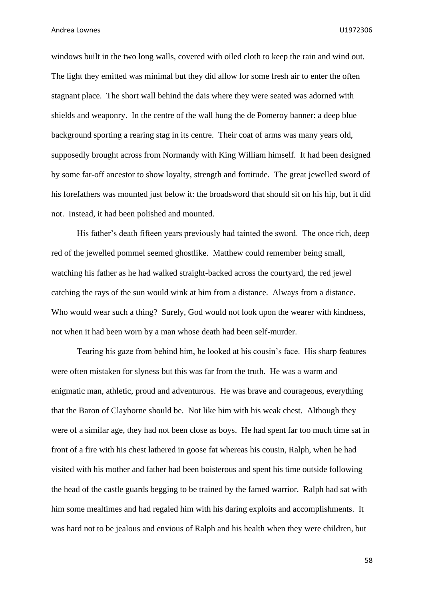windows built in the two long walls, covered with oiled cloth to keep the rain and wind out. The light they emitted was minimal but they did allow for some fresh air to enter the often stagnant place. The short wall behind the dais where they were seated was adorned with shields and weaponry. In the centre of the wall hung the de Pomeroy banner: a deep blue background sporting a rearing stag in its centre. Their coat of arms was many years old, supposedly brought across from Normandy with King William himself. It had been designed by some far-off ancestor to show loyalty, strength and fortitude. The great jewelled sword of his forefathers was mounted just below it: the broadsword that should sit on his hip, but it did not. Instead, it had been polished and mounted.

His father's death fifteen years previously had tainted the sword. The once rich, deep red of the jewelled pommel seemed ghostlike. Matthew could remember being small, watching his father as he had walked straight-backed across the courtyard, the red jewel catching the rays of the sun would wink at him from a distance. Always from a distance. Who would wear such a thing? Surely, God would not look upon the wearer with kindness, not when it had been worn by a man whose death had been self-murder.

Tearing his gaze from behind him, he looked at his cousin's face. His sharp features were often mistaken for slyness but this was far from the truth. He was a warm and enigmatic man, athletic, proud and adventurous. He was brave and courageous, everything that the Baron of Clayborne should be. Not like him with his weak chest. Although they were of a similar age, they had not been close as boys. He had spent far too much time sat in front of a fire with his chest lathered in goose fat whereas his cousin, Ralph, when he had visited with his mother and father had been boisterous and spent his time outside following the head of the castle guards begging to be trained by the famed warrior. Ralph had sat with him some mealtimes and had regaled him with his daring exploits and accomplishments. It was hard not to be jealous and envious of Ralph and his health when they were children, but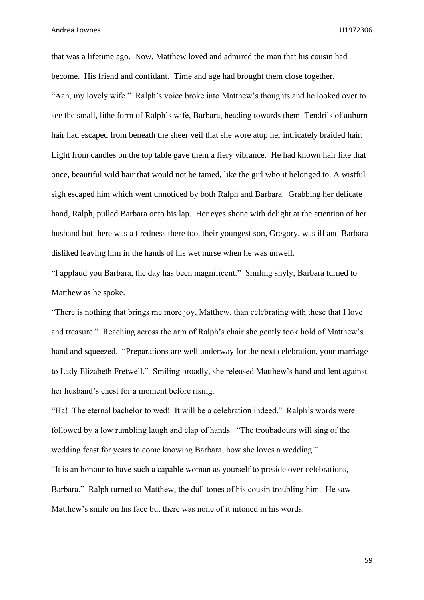that was a lifetime ago. Now, Matthew loved and admired the man that his cousin had become. His friend and confidant. Time and age had brought them close together. "Aah, my lovely wife." Ralph's voice broke into Matthew's thoughts and he looked over to see the small, lithe form of Ralph's wife, Barbara, heading towards them. Tendrils of auburn hair had escaped from beneath the sheer veil that she wore atop her intricately braided hair. Light from candles on the top table gave them a fiery vibrance. He had known hair like that once, beautiful wild hair that would not be tamed, like the girl who it belonged to. A wistful sigh escaped him which went unnoticed by both Ralph and Barbara. Grabbing her delicate hand, Ralph, pulled Barbara onto his lap. Her eyes shone with delight at the attention of her husband but there was a tiredness there too, their youngest son, Gregory, was ill and Barbara disliked leaving him in the hands of his wet nurse when he was unwell.

"I applaud you Barbara, the day has been magnificent." Smiling shyly, Barbara turned to Matthew as he spoke.

"There is nothing that brings me more joy, Matthew, than celebrating with those that I love and treasure." Reaching across the arm of Ralph's chair she gently took hold of Matthew's hand and squeezed. "Preparations are well underway for the next celebration, your marriage to Lady Elizabeth Fretwell." Smiling broadly, she released Matthew's hand and lent against her husband's chest for a moment before rising.

"Ha! The eternal bachelor to wed! It will be a celebration indeed." Ralph's words were followed by a low rumbling laugh and clap of hands. "The troubadours will sing of the wedding feast for years to come knowing Barbara, how she loves a wedding."

"It is an honour to have such a capable woman as yourself to preside over celebrations, Barbara." Ralph turned to Matthew, the dull tones of his cousin troubling him. He saw Matthew's smile on his face but there was none of it intoned in his words.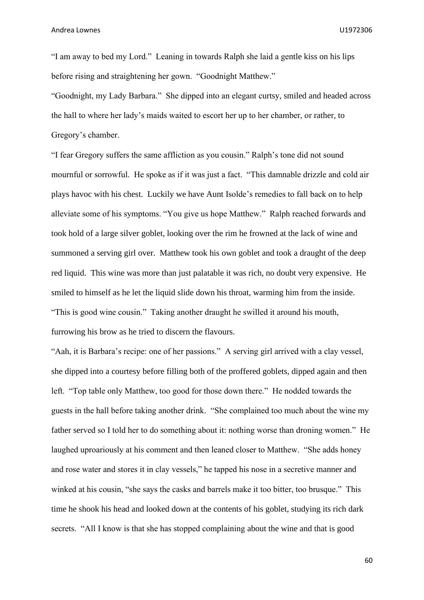"I am away to bed my Lord." Leaning in towards Ralph she laid a gentle kiss on his lips before rising and straightening her gown. "Goodnight Matthew."

"Goodnight, my Lady Barbara." She dipped into an elegant curtsy, smiled and headed across the hall to where her lady's maids waited to escort her up to her chamber, or rather, to Gregory's chamber.

"I fear Gregory suffers the same affliction as you cousin." Ralph's tone did not sound mournful or sorrowful. He spoke as if it was just a fact. "This damnable drizzle and cold air plays havoc with his chest. Luckily we have Aunt Isolde's remedies to fall back on to help alleviate some of his symptoms. "You give us hope Matthew." Ralph reached forwards and took hold of a large silver goblet, looking over the rim he frowned at the lack of wine and summoned a serving girl over. Matthew took his own goblet and took a draught of the deep red liquid. This wine was more than just palatable it was rich, no doubt very expensive. He smiled to himself as he let the liquid slide down his throat, warming him from the inside. "This is good wine cousin." Taking another draught he swilled it around his mouth, furrowing his brow as he tried to discern the flavours.

"Aah, it is Barbara's recipe: one of her passions." A serving girl arrived with a clay vessel, she dipped into a courtesy before filling both of the proffered goblets, dipped again and then left. "Top table only Matthew, too good for those down there." He nodded towards the guests in the hall before taking another drink. "She complained too much about the wine my father served so I told her to do something about it: nothing worse than droning women." He laughed uproariously at his comment and then leaned closer to Matthew. "She adds honey and rose water and stores it in clay vessels," he tapped his nose in a secretive manner and winked at his cousin, "she says the casks and barrels make it too bitter, too brusque." This time he shook his head and looked down at the contents of his goblet, studying its rich dark secrets. "All I know is that she has stopped complaining about the wine and that is good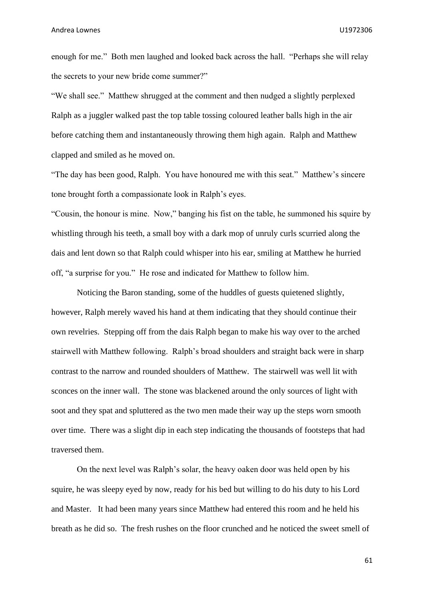enough for me." Both men laughed and looked back across the hall. "Perhaps she will relay the secrets to your new bride come summer?"

"We shall see." Matthew shrugged at the comment and then nudged a slightly perplexed Ralph as a juggler walked past the top table tossing coloured leather balls high in the air before catching them and instantaneously throwing them high again. Ralph and Matthew clapped and smiled as he moved on.

"The day has been good, Ralph. You have honoured me with this seat." Matthew's sincere tone brought forth a compassionate look in Ralph's eyes.

"Cousin, the honour is mine. Now," banging his fist on the table, he summoned his squire by whistling through his teeth, a small boy with a dark mop of unruly curls scurried along the dais and lent down so that Ralph could whisper into his ear, smiling at Matthew he hurried off, "a surprise for you." He rose and indicated for Matthew to follow him.

Noticing the Baron standing, some of the huddles of guests quietened slightly, however, Ralph merely waved his hand at them indicating that they should continue their own revelries. Stepping off from the dais Ralph began to make his way over to the arched stairwell with Matthew following. Ralph's broad shoulders and straight back were in sharp contrast to the narrow and rounded shoulders of Matthew. The stairwell was well lit with sconces on the inner wall. The stone was blackened around the only sources of light with soot and they spat and spluttered as the two men made their way up the steps worn smooth over time. There was a slight dip in each step indicating the thousands of footsteps that had traversed them.

On the next level was Ralph's solar, the heavy oaken door was held open by his squire, he was sleepy eyed by now, ready for his bed but willing to do his duty to his Lord and Master. It had been many years since Matthew had entered this room and he held his breath as he did so. The fresh rushes on the floor crunched and he noticed the sweet smell of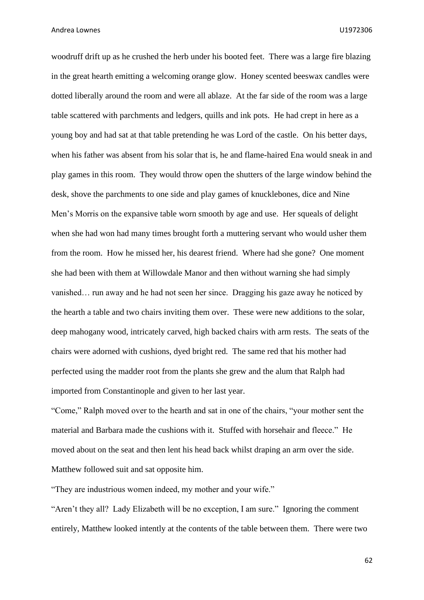woodruff drift up as he crushed the herb under his booted feet. There was a large fire blazing in the great hearth emitting a welcoming orange glow. Honey scented beeswax candles were dotted liberally around the room and were all ablaze. At the far side of the room was a large table scattered with parchments and ledgers, quills and ink pots. He had crept in here as a young boy and had sat at that table pretending he was Lord of the castle. On his better days, when his father was absent from his solar that is, he and flame-haired Ena would sneak in and play games in this room. They would throw open the shutters of the large window behind the desk, shove the parchments to one side and play games of knucklebones, dice and Nine Men's Morris on the expansive table worn smooth by age and use. Her squeals of delight when she had won had many times brought forth a muttering servant who would usher them from the room. How he missed her, his dearest friend. Where had she gone? One moment she had been with them at Willowdale Manor and then without warning she had simply vanished… run away and he had not seen her since. Dragging his gaze away he noticed by the hearth a table and two chairs inviting them over. These were new additions to the solar, deep mahogany wood, intricately carved, high backed chairs with arm rests. The seats of the chairs were adorned with cushions, dyed bright red. The same red that his mother had perfected using the madder root from the plants she grew and the alum that Ralph had imported from Constantinople and given to her last year.

"Come," Ralph moved over to the hearth and sat in one of the chairs, "your mother sent the material and Barbara made the cushions with it. Stuffed with horsehair and fleece." He moved about on the seat and then lent his head back whilst draping an arm over the side. Matthew followed suit and sat opposite him.

"They are industrious women indeed, my mother and your wife."

"Aren't they all? Lady Elizabeth will be no exception, I am sure." Ignoring the comment entirely, Matthew looked intently at the contents of the table between them. There were two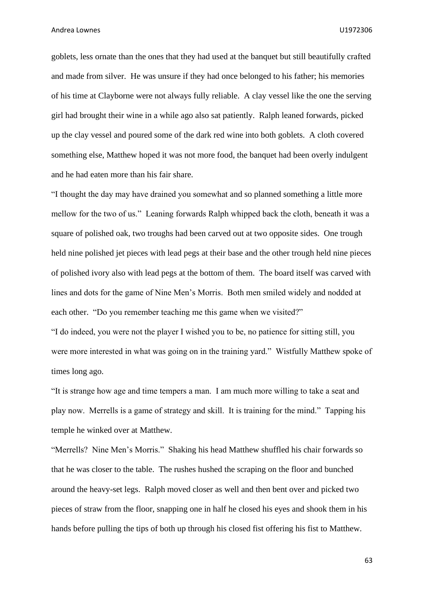goblets, less ornate than the ones that they had used at the banquet but still beautifully crafted and made from silver. He was unsure if they had once belonged to his father; his memories of his time at Clayborne were not always fully reliable. A clay vessel like the one the serving girl had brought their wine in a while ago also sat patiently. Ralph leaned forwards, picked up the clay vessel and poured some of the dark red wine into both goblets. A cloth covered something else, Matthew hoped it was not more food, the banquet had been overly indulgent and he had eaten more than his fair share.

"I thought the day may have drained you somewhat and so planned something a little more mellow for the two of us." Leaning forwards Ralph whipped back the cloth, beneath it was a square of polished oak, two troughs had been carved out at two opposite sides. One trough held nine polished jet pieces with lead pegs at their base and the other trough held nine pieces of polished ivory also with lead pegs at the bottom of them. The board itself was carved with lines and dots for the game of Nine Men's Morris. Both men smiled widely and nodded at each other. "Do you remember teaching me this game when we visited?"

"I do indeed, you were not the player I wished you to be, no patience for sitting still, you were more interested in what was going on in the training yard." Wistfully Matthew spoke of times long ago.

"It is strange how age and time tempers a man. I am much more willing to take a seat and play now. Merrells is a game of strategy and skill. It is training for the mind." Tapping his temple he winked over at Matthew.

"Merrells? Nine Men's Morris." Shaking his head Matthew shuffled his chair forwards so that he was closer to the table. The rushes hushed the scraping on the floor and bunched around the heavy-set legs. Ralph moved closer as well and then bent over and picked two pieces of straw from the floor, snapping one in half he closed his eyes and shook them in his hands before pulling the tips of both up through his closed fist offering his fist to Matthew.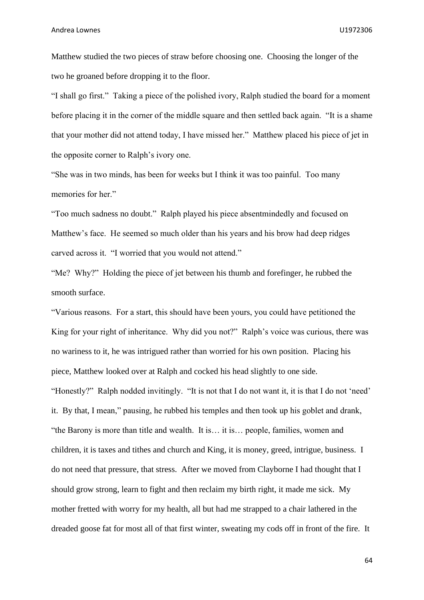Matthew studied the two pieces of straw before choosing one. Choosing the longer of the two he groaned before dropping it to the floor.

"I shall go first." Taking a piece of the polished ivory, Ralph studied the board for a moment before placing it in the corner of the middle square and then settled back again. "It is a shame that your mother did not attend today, I have missed her." Matthew placed his piece of jet in the opposite corner to Ralph's ivory one.

"She was in two minds, has been for weeks but I think it was too painful. Too many memories for her."

"Too much sadness no doubt." Ralph played his piece absentmindedly and focused on Matthew's face. He seemed so much older than his years and his brow had deep ridges carved across it. "I worried that you would not attend."

"Me? Why?" Holding the piece of jet between his thumb and forefinger, he rubbed the smooth surface.

"Various reasons. For a start, this should have been yours, you could have petitioned the King for your right of inheritance. Why did you not?" Ralph's voice was curious, there was no wariness to it, he was intrigued rather than worried for his own position. Placing his piece, Matthew looked over at Ralph and cocked his head slightly to one side. "Honestly?" Ralph nodded invitingly. "It is not that I do not want it, it is that I do not 'need' it. By that, I mean," pausing, he rubbed his temples and then took up his goblet and drank, "the Barony is more than title and wealth. It is… it is… people, families, women and children, it is taxes and tithes and church and King, it is money, greed, intrigue, business. I do not need that pressure, that stress. After we moved from Clayborne I had thought that I should grow strong, learn to fight and then reclaim my birth right, it made me sick. My mother fretted with worry for my health, all but had me strapped to a chair lathered in the dreaded goose fat for most all of that first winter, sweating my cods off in front of the fire. It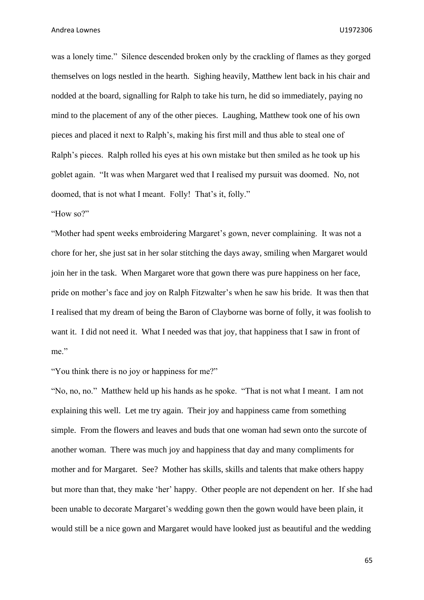was a lonely time." Silence descended broken only by the crackling of flames as they gorged themselves on logs nestled in the hearth. Sighing heavily, Matthew lent back in his chair and nodded at the board, signalling for Ralph to take his turn, he did so immediately, paying no mind to the placement of any of the other pieces. Laughing, Matthew took one of his own pieces and placed it next to Ralph's, making his first mill and thus able to steal one of Ralph's pieces. Ralph rolled his eyes at his own mistake but then smiled as he took up his goblet again. "It was when Margaret wed that I realised my pursuit was doomed. No, not doomed, that is not what I meant. Folly! That's it, folly."

"How so?"

"Mother had spent weeks embroidering Margaret's gown, never complaining. It was not a chore for her, she just sat in her solar stitching the days away, smiling when Margaret would join her in the task. When Margaret wore that gown there was pure happiness on her face, pride on mother's face and joy on Ralph Fitzwalter's when he saw his bride. It was then that I realised that my dream of being the Baron of Clayborne was borne of folly, it was foolish to want it. I did not need it. What I needed was that joy, that happiness that I saw in front of me."

"You think there is no joy or happiness for me?"

"No, no, no." Matthew held up his hands as he spoke. "That is not what I meant. I am not explaining this well. Let me try again. Their joy and happiness came from something simple. From the flowers and leaves and buds that one woman had sewn onto the surcote of another woman. There was much joy and happiness that day and many compliments for mother and for Margaret. See? Mother has skills, skills and talents that make others happy but more than that, they make 'her' happy. Other people are not dependent on her. If she had been unable to decorate Margaret's wedding gown then the gown would have been plain, it would still be a nice gown and Margaret would have looked just as beautiful and the wedding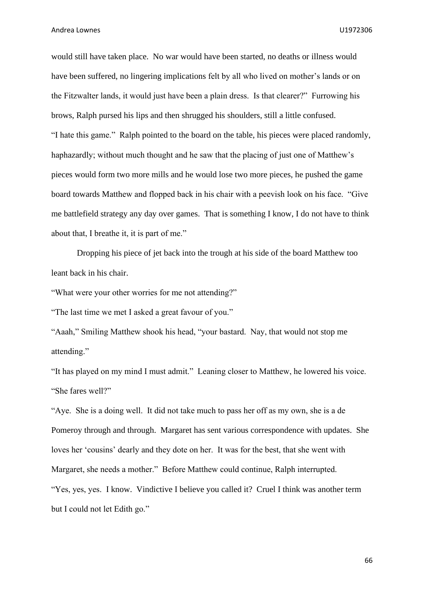would still have taken place. No war would have been started, no deaths or illness would have been suffered, no lingering implications felt by all who lived on mother's lands or on the Fitzwalter lands, it would just have been a plain dress. Is that clearer?" Furrowing his brows, Ralph pursed his lips and then shrugged his shoulders, still a little confused. "I hate this game." Ralph pointed to the board on the table, his pieces were placed randomly, haphazardly; without much thought and he saw that the placing of just one of Matthew's pieces would form two more mills and he would lose two more pieces, he pushed the game board towards Matthew and flopped back in his chair with a peevish look on his face. "Give me battlefield strategy any day over games. That is something I know, I do not have to think about that, I breathe it, it is part of me."

Dropping his piece of jet back into the trough at his side of the board Matthew too leant back in his chair.

"What were your other worries for me not attending?"

"The last time we met I asked a great favour of you."

"Aaah," Smiling Matthew shook his head, "your bastard. Nay, that would not stop me attending."

"It has played on my mind I must admit." Leaning closer to Matthew, he lowered his voice. "She fares well?"

"Aye. She is a doing well. It did not take much to pass her off as my own, she is a de Pomeroy through and through. Margaret has sent various correspondence with updates. She loves her 'cousins' dearly and they dote on her. It was for the best, that she went with Margaret, she needs a mother." Before Matthew could continue, Ralph interrupted. "Yes, yes, yes. I know. Vindictive I believe you called it? Cruel I think was another term but I could not let Edith go."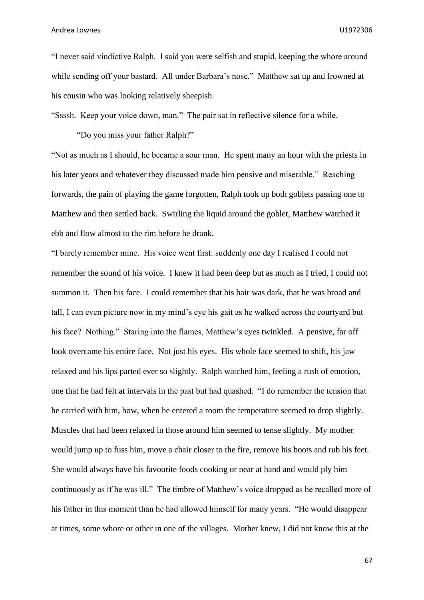"I never said vindictive Ralph. I said you were selfish and stupid, keeping the whore around while sending off your bastard. All under Barbara's nose." Matthew sat up and frowned at his cousin who was looking relatively sheepish.

"Ssssh. Keep your voice down, man." The pair sat in reflective silence for a while.

"Do you miss your father Ralph?"

"Not as much as I should, he became a sour man. He spent many an hour with the priests in his later years and whatever they discussed made him pensive and miserable." Reaching forwards, the pain of playing the game forgotten, Ralph took up both goblets passing one to Matthew and then settled back. Swirling the liquid around the goblet, Matthew watched it ebb and flow almost to the rim before he drank.

"I barely remember mine. His voice went first: suddenly one day I realised I could not remember the sound of his voice. I knew it had been deep but as much as I tried, I could not summon it. Then his face. I could remember that his hair was dark, that he was broad and tall, I can even picture now in my mind's eye his gait as he walked across the courtyard but his face? Nothing." Staring into the flames, Matthew's eyes twinkled. A pensive, far off look overcame his entire face. Not just his eyes. His whole face seemed to shift, his jaw relaxed and his lips parted ever so slightly. Ralph watched him, feeling a rush of emotion, one that he had felt at intervals in the past but had quashed. "I do remember the tension that he carried with him, how, when he entered a room the temperature seemed to drop slightly. Muscles that had been relaxed in those around him seemed to tense slightly. My mother would jump up to fuss him, move a chair closer to the fire, remove his boots and rub his feet. She would always have his favourite foods cooking or near at hand and would ply him continuously as if he was ill." The timbre of Matthew's voice dropped as he recalled more of his father in this moment than he had allowed himself for many years. "He would disappear at times, some whore or other in one of the villages. Mother knew, I did not know this at the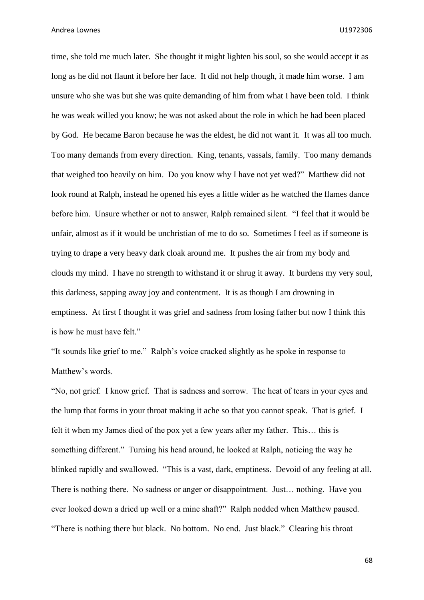time, she told me much later. She thought it might lighten his soul, so she would accept it as long as he did not flaunt it before her face. It did not help though, it made him worse. I am unsure who she was but she was quite demanding of him from what I have been told. I think he was weak willed you know; he was not asked about the role in which he had been placed by God. He became Baron because he was the eldest, he did not want it. It was all too much. Too many demands from every direction. King, tenants, vassals, family. Too many demands that weighed too heavily on him. Do you know why I have not yet wed?" Matthew did not look round at Ralph, instead he opened his eyes a little wider as he watched the flames dance before him. Unsure whether or not to answer, Ralph remained silent. "I feel that it would be unfair, almost as if it would be unchristian of me to do so. Sometimes I feel as if someone is trying to drape a very heavy dark cloak around me. It pushes the air from my body and clouds my mind. I have no strength to withstand it or shrug it away. It burdens my very soul, this darkness, sapping away joy and contentment. It is as though I am drowning in emptiness. At first I thought it was grief and sadness from losing father but now I think this is how he must have felt."

"It sounds like grief to me." Ralph's voice cracked slightly as he spoke in response to Matthew's words.

"No, not grief. I know grief. That is sadness and sorrow. The heat of tears in your eyes and the lump that forms in your throat making it ache so that you cannot speak. That is grief. I felt it when my James died of the pox yet a few years after my father. This… this is something different." Turning his head around, he looked at Ralph, noticing the way he blinked rapidly and swallowed. "This is a vast, dark, emptiness. Devoid of any feeling at all. There is nothing there. No sadness or anger or disappointment. Just… nothing. Have you ever looked down a dried up well or a mine shaft?" Ralph nodded when Matthew paused. "There is nothing there but black. No bottom. No end. Just black." Clearing his throat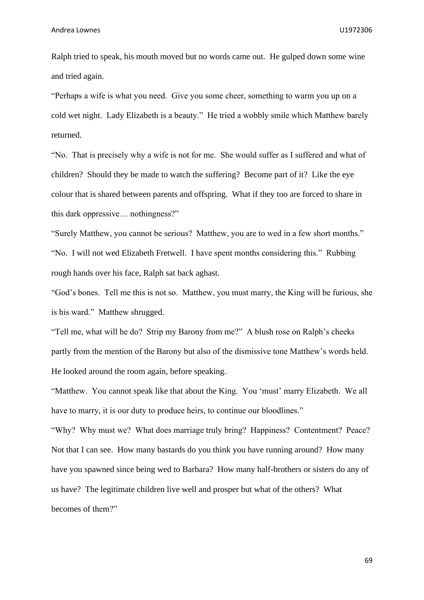Ralph tried to speak, his mouth moved but no words came out. He gulped down some wine and tried again.

"Perhaps a wife is what you need. Give you some cheer, something to warm you up on a cold wet night. Lady Elizabeth is a beauty." He tried a wobbly smile which Matthew barely returned.

"No. That is precisely why a wife is not for me. She would suffer as I suffered and what of children? Should they be made to watch the suffering? Become part of it? Like the eye colour that is shared between parents and offspring. What if they too are forced to share in this dark oppressive… nothingness?"

"Surely Matthew, you cannot be serious? Matthew, you are to wed in a few short months." "No. I will not wed Elizabeth Fretwell. I have spent months considering this." Rubbing rough hands over his face, Ralph sat back aghast.

"God's bones. Tell me this is not so. Matthew, you must marry, the King will be furious, she is his ward." Matthew shrugged.

"Tell me, what will he do? Strip my Barony from me?" A blush rose on Ralph's cheeks partly from the mention of the Barony but also of the dismissive tone Matthew's words held. He looked around the room again, before speaking.

"Matthew. You cannot speak like that about the King. You 'must' marry Elizabeth. We all have to marry, it is our duty to produce heirs, to continue our bloodlines."

"Why? Why must we? What does marriage truly bring? Happiness? Contentment? Peace? Not that I can see. How many bastards do you think you have running around? How many have you spawned since being wed to Barbara? How many half-brothers or sisters do any of us have? The legitimate children live well and prosper but what of the others? What becomes of them?"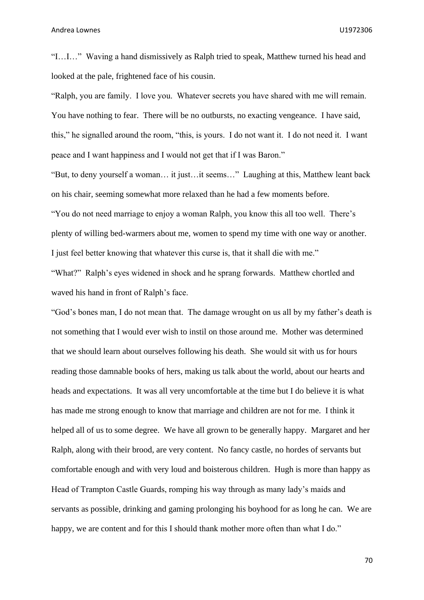"I…I…" Waving a hand dismissively as Ralph tried to speak, Matthew turned his head and looked at the pale, frightened face of his cousin.

"Ralph, you are family. I love you. Whatever secrets you have shared with me will remain. You have nothing to fear. There will be no outbursts, no exacting vengeance. I have said, this," he signalled around the room, "this, is yours. I do not want it. I do not need it. I want peace and I want happiness and I would not get that if I was Baron."

"But, to deny yourself a woman… it just…it seems…" Laughing at this, Matthew leant back on his chair, seeming somewhat more relaxed than he had a few moments before.

"You do not need marriage to enjoy a woman Ralph, you know this all too well. There's plenty of willing bed-warmers about me, women to spend my time with one way or another. I just feel better knowing that whatever this curse is, that it shall die with me."

"What?" Ralph's eyes widened in shock and he sprang forwards. Matthew chortled and waved his hand in front of Ralph's face.

"God's bones man, I do not mean that. The damage wrought on us all by my father's death is not something that I would ever wish to instil on those around me. Mother was determined that we should learn about ourselves following his death. She would sit with us for hours reading those damnable books of hers, making us talk about the world, about our hearts and heads and expectations. It was all very uncomfortable at the time but I do believe it is what has made me strong enough to know that marriage and children are not for me. I think it helped all of us to some degree. We have all grown to be generally happy. Margaret and her Ralph, along with their brood, are very content. No fancy castle, no hordes of servants but comfortable enough and with very loud and boisterous children. Hugh is more than happy as Head of Trampton Castle Guards, romping his way through as many lady's maids and servants as possible, drinking and gaming prolonging his boyhood for as long he can. We are happy, we are content and for this I should thank mother more often than what I do."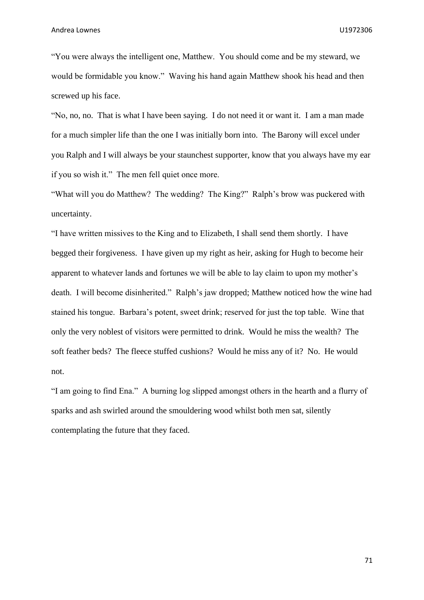"You were always the intelligent one, Matthew. You should come and be my steward, we would be formidable you know." Waving his hand again Matthew shook his head and then screwed up his face.

"No, no, no. That is what I have been saying. I do not need it or want it. I am a man made for a much simpler life than the one I was initially born into. The Barony will excel under you Ralph and I will always be your staunchest supporter, know that you always have my ear if you so wish it." The men fell quiet once more.

"What will you do Matthew? The wedding? The King?" Ralph's brow was puckered with uncertainty.

"I have written missives to the King and to Elizabeth, I shall send them shortly. I have begged their forgiveness. I have given up my right as heir, asking for Hugh to become heir apparent to whatever lands and fortunes we will be able to lay claim to upon my mother's death. I will become disinherited." Ralph's jaw dropped; Matthew noticed how the wine had stained his tongue. Barbara's potent, sweet drink; reserved for just the top table. Wine that only the very noblest of visitors were permitted to drink. Would he miss the wealth? The soft feather beds? The fleece stuffed cushions? Would he miss any of it? No. He would not.

"I am going to find Ena." A burning log slipped amongst others in the hearth and a flurry of sparks and ash swirled around the smouldering wood whilst both men sat, silently contemplating the future that they faced.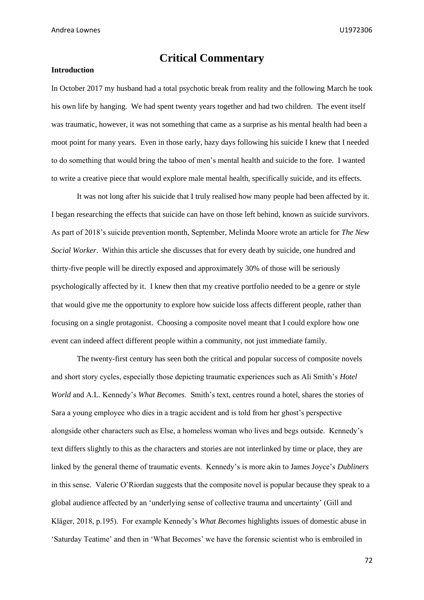# **Critical Commentary**

#### **Introduction**

In October 2017 my husband had a total psychotic break from reality and the following March he took his own life by hanging. We had spent twenty years together and had two children. The event itself was traumatic, however, it was not something that came as a surprise as his mental health had been a moot point for many years. Even in those early, hazy days following his suicide I knew that I needed to do something that would bring the taboo of men's mental health and suicide to the fore. I wanted to write a creative piece that would explore male mental health, specifically suicide, and its effects.

It was not long after his suicide that I truly realised how many people had been affected by it. I began researching the effects that suicide can have on those left behind, known as suicide survivors. As part of 2018's suicide prevention month, September, Melinda Moore wrote an article for *The New Social Worker*. Within this article she discusses that for every death by suicide, one hundred and thirty-five people will be directly exposed and approximately 30% of those will be seriously psychologically affected by it. I knew then that my creative portfolio needed to be a genre or style that would give me the opportunity to explore how suicide loss affects different people, rather than focusing on a single protagonist. Choosing a composite novel meant that I could explore how one event can indeed affect different people within a community, not just immediate family.

The twenty-first century has seen both the critical and popular success of composite novels and short story cycles, especially those depicting traumatic experiences such as Ali Smith's *Hotel World* and A.L. Kennedy's *What Becomes*. Smith's text, centres round a hotel, shares the stories of Sara a young employee who dies in a tragic accident and is told from her ghost's perspective alongside other characters such as Else, a homeless woman who lives and begs outside. Kennedy's text differs slightly to this as the characters and stories are not interlinked by time or place, they are linked by the general theme of traumatic events. Kennedy's is more akin to James Joyce's *Dubliners* in this sense. Valerie O'Riordan suggests that the composite novel is popular because they speak to a global audience affected by an 'underlying sense of collective trauma and uncertainty' (Gill and Kläger, 2018, p.195). For example Kennedy's *What Becomes* highlights issues of domestic abuse in 'Saturday Teatime' and then in 'What Becomes' we have the forensic scientist who is embroiled in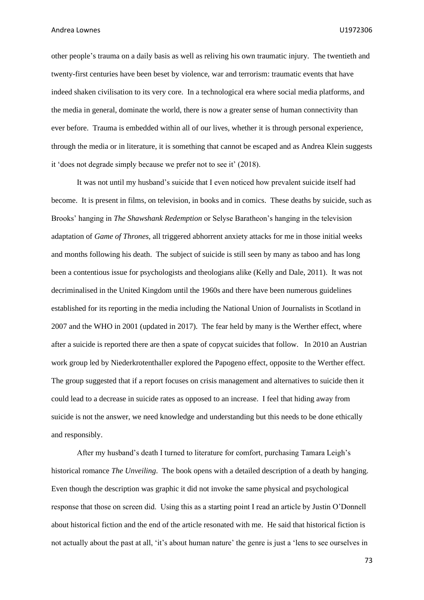other people's trauma on a daily basis as well as reliving his own traumatic injury. The twentieth and twenty-first centuries have been beset by violence, war and terrorism: traumatic events that have indeed shaken civilisation to its very core. In a technological era where social media platforms, and the media in general, dominate the world, there is now a greater sense of human connectivity than ever before. Trauma is embedded within all of our lives, whether it is through personal experience, through the media or in literature, it is something that cannot be escaped and as Andrea Klein suggests it 'does not degrade simply because we prefer not to see it' (2018).

It was not until my husband's suicide that I even noticed how prevalent suicide itself had become. It is present in films, on television, in books and in comics. These deaths by suicide, such as Brooks' hanging in *The Shawshank Redemption* or Selyse Baratheon's hanging in the television adaptation of *Game of Thrones,* all triggered abhorrent anxiety attacks for me in those initial weeks and months following his death. The subject of suicide is still seen by many as taboo and has long been a contentious issue for psychologists and theologians alike (Kelly and Dale, 2011). It was not decriminalised in the United Kingdom until the 1960s and there have been numerous guidelines established for its reporting in the media including the National Union of Journalists in Scotland in 2007 and the WHO in 2001 (updated in 2017). The fear held by many is the Werther effect, where after a suicide is reported there are then a spate of copycat suicides that follow. In 2010 an Austrian work group led by Niederkrotenthaller explored the Papogeno effect, opposite to the Werther effect. The group suggested that if a report focuses on crisis management and alternatives to suicide then it could lead to a decrease in suicide rates as opposed to an increase. I feel that hiding away from suicide is not the answer, we need knowledge and understanding but this needs to be done ethically and responsibly.

After my husband's death I turned to literature for comfort, purchasing Tamara Leigh's historical romance *The Unveiling*. The book opens with a detailed description of a death by hanging. Even though the description was graphic it did not invoke the same physical and psychological response that those on screen did. Using this as a starting point I read an article by Justin O'Donnell about historical fiction and the end of the article resonated with me. He said that historical fiction is not actually about the past at all, 'it's about human nature' the genre is just a 'lens to see ourselves in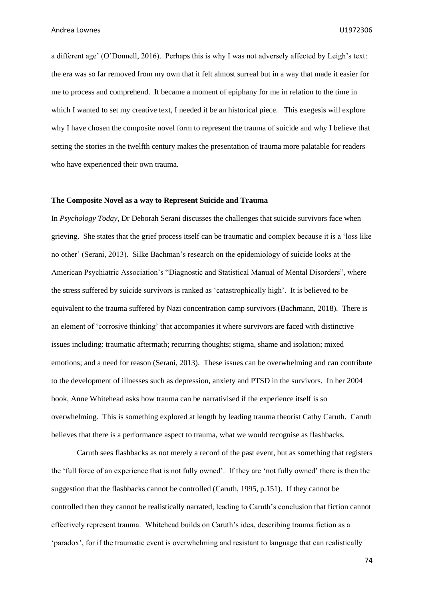a different age' (O'Donnell, 2016). Perhaps this is why I was not adversely affected by Leigh's text: the era was so far removed from my own that it felt almost surreal but in a way that made it easier for me to process and comprehend. It became a moment of epiphany for me in relation to the time in which I wanted to set my creative text, I needed it be an historical piece. This exegesis will explore why I have chosen the composite novel form to represent the trauma of suicide and why I believe that setting the stories in the twelfth century makes the presentation of trauma more palatable for readers who have experienced their own trauma.

#### **The Composite Novel as a way to Represent Suicide and Trauma**

In *Psychology Today*, Dr Deborah Serani discusses the challenges that suicide survivors face when grieving. She states that the grief process itself can be traumatic and complex because it is a 'loss like no other' (Serani, 2013). Silke Bachman's research on the epidemiology of suicide looks at the American Psychiatric Association's "Diagnostic and Statistical Manual of Mental Disorders", where the stress suffered by suicide survivors is ranked as 'catastrophically high'. It is believed to be equivalent to the trauma suffered by Nazi concentration camp survivors (Bachmann, 2018). There is an element of 'corrosive thinking' that accompanies it where survivors are faced with distinctive issues including: traumatic aftermath; recurring thoughts; stigma, shame and isolation; mixed emotions; and a need for reason (Serani, 2013). These issues can be overwhelming and can contribute to the development of illnesses such as depression, anxiety and PTSD in the survivors. In her 2004 book, Anne Whitehead asks how trauma can be narrativised if the experience itself is so overwhelming. This is something explored at length by leading trauma theorist Cathy Caruth. Caruth believes that there is a performance aspect to trauma, what we would recognise as flashbacks.

Caruth sees flashbacks as not merely a record of the past event, but as something that registers the 'full force of an experience that is not fully owned'. If they are 'not fully owned' there is then the suggestion that the flashbacks cannot be controlled (Caruth, 1995, p.151). If they cannot be controlled then they cannot be realistically narrated, leading to Caruth's conclusion that fiction cannot effectively represent trauma. Whitehead builds on Caruth's idea, describing trauma fiction as a 'paradox', for if the traumatic event is overwhelming and resistant to language that can realistically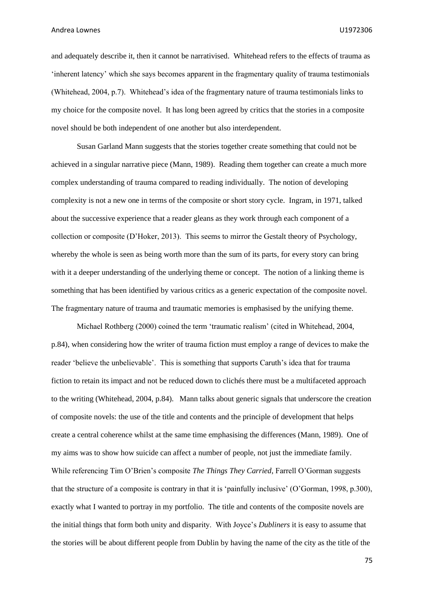and adequately describe it, then it cannot be narrativised. Whitehead refers to the effects of trauma as 'inherent latency' which she says becomes apparent in the fragmentary quality of trauma testimonials (Whitehead, 2004, p.7). Whitehead's idea of the fragmentary nature of trauma testimonials links to my choice for the composite novel. It has long been agreed by critics that the stories in a composite novel should be both independent of one another but also interdependent.

Susan Garland Mann suggests that the stories together create something that could not be achieved in a singular narrative piece (Mann, 1989). Reading them together can create a much more complex understanding of trauma compared to reading individually. The notion of developing complexity is not a new one in terms of the composite or short story cycle. Ingram, in 1971, talked about the successive experience that a reader gleans as they work through each component of a collection or composite (D'Hoker, 2013). This seems to mirror the Gestalt theory of Psychology, whereby the whole is seen as being worth more than the sum of its parts, for every story can bring with it a deeper understanding of the underlying theme or concept. The notion of a linking theme is something that has been identified by various critics as a generic expectation of the composite novel. The fragmentary nature of trauma and traumatic memories is emphasised by the unifying theme.

Michael Rothberg (2000) coined the term 'traumatic realism' (cited in Whitehead, 2004, p.84), when considering how the writer of trauma fiction must employ a range of devices to make the reader 'believe the unbelievable'. This is something that supports Caruth's idea that for trauma fiction to retain its impact and not be reduced down to clichés there must be a multifaceted approach to the writing (Whitehead, 2004, p.84). Mann talks about generic signals that underscore the creation of composite novels: the use of the title and contents and the principle of development that helps create a central coherence whilst at the same time emphasising the differences (Mann, 1989). One of my aims was to show how suicide can affect a number of people, not just the immediate family. While referencing Tim O'Brien's composite *The Things They Carried*, Farrell O'Gorman suggests that the structure of a composite is contrary in that it is 'painfully inclusive' (O'Gorman, 1998, p.300), exactly what I wanted to portray in my portfolio. The title and contents of the composite novels are the initial things that form both unity and disparity. With Joyce's *Dubliners* it is easy to assume that the stories will be about different people from Dublin by having the name of the city as the title of the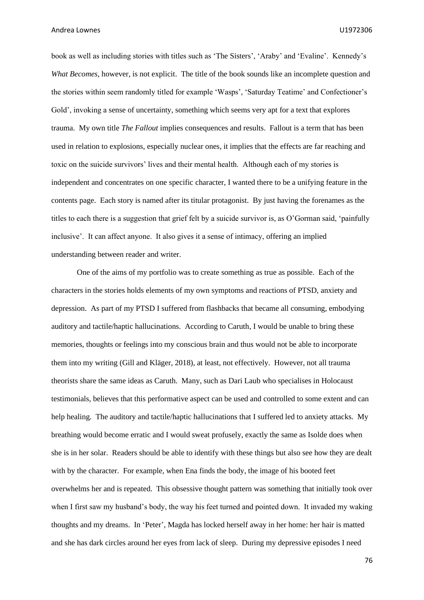book as well as including stories with titles such as 'The Sisters', 'Araby' and 'Evaline'. Kennedy's *What Becomes,* however, is not explicit. The title of the book sounds like an incomplete question and the stories within seem randomly titled for example 'Wasps', 'Saturday Teatime' and Confectioner's Gold', invoking a sense of uncertainty, something which seems very apt for a text that explores trauma. My own title *The Fallout* implies consequences and results. Fallout is a term that has been used in relation to explosions, especially nuclear ones, it implies that the effects are far reaching and toxic on the suicide survivors' lives and their mental health. Although each of my stories is independent and concentrates on one specific character, I wanted there to be a unifying feature in the contents page. Each story is named after its titular protagonist. By just having the forenames as the titles to each there is a suggestion that grief felt by a suicide survivor is, as O'Gorman said, 'painfully inclusive'. It can affect anyone. It also gives it a sense of intimacy, offering an implied understanding between reader and writer.

One of the aims of my portfolio was to create something as true as possible. Each of the characters in the stories holds elements of my own symptoms and reactions of PTSD, anxiety and depression. As part of my PTSD I suffered from flashbacks that became all consuming, embodying auditory and tactile/haptic hallucinations. According to Caruth, I would be unable to bring these memories, thoughts or feelings into my conscious brain and thus would not be able to incorporate them into my writing (Gill and Kläger, 2018), at least, not effectively. However, not all trauma theorists share the same ideas as Caruth. Many, such as Dari Laub who specialises in Holocaust testimonials, believes that this performative aspect can be used and controlled to some extent and can help healing. The auditory and tactile/haptic hallucinations that I suffered led to anxiety attacks. My breathing would become erratic and I would sweat profusely, exactly the same as Isolde does when she is in her solar. Readers should be able to identify with these things but also see how they are dealt with by the character. For example, when Ena finds the body, the image of his booted feet overwhelms her and is repeated. This obsessive thought pattern was something that initially took over when I first saw my husband's body, the way his feet turned and pointed down. It invaded my waking thoughts and my dreams. In 'Peter', Magda has locked herself away in her home: her hair is matted and she has dark circles around her eyes from lack of sleep. During my depressive episodes I need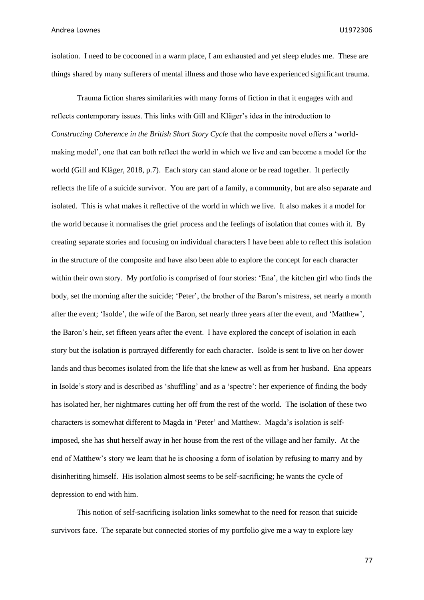isolation. I need to be cocooned in a warm place, I am exhausted and yet sleep eludes me. These are things shared by many sufferers of mental illness and those who have experienced significant trauma.

Trauma fiction shares similarities with many forms of fiction in that it engages with and reflects contemporary issues. This links with Gill and Kläger's idea in the introduction to *Constructing Coherence in the British Short Story Cycle* that the composite novel offers a 'worldmaking model', one that can both reflect the world in which we live and can become a model for the world (Gill and Kläger, 2018, p.7). Each story can stand alone or be read together. It perfectly reflects the life of a suicide survivor. You are part of a family, a community, but are also separate and isolated. This is what makes it reflective of the world in which we live. It also makes it a model for the world because it normalises the grief process and the feelings of isolation that comes with it. By creating separate stories and focusing on individual characters I have been able to reflect this isolation in the structure of the composite and have also been able to explore the concept for each character within their own story. My portfolio is comprised of four stories: 'Ena', the kitchen girl who finds the body, set the morning after the suicide; 'Peter', the brother of the Baron's mistress, set nearly a month after the event; 'Isolde', the wife of the Baron, set nearly three years after the event, and 'Matthew', the Baron's heir, set fifteen years after the event. I have explored the concept of isolation in each story but the isolation is portrayed differently for each character. Isolde is sent to live on her dower lands and thus becomes isolated from the life that she knew as well as from her husband. Ena appears in Isolde's story and is described as 'shuffling' and as a 'spectre': her experience of finding the body has isolated her, her nightmares cutting her off from the rest of the world. The isolation of these two characters is somewhat different to Magda in 'Peter' and Matthew. Magda's isolation is selfimposed, she has shut herself away in her house from the rest of the village and her family. At the end of Matthew's story we learn that he is choosing a form of isolation by refusing to marry and by disinheriting himself. His isolation almost seems to be self-sacrificing; he wants the cycle of depression to end with him.

This notion of self-sacrificing isolation links somewhat to the need for reason that suicide survivors face. The separate but connected stories of my portfolio give me a way to explore key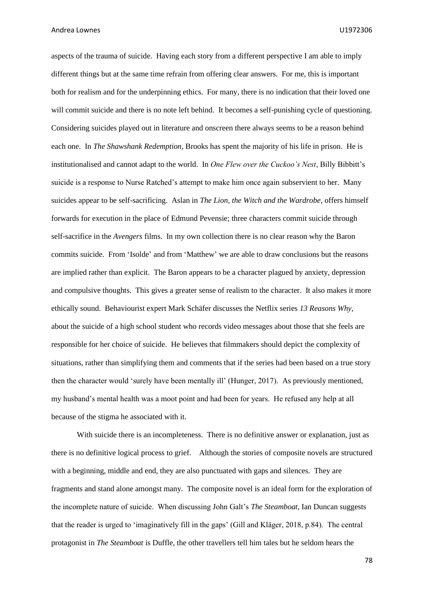aspects of the trauma of suicide. Having each story from a different perspective I am able to imply different things but at the same time refrain from offering clear answers. For me, this is important both for realism and for the underpinning ethics. For many, there is no indication that their loved one will commit suicide and there is no note left behind. It becomes a self-punishing cycle of questioning. Considering suicides played out in literature and onscreen there always seems to be a reason behind each one. In *The Shawshank Redemption,* Brooks has spent the majority of his life in prison. He is institutionalised and cannot adapt to the world. In *One Flew over the Cuckoo's Nest*, Billy Bibbitt's suicide is a response to Nurse Ratched's attempt to make him once again subservient to her. Many suicides appear to be self-sacrificing. Aslan in *The Lion, the Witch and the Wardrobe*, offers himself forwards for execution in the place of Edmund Pevensie; three characters commit suicide through self-sacrifice in the *Avengers* films. In my own collection there is no clear reason why the Baron commits suicide. From 'Isolde' and from 'Matthew' we are able to draw conclusions but the reasons are implied rather than explicit. The Baron appears to be a character plagued by anxiety, depression and compulsive thoughts. This gives a greater sense of realism to the character. It also makes it more ethically sound. Behaviourist expert Mark Schäfer discusses the Netflix series *13 Reasons Why*, about the suicide of a high school student who records video messages about those that she feels are responsible for her choice of suicide. He believes that filmmakers should depict the complexity of situations, rather than simplifying them and comments that if the series had been based on a true story then the character would 'surely have been mentally ill' (Hunger, 2017). As previously mentioned, my husband's mental health was a moot point and had been for years. He refused any help at all because of the stigma he associated with it.

With suicide there is an incompleteness. There is no definitive answer or explanation, just as there is no definitive logical process to grief. Although the stories of composite novels are structured with a beginning, middle and end, they are also punctuated with gaps and silences. They are fragments and stand alone amongst many. The composite novel is an ideal form for the exploration of the incomplete nature of suicide. When discussing John Galt's *The Steamboat*, Ian Duncan suggests that the reader is urged to 'imaginatively fill in the gaps' (Gill and Kläger, 2018, p.84). The central protagonist in *The Steamboat* is Duffle, the other travellers tell him tales but he seldom hears the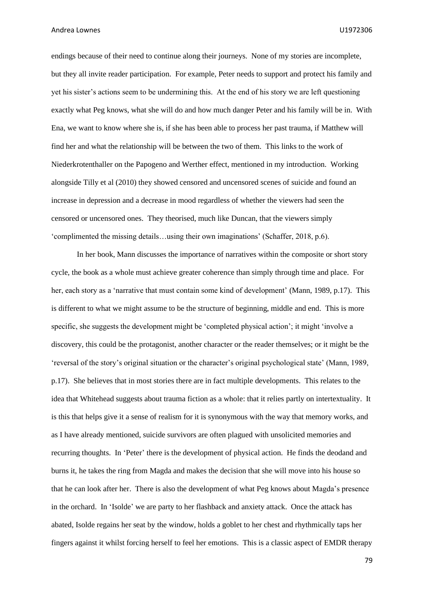endings because of their need to continue along their journeys. None of my stories are incomplete, but they all invite reader participation. For example, Peter needs to support and protect his family and yet his sister's actions seem to be undermining this. At the end of his story we are left questioning exactly what Peg knows, what she will do and how much danger Peter and his family will be in. With Ena, we want to know where she is, if she has been able to process her past trauma, if Matthew will find her and what the relationship will be between the two of them. This links to the work of Niederkrotenthaller on the Papogeno and Werther effect, mentioned in my introduction. Working alongside Tilly et al (2010) they showed censored and uncensored scenes of suicide and found an increase in depression and a decrease in mood regardless of whether the viewers had seen the censored or uncensored ones. They theorised, much like Duncan, that the viewers simply 'complimented the missing details…using their own imaginations' (Schaffer, 2018, p.6).

In her book, Mann discusses the importance of narratives within the composite or short story cycle, the book as a whole must achieve greater coherence than simply through time and place. For her, each story as a 'narrative that must contain some kind of development' (Mann, 1989, p.17). This is different to what we might assume to be the structure of beginning, middle and end. This is more specific, she suggests the development might be 'completed physical action'; it might 'involve a discovery, this could be the protagonist, another character or the reader themselves; or it might be the 'reversal of the story's original situation or the character's original psychological state' (Mann, 1989, p.17). She believes that in most stories there are in fact multiple developments. This relates to the idea that Whitehead suggests about trauma fiction as a whole: that it relies partly on intertextuality. It is this that helps give it a sense of realism for it is synonymous with the way that memory works, and as I have already mentioned, suicide survivors are often plagued with unsolicited memories and recurring thoughts. In 'Peter' there is the development of physical action. He finds the deodand and burns it, he takes the ring from Magda and makes the decision that she will move into his house so that he can look after her. There is also the development of what Peg knows about Magda's presence in the orchard. In 'Isolde' we are party to her flashback and anxiety attack. Once the attack has abated, Isolde regains her seat by the window, holds a goblet to her chest and rhythmically taps her fingers against it whilst forcing herself to feel her emotions. This is a classic aspect of EMDR therapy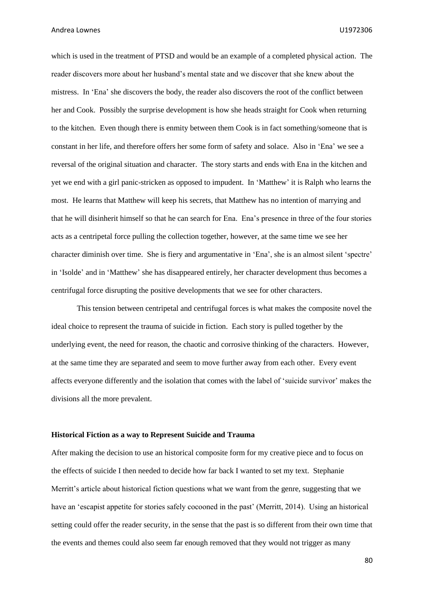which is used in the treatment of PTSD and would be an example of a completed physical action. The reader discovers more about her husband's mental state and we discover that she knew about the mistress. In 'Ena' she discovers the body, the reader also discovers the root of the conflict between her and Cook. Possibly the surprise development is how she heads straight for Cook when returning to the kitchen. Even though there is enmity between them Cook is in fact something/someone that is constant in her life, and therefore offers her some form of safety and solace. Also in 'Ena' we see a reversal of the original situation and character. The story starts and ends with Ena in the kitchen and yet we end with a girl panic-stricken as opposed to impudent. In 'Matthew' it is Ralph who learns the most. He learns that Matthew will keep his secrets, that Matthew has no intention of marrying and that he will disinherit himself so that he can search for Ena. Ena's presence in three of the four stories acts as a centripetal force pulling the collection together, however, at the same time we see her character diminish over time. She is fiery and argumentative in 'Ena', she is an almost silent 'spectre' in 'Isolde' and in 'Matthew' she has disappeared entirely, her character development thus becomes a centrifugal force disrupting the positive developments that we see for other characters.

This tension between centripetal and centrifugal forces is what makes the composite novel the ideal choice to represent the trauma of suicide in fiction. Each story is pulled together by the underlying event, the need for reason, the chaotic and corrosive thinking of the characters. However, at the same time they are separated and seem to move further away from each other. Every event affects everyone differently and the isolation that comes with the label of 'suicide survivor' makes the divisions all the more prevalent.

#### **Historical Fiction as a way to Represent Suicide and Trauma**

After making the decision to use an historical composite form for my creative piece and to focus on the effects of suicide I then needed to decide how far back I wanted to set my text. Stephanie Merritt's article about historical fiction questions what we want from the genre, suggesting that we have an 'escapist appetite for stories safely cocooned in the past' (Merritt, 2014). Using an historical setting could offer the reader security, in the sense that the past is so different from their own time that the events and themes could also seem far enough removed that they would not trigger as many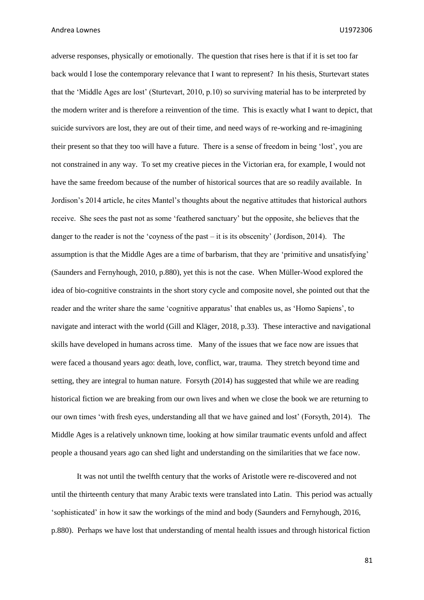adverse responses, physically or emotionally. The question that rises here is that if it is set too far back would I lose the contemporary relevance that I want to represent? In his thesis, Sturtevart states that the 'Middle Ages are lost' (Sturtevart, 2010, p.10) so surviving material has to be interpreted by the modern writer and is therefore a reinvention of the time. This is exactly what I want to depict, that suicide survivors are lost, they are out of their time, and need ways of re-working and re-imagining their present so that they too will have a future. There is a sense of freedom in being 'lost', you are not constrained in any way. To set my creative pieces in the Victorian era, for example, I would not have the same freedom because of the number of historical sources that are so readily available. In Jordison's 2014 article, he cites Mantel's thoughts about the negative attitudes that historical authors receive. She sees the past not as some 'feathered sanctuary' but the opposite, she believes that the danger to the reader is not the 'coyness of the past – it is its obscenity' (Jordison, 2014). The assumption is that the Middle Ages are a time of barbarism, that they are 'primitive and unsatisfying' (Saunders and Fernyhough, 2010, p.880), yet this is not the case. When Müller-Wood explored the idea of bio-cognitive constraints in the short story cycle and composite novel, she pointed out that the reader and the writer share the same 'cognitive apparatus' that enables us, as 'Homo Sapiens', to navigate and interact with the world (Gill and Kläger, 2018, p.33). These interactive and navigational skills have developed in humans across time. Many of the issues that we face now are issues that were faced a thousand years ago: death, love, conflict, war, trauma. They stretch beyond time and setting, they are integral to human nature. Forsyth (2014) has suggested that while we are reading historical fiction we are breaking from our own lives and when we close the book we are returning to our own times 'with fresh eyes, understanding all that we have gained and lost' (Forsyth, 2014). The Middle Ages is a relatively unknown time, looking at how similar traumatic events unfold and affect people a thousand years ago can shed light and understanding on the similarities that we face now.

It was not until the twelfth century that the works of Aristotle were re-discovered and not until the thirteenth century that many Arabic texts were translated into Latin. This period was actually 'sophisticated' in how it saw the workings of the mind and body (Saunders and Fernyhough, 2016, p.880). Perhaps we have lost that understanding of mental health issues and through historical fiction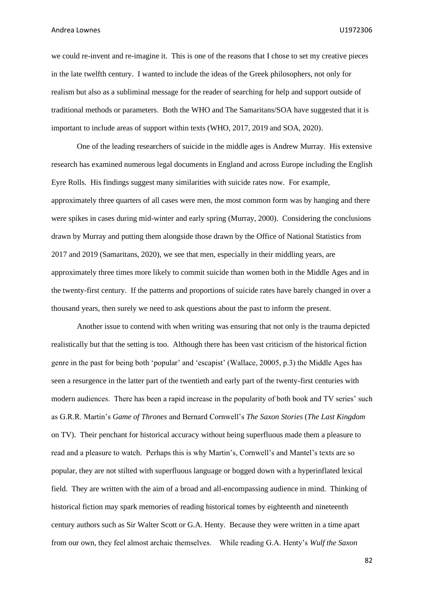we could re-invent and re-imagine it. This is one of the reasons that I chose to set my creative pieces in the late twelfth century. I wanted to include the ideas of the Greek philosophers, not only for realism but also as a subliminal message for the reader of searching for help and support outside of traditional methods or parameters. Both the WHO and The Samaritans/SOA have suggested that it is important to include areas of support within texts (WHO, 2017, 2019 and SOA, 2020).

One of the leading researchers of suicide in the middle ages is Andrew Murray. His extensive research has examined numerous legal documents in England and across Europe including the English Eyre Rolls. His findings suggest many similarities with suicide rates now. For example, approximately three quarters of all cases were men, the most common form was by hanging and there were spikes in cases during mid-winter and early spring (Murray, 2000). Considering the conclusions drawn by Murray and putting them alongside those drawn by the Office of National Statistics from 2017 and 2019 (Samaritans, 2020), we see that men, especially in their middling years, are approximately three times more likely to commit suicide than women both in the Middle Ages and in the twenty-first century. If the patterns and proportions of suicide rates have barely changed in over a thousand years, then surely we need to ask questions about the past to inform the present.

Another issue to contend with when writing was ensuring that not only is the trauma depicted realistically but that the setting is too. Although there has been vast criticism of the historical fiction genre in the past for being both 'popular' and 'escapist' (Wallace, 20005, p.3) the Middle Ages has seen a resurgence in the latter part of the twentieth and early part of the twenty-first centuries with modern audiences. There has been a rapid increase in the popularity of both book and TV series' such as G.R.R. Martin's *Game of Thrones* and Bernard Cornwell's *The Saxon Stories* (*The Last Kingdom* on TV). Their penchant for historical accuracy without being superfluous made them a pleasure to read and a pleasure to watch. Perhaps this is why Martin's, Cornwell's and Mantel's texts are so popular, they are not stilted with superfluous language or bogged down with a hyperinflated lexical field. They are written with the aim of a broad and all-encompassing audience in mind. Thinking of historical fiction may spark memories of reading historical tomes by eighteenth and nineteenth century authors such as Sir Walter Scott or G.A. Henty. Because they were written in a time apart from our own, they feel almost archaic themselves. While reading G.A. Henty's *Wulf the Saxon*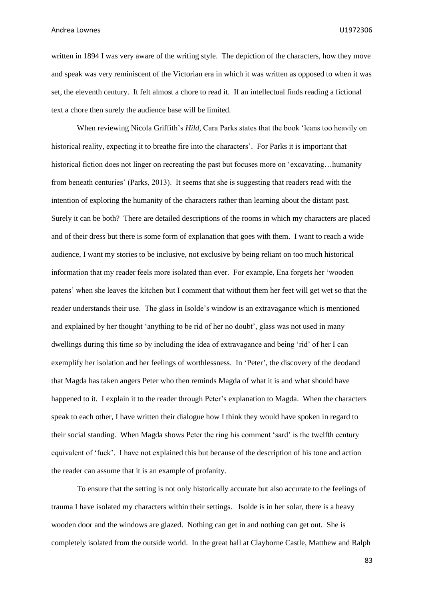written in 1894 I was very aware of the writing style. The depiction of the characters, how they move and speak was very reminiscent of the Victorian era in which it was written as opposed to when it was set, the eleventh century. It felt almost a chore to read it. If an intellectual finds reading a fictional text a chore then surely the audience base will be limited.

When reviewing Nicola Griffith's *Hild,* Cara Parks states that the book 'leans too heavily on historical reality, expecting it to breathe fire into the characters'. For Parks it is important that historical fiction does not linger on recreating the past but focuses more on 'excavating...humanity from beneath centuries' (Parks, 2013). It seems that she is suggesting that readers read with the intention of exploring the humanity of the characters rather than learning about the distant past. Surely it can be both? There are detailed descriptions of the rooms in which my characters are placed and of their dress but there is some form of explanation that goes with them. I want to reach a wide audience, I want my stories to be inclusive, not exclusive by being reliant on too much historical information that my reader feels more isolated than ever. For example, Ena forgets her 'wooden patens' when she leaves the kitchen but I comment that without them her feet will get wet so that the reader understands their use. The glass in Isolde's window is an extravagance which is mentioned and explained by her thought 'anything to be rid of her no doubt', glass was not used in many dwellings during this time so by including the idea of extravagance and being 'rid' of her I can exemplify her isolation and her feelings of worthlessness. In 'Peter', the discovery of the deodand that Magda has taken angers Peter who then reminds Magda of what it is and what should have happened to it. I explain it to the reader through Peter's explanation to Magda. When the characters speak to each other, I have written their dialogue how I think they would have spoken in regard to their social standing. When Magda shows Peter the ring his comment 'sard' is the twelfth century equivalent of 'fuck'. I have not explained this but because of the description of his tone and action the reader can assume that it is an example of profanity.

To ensure that the setting is not only historically accurate but also accurate to the feelings of trauma I have isolated my characters within their settings. Isolde is in her solar, there is a heavy wooden door and the windows are glazed. Nothing can get in and nothing can get out. She is completely isolated from the outside world. In the great hall at Clayborne Castle, Matthew and Ralph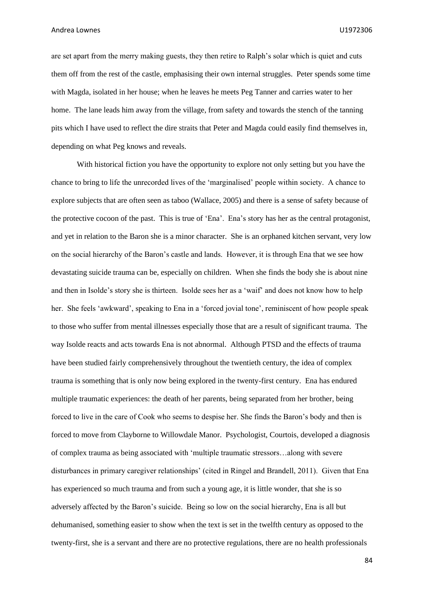are set apart from the merry making guests, they then retire to Ralph's solar which is quiet and cuts them off from the rest of the castle, emphasising their own internal struggles. Peter spends some time with Magda, isolated in her house; when he leaves he meets Peg Tanner and carries water to her home. The lane leads him away from the village, from safety and towards the stench of the tanning pits which I have used to reflect the dire straits that Peter and Magda could easily find themselves in, depending on what Peg knows and reveals.

With historical fiction you have the opportunity to explore not only setting but you have the chance to bring to life the unrecorded lives of the 'marginalised' people within society. A chance to explore subjects that are often seen as taboo (Wallace, 2005) and there is a sense of safety because of the protective cocoon of the past. This is true of 'Ena'. Ena's story has her as the central protagonist, and yet in relation to the Baron she is a minor character. She is an orphaned kitchen servant, very low on the social hierarchy of the Baron's castle and lands. However, it is through Ena that we see how devastating suicide trauma can be, especially on children. When she finds the body she is about nine and then in Isolde's story she is thirteen. Isolde sees her as a 'waif' and does not know how to help her. She feels 'awkward', speaking to Ena in a 'forced jovial tone', reminiscent of how people speak to those who suffer from mental illnesses especially those that are a result of significant trauma. The way Isolde reacts and acts towards Ena is not abnormal. Although PTSD and the effects of trauma have been studied fairly comprehensively throughout the twentieth century, the idea of complex trauma is something that is only now being explored in the twenty-first century. Ena has endured multiple traumatic experiences: the death of her parents, being separated from her brother, being forced to live in the care of Cook who seems to despise her. She finds the Baron's body and then is forced to move from Clayborne to Willowdale Manor. Psychologist, Courtois, developed a diagnosis of complex trauma as being associated with 'multiple traumatic stressors…along with severe disturbances in primary caregiver relationships' (cited in Ringel and Brandell, 2011). Given that Ena has experienced so much trauma and from such a young age, it is little wonder, that she is so adversely affected by the Baron's suicide. Being so low on the social hierarchy, Ena is all but dehumanised, something easier to show when the text is set in the twelfth century as opposed to the twenty-first, she is a servant and there are no protective regulations, there are no health professionals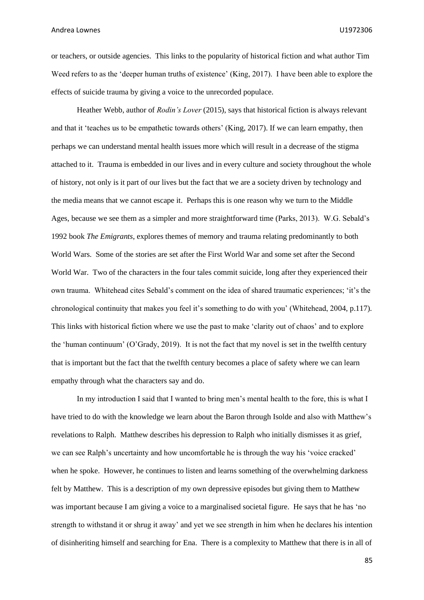or teachers, or outside agencies. This links to the popularity of historical fiction and what author Tim Weed refers to as the 'deeper human truths of existence' (King, 2017). I have been able to explore the effects of suicide trauma by giving a voice to the unrecorded populace.

Heather Webb, author of *Rodin's Lover* (2015), says that historical fiction is always relevant and that it 'teaches us to be empathetic towards others' (King, 2017). If we can learn empathy, then perhaps we can understand mental health issues more which will result in a decrease of the stigma attached to it. Trauma is embedded in our lives and in every culture and society throughout the whole of history, not only is it part of our lives but the fact that we are a society driven by technology and the media means that we cannot escape it. Perhaps this is one reason why we turn to the Middle Ages, because we see them as a simpler and more straightforward time (Parks, 2013). W.G. Sebald's 1992 book *The Emigrants*, explores themes of memory and trauma relating predominantly to both World Wars. Some of the stories are set after the First World War and some set after the Second World War. Two of the characters in the four tales commit suicide, long after they experienced their own trauma. Whitehead cites Sebald's comment on the idea of shared traumatic experiences; 'it's the chronological continuity that makes you feel it's something to do with you' (Whitehead, 2004, p.117). This links with historical fiction where we use the past to make 'clarity out of chaos' and to explore the 'human continuum' (O'Grady, 2019). It is not the fact that my novel is set in the twelfth century that is important but the fact that the twelfth century becomes a place of safety where we can learn empathy through what the characters say and do.

In my introduction I said that I wanted to bring men's mental health to the fore, this is what I have tried to do with the knowledge we learn about the Baron through Isolde and also with Matthew's revelations to Ralph. Matthew describes his depression to Ralph who initially dismisses it as grief, we can see Ralph's uncertainty and how uncomfortable he is through the way his 'voice cracked' when he spoke. However, he continues to listen and learns something of the overwhelming darkness felt by Matthew. This is a description of my own depressive episodes but giving them to Matthew was important because I am giving a voice to a marginalised societal figure. He says that he has 'no strength to withstand it or shrug it away' and yet we see strength in him when he declares his intention of disinheriting himself and searching for Ena. There is a complexity to Matthew that there is in all of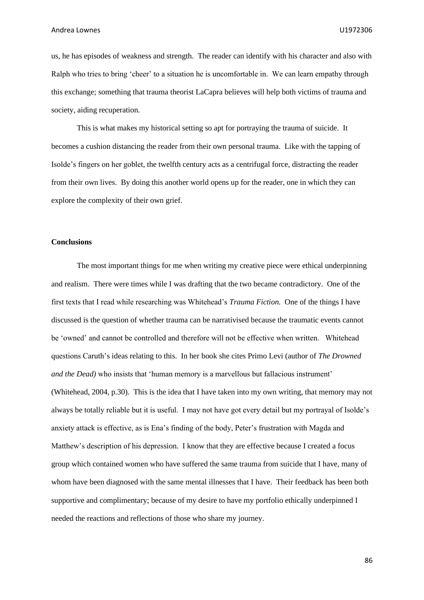us, he has episodes of weakness and strength. The reader can identify with his character and also with Ralph who tries to bring 'cheer' to a situation he is uncomfortable in. We can learn empathy through this exchange; something that trauma theorist LaCapra believes will help both victims of trauma and society, aiding recuperation.

This is what makes my historical setting so apt for portraying the trauma of suicide. It becomes a cushion distancing the reader from their own personal trauma. Like with the tapping of Isolde's fingers on her goblet, the twelfth century acts as a centrifugal force, distracting the reader from their own lives. By doing this another world opens up for the reader, one in which they can explore the complexity of their own grief.

#### **Conclusions**

The most important things for me when writing my creative piece were ethical underpinning and realism. There were times while I was drafting that the two became contradictory. One of the first texts that I read while researching was Whitehead's *Trauma Fiction.* One of the things I have discussed is the question of whether trauma can be narrativised because the traumatic events cannot be 'owned' and cannot be controlled and therefore will not be effective when written. Whitehead questions Caruth's ideas relating to this. In her book she cites Primo Levi (author of *The Drowned and the Dead)* who insists that 'human memory is a marvellous but fallacious instrument' (Whitehead, 2004, p.30). This is the idea that I have taken into my own writing, that memory may not always be totally reliable but it is useful. I may not have got every detail but my portrayal of Isolde's anxiety attack is effective, as is Ena's finding of the body, Peter's frustration with Magda and Matthew's description of his depression. I know that they are effective because I created a focus group which contained women who have suffered the same trauma from suicide that I have, many of whom have been diagnosed with the same mental illnesses that I have. Their feedback has been both supportive and complimentary; because of my desire to have my portfolio ethically underpinned I needed the reactions and reflections of those who share my journey.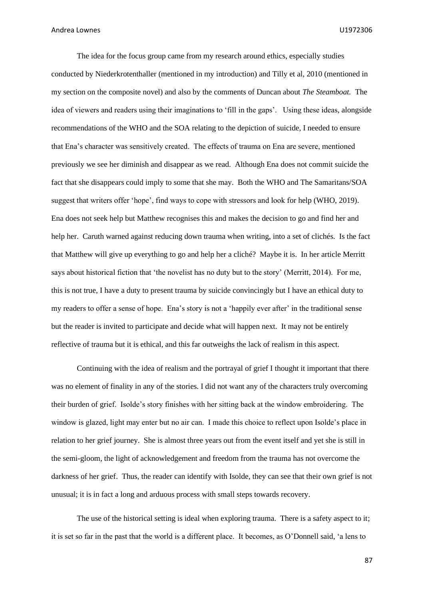The idea for the focus group came from my research around ethics, especially studies conducted by Niederkrotenthaller (mentioned in my introduction) and Tilly et al, 2010 (mentioned in my section on the composite novel) and also by the comments of Duncan about *The Steamboat.* The idea of viewers and readers using their imaginations to 'fill in the gaps'. Using these ideas, alongside recommendations of the WHO and the SOA relating to the depiction of suicide, I needed to ensure that Ena's character was sensitively created. The effects of trauma on Ena are severe, mentioned previously we see her diminish and disappear as we read. Although Ena does not commit suicide the fact that she disappears could imply to some that she may. Both the WHO and The Samaritans/SOA suggest that writers offer 'hope', find ways to cope with stressors and look for help (WHO, 2019). Ena does not seek help but Matthew recognises this and makes the decision to go and find her and help her. Caruth warned against reducing down trauma when writing, into a set of clichés. Is the fact that Matthew will give up everything to go and help her a cliché? Maybe it is. In her article Merritt says about historical fiction that 'the novelist has no duty but to the story' (Merritt, 2014). For me, this is not true, I have a duty to present trauma by suicide convincingly but I have an ethical duty to my readers to offer a sense of hope. Ena's story is not a 'happily ever after' in the traditional sense but the reader is invited to participate and decide what will happen next. It may not be entirely reflective of trauma but it is ethical, and this far outweighs the lack of realism in this aspect.

Continuing with the idea of realism and the portrayal of grief I thought it important that there was no element of finality in any of the stories. I did not want any of the characters truly overcoming their burden of grief. Isolde's story finishes with her sitting back at the window embroidering. The window is glazed, light may enter but no air can. I made this choice to reflect upon Isolde's place in relation to her grief journey. She is almost three years out from the event itself and yet she is still in the semi-gloom, the light of acknowledgement and freedom from the trauma has not overcome the darkness of her grief. Thus, the reader can identify with Isolde, they can see that their own grief is not unusual; it is in fact a long and arduous process with small steps towards recovery.

The use of the historical setting is ideal when exploring trauma. There is a safety aspect to it; it is set so far in the past that the world is a different place. It becomes, as O'Donnell said, 'a lens to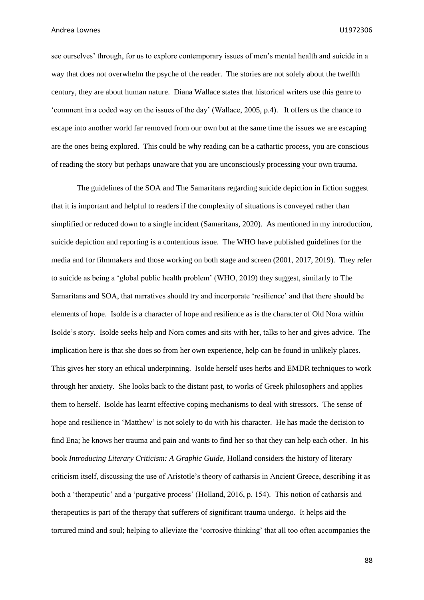see ourselves' through, for us to explore contemporary issues of men's mental health and suicide in a way that does not overwhelm the psyche of the reader. The stories are not solely about the twelfth century, they are about human nature. Diana Wallace states that historical writers use this genre to 'comment in a coded way on the issues of the day' (Wallace, 2005, p.4). It offers us the chance to escape into another world far removed from our own but at the same time the issues we are escaping are the ones being explored. This could be why reading can be a cathartic process, you are conscious of reading the story but perhaps unaware that you are unconsciously processing your own trauma.

The guidelines of the SOA and The Samaritans regarding suicide depiction in fiction suggest that it is important and helpful to readers if the complexity of situations is conveyed rather than simplified or reduced down to a single incident (Samaritans, 2020). As mentioned in my introduction, suicide depiction and reporting is a contentious issue. The WHO have published guidelines for the media and for filmmakers and those working on both stage and screen (2001, 2017, 2019). They refer to suicide as being a 'global public health problem' (WHO, 2019) they suggest, similarly to The Samaritans and SOA, that narratives should try and incorporate 'resilience' and that there should be elements of hope. Isolde is a character of hope and resilience as is the character of Old Nora within Isolde's story. Isolde seeks help and Nora comes and sits with her, talks to her and gives advice. The implication here is that she does so from her own experience, help can be found in unlikely places. This gives her story an ethical underpinning. Isolde herself uses herbs and EMDR techniques to work through her anxiety. She looks back to the distant past, to works of Greek philosophers and applies them to herself. Isolde has learnt effective coping mechanisms to deal with stressors. The sense of hope and resilience in 'Matthew' is not solely to do with his character. He has made the decision to find Ena; he knows her trauma and pain and wants to find her so that they can help each other. In his book *Introducing Literary Criticism: A Graphic Guide,* Holland considers the history of literary criticism itself, discussing the use of Aristotle's theory of catharsis in Ancient Greece, describing it as both a 'therapeutic' and a 'purgative process' (Holland, 2016, p. 154). This notion of catharsis and therapeutics is part of the therapy that sufferers of significant trauma undergo. It helps aid the tortured mind and soul; helping to alleviate the 'corrosive thinking' that all too often accompanies the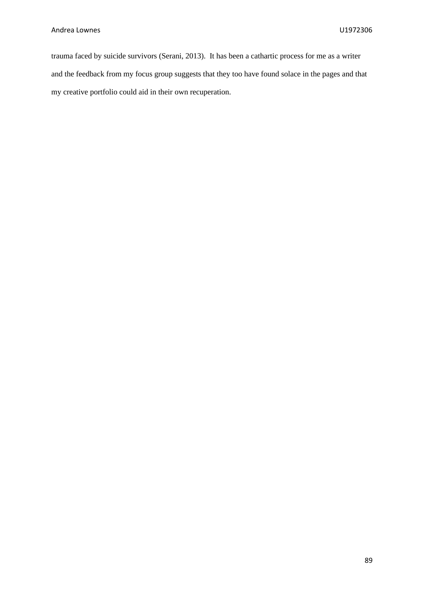trauma faced by suicide survivors (Serani, 2013). It has been a cathartic process for me as a writer and the feedback from my focus group suggests that they too have found solace in the pages and that my creative portfolio could aid in their own recuperation.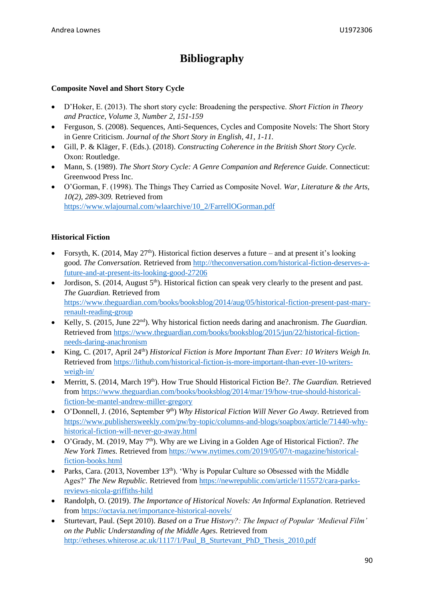# **Bibliography**

## **Composite Novel and Short Story Cycle**

- D'Hoker, E. (2013). The short story cycle: Broadening the perspective. *Short Fiction in Theory and Practice, Volume 3, Number 2, 151-159*
- Ferguson, S. (2008). Sequences, Anti-Sequences, Cycles and Composite Novels: The Short Story in Genre Criticism. *Journal of the Short Story in English, 41, 1-11.*
- Gill, P. & Kläger, F. (Eds.). (2018). *Constructing Coherence in the British Short Story Cycle.* Oxon: Routledge.
- Mann, S. (1989). *The Short Story Cycle: A Genre Companion and Reference Guide.* Connecticut: Greenwood Press Inc.
- O'Gorman, F. (1998). The Things They Carried as Composite Novel. *War, Literature & the Arts, 10(2), 289-309.* Retrieved from [https://www.wlajournal.com/wlaarchive/10\\_2/FarrellOGorman.pdf](https://www.wlajournal.com/wlaarchive/10_2/FarrellOGorman.pdf)

## **Historical Fiction**

- Forsyth, K. (2014, May  $27<sup>th</sup>$ ). Historical fiction deserves a future and at present it's looking good. *The Conversation.* Retrieved from [http://theconversation.com/historical-fiction-deserves-a](http://theconversation.com/historical-fiction-deserves-a-future-and-at-present-its-looking-good-27206)[future-and-at-present-its-looking-good-27206](http://theconversation.com/historical-fiction-deserves-a-future-and-at-present-its-looking-good-27206)
- Jordison, S. (2014, August  $5<sup>th</sup>$ ). Historical fiction can speak very clearly to the present and past. *The Guardian.* Retrieved from [https://www.theguardian.com/books/booksblog/2014/aug/05/historical-fiction-present-past-mary](https://www.theguardian.com/books/booksblog/2014/aug/05/historical-fiction-present-past-mary-renault-reading-group)[renault-reading-group](https://www.theguardian.com/books/booksblog/2014/aug/05/historical-fiction-present-past-mary-renault-reading-group)
- Kelly, S. (2015, June 22nd). Why historical fiction needs daring and anachronism. *The Guardian.*  Retrieved from [https://www.theguardian.com/books/booksblog/2015/jun/22/historical-fiction](https://www.theguardian.com/books/booksblog/2015/jun/22/historical-fiction-needs-daring-anachronism)[needs-daring-anachronism](https://www.theguardian.com/books/booksblog/2015/jun/22/historical-fiction-needs-daring-anachronism)
- King, C. (2017, April 24th) *Historical Fiction is More Important Than Ever: 10 Writers Weigh In.*  Retrieved from [https://lithub.com/historical-fiction-is-more-important-than-ever-10-writers](https://lithub.com/historical-fiction-is-more-important-than-ever-10-writers-weigh-in/)[weigh-in/](https://lithub.com/historical-fiction-is-more-important-than-ever-10-writers-weigh-in/)
- Merritt, S. (2014, March 19<sup>th</sup>). How True Should Historical Fiction Be?. *The Guardian*. Retrieved from [https://www.theguardian.com/books/booksblog/2014/mar/19/how-true-should-historical](https://www.theguardian.com/books/booksblog/2014/mar/19/how-true-should-historical-fiction-be-mantel-andrew-miller-gregory)[fiction-be-mantel-andrew-miller-gregory](https://www.theguardian.com/books/booksblog/2014/mar/19/how-true-should-historical-fiction-be-mantel-andrew-miller-gregory)
- O'Donnell, J. (2016, September 9<sup>th</sup>) *Why Historical Fiction Will Never Go Away.* Retrieved from [https://www.publishersweekly.com/pw/by-topic/columns-and-blogs/soapbox/article/71440-why](https://www.publishersweekly.com/pw/by-topic/columns-and-blogs/soapbox/article/71440-why-historical-fiction-will-never-go-away.html)[historical-fiction-will-never-go-away.html](https://www.publishersweekly.com/pw/by-topic/columns-and-blogs/soapbox/article/71440-why-historical-fiction-will-never-go-away.html)
- O'Grady, M. (2019, May 7<sup>th</sup>). Why are we Living in a Golden Age of Historical Fiction?. *The New York Times.* Retrieved from [https://www.nytimes.com/2019/05/07/t-magazine/historical](https://www.nytimes.com/2019/05/07/t-magazine/historical-fiction-books.html)[fiction-books.html](https://www.nytimes.com/2019/05/07/t-magazine/historical-fiction-books.html)
- Parks, Cara. (2013, November  $13<sup>th</sup>$ ). 'Why is Popular Culture so Obsessed with the Middle Ages?' *The New Republic.* Retrieved fro[m https://newrepublic.com/article/115572/cara-parks](https://newrepublic.com/article/115572/cara-parks-reviews-nicola-griffiths-hild)[reviews-nicola-griffiths-hild](https://newrepublic.com/article/115572/cara-parks-reviews-nicola-griffiths-hild)
- Randolph, O. (2019). *The Importance of Historical Novels: An Informal Explanation.* Retrieved from<https://octavia.net/importance-historical-novels/>
- Sturtevart, Paul. (Sept 2010). *Based on a True History?: The Impact of Popular 'Medieval Film' on the Public Understanding of the Middle Ages.* Retrieved from [http://etheses.whiterose.ac.uk/1117/1/Paul\\_B\\_Sturtevant\\_PhD\\_Thesis\\_2010.pdf](http://etheses.whiterose.ac.uk/1117/1/Paul_B_Sturtevant_PhD_Thesis_2010.pdf)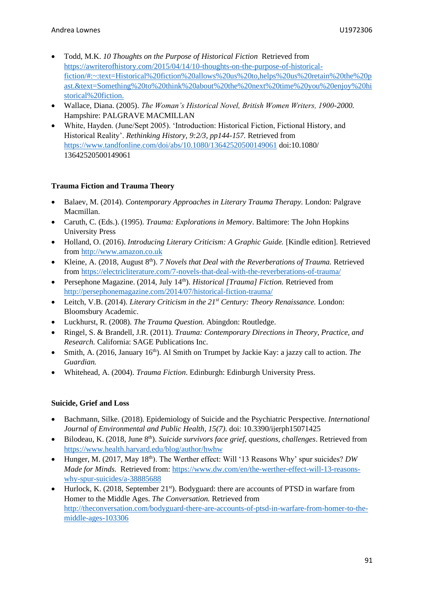- Todd, M.K. *10 Thoughts on the Purpose of Historical Fiction* Retrieved from [https://awriterofhistory.com/2015/04/14/10-thoughts-on-the-purpose-of-historical](https://awriterofhistory.com/2015/04/14/10-thoughts-on-the-purpose-of-historical-fiction/#:~:text=Historical%20fiction%20allows%20us%20to,helps%20us%20retain%20the%20past.&text=Something%20to%20think%20about%20the%20next%20time%20you%20enjoy%20historical%20fiction.)[fiction/#:~:text=Historical%20fiction%20allows%20us%20to,helps%20us%20retain%20the%20p](https://awriterofhistory.com/2015/04/14/10-thoughts-on-the-purpose-of-historical-fiction/#:~:text=Historical%20fiction%20allows%20us%20to,helps%20us%20retain%20the%20past.&text=Something%20to%20think%20about%20the%20next%20time%20you%20enjoy%20historical%20fiction.) [ast.&text=Something%20to%20think%20about%20the%20next%20time%20you%20enjoy%20hi](https://awriterofhistory.com/2015/04/14/10-thoughts-on-the-purpose-of-historical-fiction/#:~:text=Historical%20fiction%20allows%20us%20to,helps%20us%20retain%20the%20past.&text=Something%20to%20think%20about%20the%20next%20time%20you%20enjoy%20historical%20fiction.) [storical%20fiction.](https://awriterofhistory.com/2015/04/14/10-thoughts-on-the-purpose-of-historical-fiction/#:~:text=Historical%20fiction%20allows%20us%20to,helps%20us%20retain%20the%20past.&text=Something%20to%20think%20about%20the%20next%20time%20you%20enjoy%20historical%20fiction.)
- Wallace, Diana. (2005). *The Woman's Historical Novel, British Women Writers, 1900-2000.* Hampshire: PALGRAVE MACMILLAN
- White, Hayden. (June/Sept 2005). 'Introduction: Historical Fiction, Fictional History, and Historical Reality'. *Rethinking History, 9:2/3, pp144-157.* Retrieved from <https://www.tandfonline.com/doi/abs/10.1080/13642520500149061> doi:10.1080/ 13642520500149061

## **Trauma Fiction and Trauma Theory**

- Balaev, M. (2014). *Contemporary Approaches in Literary Trauma Therapy.* London: Palgrave Macmillan.
- Caruth, C. (Eds.). (1995). *Trauma: Explorations in Memory*. Baltimore: The John Hopkins University Press
- Holland, O. (2016). *Introducing Literary Criticism: A Graphic Guide.* [Kindle edition]. Retrieved from [http://www.amazon.co.uk](http://www.amazon.co.uk/)
- Kleine, A. (2018, August 8<sup>th</sup>). *7 Novels that Deal with the Reverberations of Trauma.* Retrieved from<https://electricliterature.com/7-novels-that-deal-with-the-reverberations-of-trauma/>
- Persephone Magazine. (2014, July 14<sup>th</sup>). *Historical [Trauma] Fiction*. Retrieved from <http://persephonemagazine.com/2014/07/historical-fiction-trauma/>
- Leitch, V.B. (2014). *Literary Criticism in the 21st Century: Theory Renaissance.* London: Bloomsbury Academic.
- Luckhurst, R. (2008). *The Trauma Question.* Abingdon: Routledge.
- Ringel, S. & Brandell, J.R. (2011). *Trauma: Contemporary Directions in Theory, Practice, and Research.* California: SAGE Publications Inc.
- Smith, A. (2016, January 16<sup>th</sup>). Al Smith on Trumpet by Jackie Kay: a jazzy call to action. *The Guardian.*
- Whitehead, A. (2004). *Trauma Fiction*. Edinburgh: Edinburgh University Press.

## **Suicide, Grief and Loss**

- Bachmann, Silke. (2018). Epidemiology of Suicide and the Psychiatric Perspective. *International Journal of Environmental and Public Health, 15(7).* doi: 10.3390/ijerph15071425
- Bilodeau, K. (2018, June 8<sup>th</sup>). *Suicide survivors face grief, questions, challenges*. Retrieved from <https://www.health.harvard.edu/blog/author/hwhw>
- Hunger, M. (2017, May  $18<sup>th</sup>$ ). The Werther effect: Will '13 Reasons Why' spur suicides? *DW Made for Minds.* Retrieved from: [https://www.dw.com/en/the-werther-effect-will-13-reasons](https://www.dw.com/en/the-werther-effect-will-13-reasons-why-spur-suicides/a-38885688)[why-spur-suicides/a-38885688](https://www.dw.com/en/the-werther-effect-will-13-reasons-why-spur-suicides/a-38885688)
- Hurlock, K. (2018, September 21<sup>st</sup>). Bodyguard: there are accounts of PTSD in warfare from Homer to the Middle Ages. *The Conversation.* Retrieved from [http://theconversation.com/bodyguard-there-are-accounts-of-ptsd-in-warfare-from-homer-to-the](http://theconversation.com/bodyguard-there-are-accounts-of-ptsd-in-warfare-from-homer-to-the-middle-ages-103306)[middle-ages-103306](http://theconversation.com/bodyguard-there-are-accounts-of-ptsd-in-warfare-from-homer-to-the-middle-ages-103306)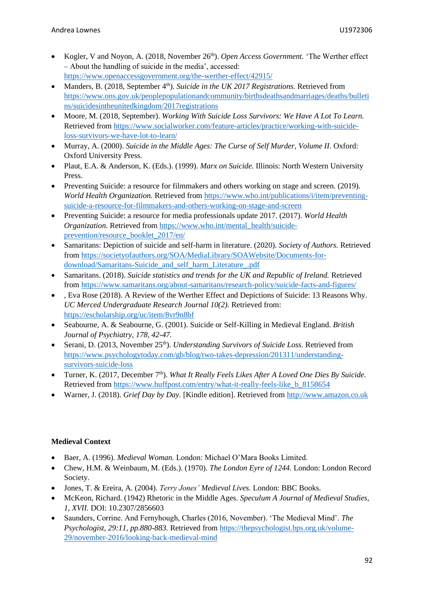- Kogler, V and Noyon, A. (2018, November 26<sup>th</sup>). *Open Access Government*. 'The Werther effect – About the handling of suicide in the media', accessed: <https://www.openaccessgovernment.org/the-werther-effect/42915/>
- Manders, B. (2018, September 4<sup>th</sup>). *Suicide in the UK 2017 Registrations*. Retrieved from [https://www.ons.gov.uk/peoplepopulationandcommunity/birthsdeathsandmarriages/deaths/bulleti](https://www.ons.gov.uk/peoplepopulationandcommunity/birthsdeathsandmarriages/deaths/bulletins/suicidesintheunitedkingdom/2017registrations) [ns/suicidesintheunitedkingdom/2017registrations](https://www.ons.gov.uk/peoplepopulationandcommunity/birthsdeathsandmarriages/deaths/bulletins/suicidesintheunitedkingdom/2017registrations)
- Moore, M. (2018, September). *Working With Suicide Loss Survivors: We Have A Lot To Learn.*  Retrieved from [https://www.socialworker.com/feature-articles/practice/working-with-suicide](https://www.socialworker.com/feature-articles/practice/working-with-suicide-loss-survivors-we-have-lot-to-learn/)[loss-survivors-we-have-lot-to-learn/](https://www.socialworker.com/feature-articles/practice/working-with-suicide-loss-survivors-we-have-lot-to-learn/)
- Murray, A. (2000). *Suicide in the Middle Ages: The Curse of Self Murder, Volume II.* Oxford: Oxford University Press.
- Plaut, E.A. & Anderson, K. (Eds.). (1999). *Marx on Suicide.* Illinois: North Western University Press.
- Preventing Suicide: a resource for filmmakers and others working on stage and screen. (2019). *World Health Organization.* Retrieved fro[m https://www.who.int/publications/i/item/preventing](https://www.who.int/publications/i/item/preventing-suicide-a-resource-for-filmmakers-and-others-working-on-stage-and-screen)[suicide-a-resource-for-filmmakers-and-others-working-on-stage-and-screen](https://www.who.int/publications/i/item/preventing-suicide-a-resource-for-filmmakers-and-others-working-on-stage-and-screen)
- Preventing Suicide: a resource for media professionals update 2017. (2017). *World Health Organization.* Retrieved from [https://www.who.int/mental\\_health/suicide](https://www.who.int/mental_health/suicide-prevention/resource_booklet_2017/en/)[prevention/resource\\_booklet\\_2017/en/](https://www.who.int/mental_health/suicide-prevention/resource_booklet_2017/en/)
- Samaritans: Depiction of suicide and self-harm in literature. (2020). *Society of Authors.* Retrieved from [https://societyofauthors.org/SOA/MediaLibrary/SOAWebsite/Documents-for](https://societyofauthors.org/SOA/MediaLibrary/SOAWebsite/Documents-for-download/Samaritans-Suicide_and_self_harm_Literature_.pdf)[download/Samaritans-Suicide\\_and\\_self\\_harm\\_Literature\\_.pdf](https://societyofauthors.org/SOA/MediaLibrary/SOAWebsite/Documents-for-download/Samaritans-Suicide_and_self_harm_Literature_.pdf)
- Samaritans. (2018). *Suicide statistics and trends for the UK and Republic of Ireland.* Retrieved from<https://www.samaritans.org/about-samaritans/research-policy/suicide-facts-and-figures/>
- , Eva Rose (2018). A Review of the Werther Effect and Depictions of Suicide: 13 Reasons Why. *UC Merced Undergraduate Research Journal 10(2).* Retrieved from: <https://escholarship.org/uc/item/8vr9n8bf>
- Seabourne, A. & Seabourne, G. (2001). Suicide or Self-Killing in Medieval England. *British Journal of Psychiatry, 178, 42-47.*
- Serani, D. (2013, November 25<sup>th</sup>). *Understanding Survivors of Suicide Loss*. Retrieved from [https://www.psychologytoday.com/gb/blog/two-takes-depression/201311/understanding](https://www.psychologytoday.com/gb/blog/two-takes-depression/201311/understanding-survivors-suicide-loss)[survivors-suicide-loss](https://www.psychologytoday.com/gb/blog/two-takes-depression/201311/understanding-survivors-suicide-loss)
- Turner, K. (2017, December 7th). *What It Really Feels Likes After A Loved One Dies By Suicide.* Retrieved from [https://www.huffpost.com/entry/what-it-really-feels-like\\_b\\_8158654](https://www.huffpost.com/entry/what-it-really-feels-like_b_8158654)
- Warner, J. (2018). *Grief Day by Day.* [Kindle edition]. Retrieved from [http://www.amazon.co.uk](http://www.amazon.co.uk/)

## **Medieval Context**

- Baer, A. (1996). *Medieval Woman.* London: Michael O'Mara Books Limited.
- Chew, H.M. & Weinbaum, M. (Eds.). (1970). *The London Eyre of 1244.* London: London Record Society.
- Jones, T. & Ereira, A. (2004). *Terry Jones' Medieval Lives.* London: BBC Books.
- McKeon, Richard. (1942) Rhetoric in the Middle Ages. *Speculum A Journal of Medieval Studies, 1, XVII.* DOI: 10.2307/2856603
- Saunders, Corrine. And Fernyhough, Charles (2016, November). 'The Medieval Mind'. *The Psychologist, 29:11, pp.880-883.* Retrieved from [https://thepsychologist.bps.org.uk/volume-](https://thepsychologist.bps.org.uk/volume-29/november-2016/looking-back-medieval-mind)[29/november-2016/looking-back-medieval-mind](https://thepsychologist.bps.org.uk/volume-29/november-2016/looking-back-medieval-mind)